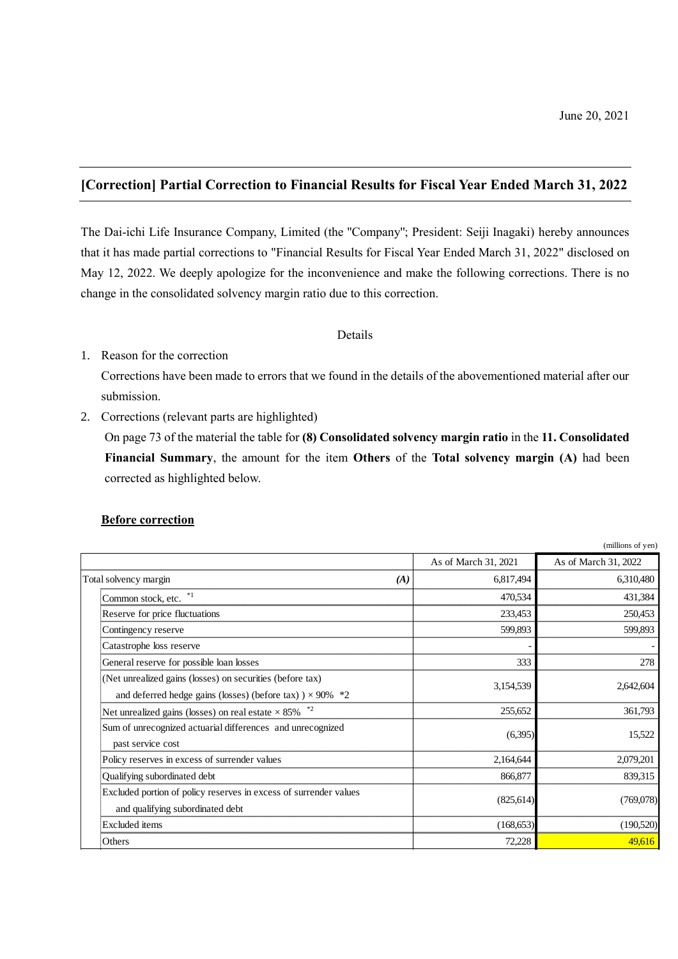# **[Correction] Partial Correction to Financial Results for Fiscal Year Ended March 31, 2022**

The Dai-ichi Life Insurance Company, Limited (the ''Company''; President: Seiji Inagaki) hereby announces that it has made partial corrections to "Financial Results for Fiscal Year Ended March 31, 2022" disclosed on May 12, 2022. We deeply apologize for the inconvenience and make the following corrections. There is no change in the consolidated solvency margin ratio due to this correction.

### Details

# 1. Reason for the correction

Corrections have been made to errors that we found in the details of the abovementioned material after our submission.

2. Corrections (relevant parts are highlighted)

On page 73 of the material the table for **(8) Consolidated solvency margin ratio** in the **11. Consolidated Financial Summary**, the amount for the item **Others** of the **Total solvency margin (A)** had been corrected as highlighted below.

# **Before correction**

|                                                                                                                                |                      | (millions of yen)    |
|--------------------------------------------------------------------------------------------------------------------------------|----------------------|----------------------|
|                                                                                                                                | As of March 31, 2021 | As of March 31, 2022 |
| Total solvency margin<br>(A)                                                                                                   | 6,817,494            | 6,310,480            |
| Common stock, etc.                                                                                                             | 470,534              | 431,384              |
| Reserve for price fluctuations                                                                                                 | 233,453              | 250,453              |
| Contingency reserve                                                                                                            | 599,893              | 599,893              |
| Catastrophe loss reserve                                                                                                       |                      |                      |
| General reserve for possible loan losses                                                                                       | 333                  | 278                  |
| (Net unrealized gains (losses) on securities (before tax)<br>and deferred hedge gains (losses) (before tax) $) \times 90\%$ *2 | 3,154,539            | 2,642,604            |
| Net unrealized gains (losses) on real estate $\times$ 85%                                                                      | 255,652              | 361,793              |
| Sum of unrecognized actuarial differences and unrecognized<br>past service cost                                                | (6,395)              | 15,522               |
| Policy reserves in excess of surrender values                                                                                  | 2,164,644            | 2,079,201            |
| Qualifying subordinated debt                                                                                                   | 866,877              | 839,315              |
| Excluded portion of policy reserves in excess of surrender values<br>and qualifying subordinated debt                          | (825, 614)           | (769,078)            |
| <b>Excluded</b> items                                                                                                          | (168, 653)           | (190,520)            |
| Others                                                                                                                         | 72,228               | 49,616               |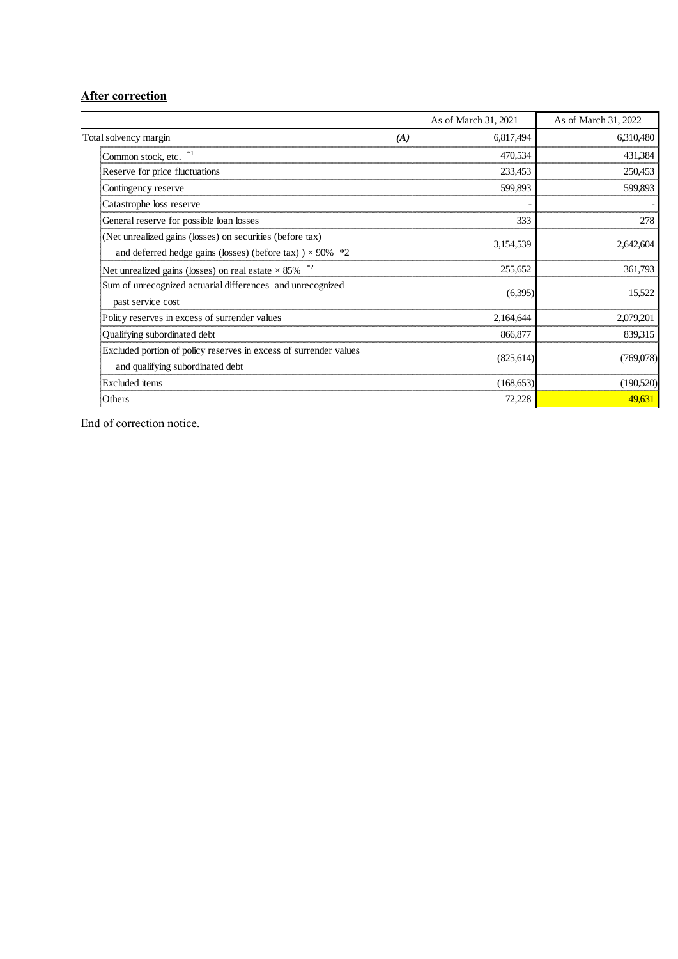# **After correction**

|                                                                   | As of March 31, 2021 | As of March 31, 2022 |
|-------------------------------------------------------------------|----------------------|----------------------|
| Total solvency margin<br>(A)                                      | 6,817,494            | 6,310,480            |
| Common stock, etc.                                                | 470,534              | 431,384              |
| Reserve for price fluctuations                                    | 233,453              | 250,453              |
| Contingency reserve                                               | 599,893              | 599,893              |
| Catastrophe loss reserve                                          |                      |                      |
| General reserve for possible loan losses                          | 333                  | 278                  |
| (Net unrealized gains (losses) on securities (before tax)         |                      |                      |
| and deferred hedge gains (losses) (before tax) $) \times 90\%$ *2 | 3,154,539            | 2,642,604            |
| Net unrealized gains (losses) on real estate $\times$ 85% $^{*2}$ | 255,652              | 361,793              |
| Sum of unrecognized actuarial differences and unrecognized        | (6,395)              | 15,522               |
| past service cost                                                 |                      |                      |
| Policy reserves in excess of surrender values                     | 2,164,644            | 2,079,201            |
| Qualifying subordinated debt                                      | 866,877              | 839,315              |
| Excluded portion of policy reserves in excess of surrender values | (825, 614)           | (769,078)            |
| and qualifying subordinated debt                                  |                      |                      |
| Excluded items                                                    | (168, 653)           | (190,520)            |
| Others                                                            | 72,228               | 49,631               |

End of correction notice.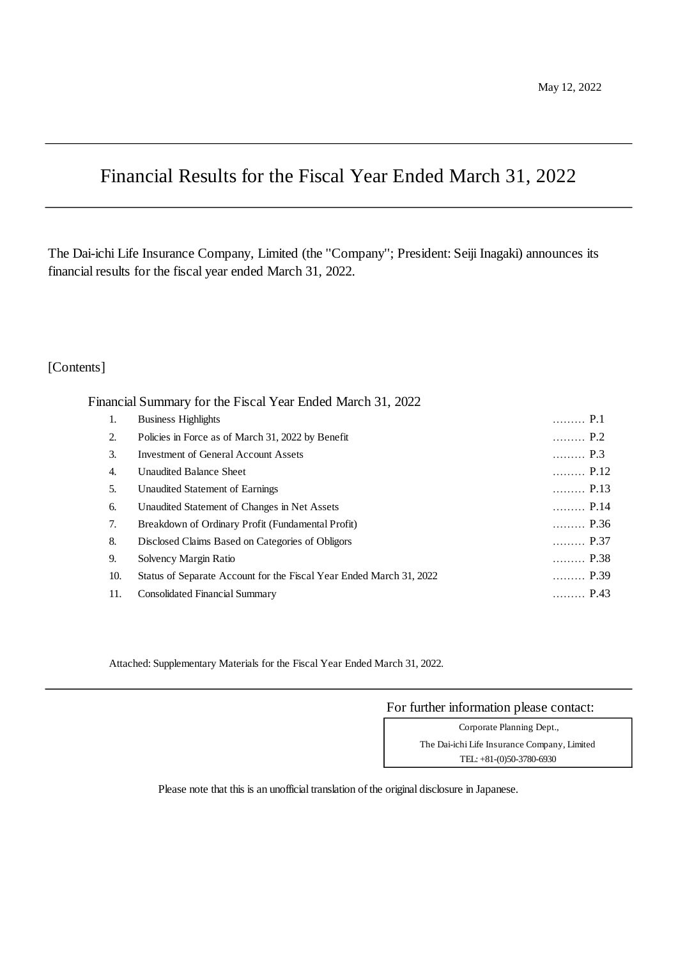# Financial Results for the Fiscal Year Ended March 31, 2022

The Dai-ichi Life Insurance Company, Limited (the ''Company''; President: Seiji Inagaki) announces its financial results for the fiscal year ended March 31, 2022.

# [Contents]

Financial Summary for the Fiscal Year Ended March 31, 2022

| 1.  | <b>Business Highlights</b>                                          | P.1                         |
|-----|---------------------------------------------------------------------|-----------------------------|
| 2.  | Policies in Force as of March 31, 2022 by Benefit                   | P.2                         |
| 3.  | <b>Investment of General Account Assets</b>                         | $\ldots \ldots \ldots$ P.3  |
| 4.  | <b>Unaudited Balance Sheet</b>                                      | $\ldots$ P.12               |
| 5.  | Unaudited Statement of Earnings                                     | $\ldots$ P.13               |
| 6.  | Unaudited Statement of Changes in Net Assets                        | P.14                        |
| 7.  | Breakdown of Ordinary Profit (Fundamental Profit)                   | $\ldots$ P.36               |
| 8.  | Disclosed Claims Based on Categories of Obligors                    | $\ldots \ldots \ldots$ P.37 |
| 9.  | Solvency Margin Ratio                                               | $\ldots$ P.38               |
| 10. | Status of Separate Account for the Fiscal Year Ended March 31, 2022 | P.39                        |
| 11. | <b>Consolidated Financial Summary</b>                               | $\ldots$ P.43               |

Attached: Supplementary Materials for the Fiscal Year Ended March 31, 2022.

For further information please contact:

TEL: +81-(0)50-3780-6930 Corporate Planning Dept., The Dai-ichi Life Insurance Company, Limited

Please note that this is an unofficial translation of the original disclosure in Japanese.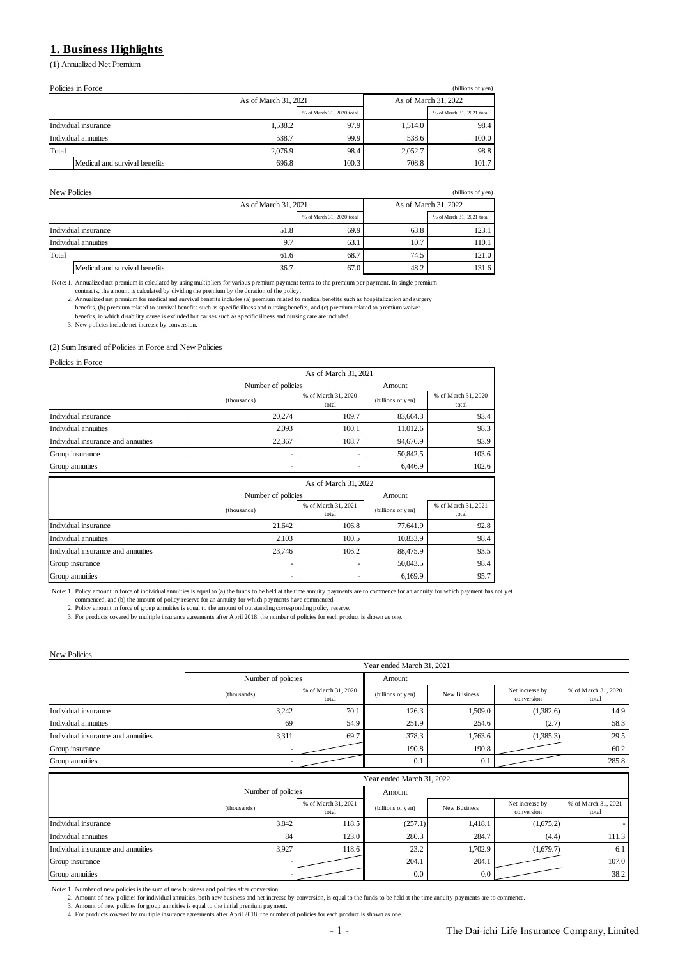# **1. Business Highlights**

(1) Annualized Net Premium

| Policies in Force<br>(billions of yen) |                               |                      |                           |                      |                           |  |
|----------------------------------------|-------------------------------|----------------------|---------------------------|----------------------|---------------------------|--|
|                                        |                               | As of March 31, 2021 |                           | As of March 31, 2022 |                           |  |
|                                        |                               |                      | % of March 31, 2020 total |                      | % of March 31, 2021 total |  |
|                                        | Individual insurance          | 1.538.2              | 97.9                      | 1.514.0              | 98.4                      |  |
|                                        | Individual annuities          | 538.7                | 99.9                      | 538.6                | 100.0                     |  |
| Total                                  |                               | 2,076.9              | 98.4                      | 2,052.7              | 98.8                      |  |
|                                        | Medical and survival benefits | 696.8                | 100.3                     | 708.8                | 101.7                     |  |

| New Policies<br>(billions of yen) |                               |                      |                           |                      |                           |  |
|-----------------------------------|-------------------------------|----------------------|---------------------------|----------------------|---------------------------|--|
|                                   |                               | As of March 31, 2021 |                           | As of March 31, 2022 |                           |  |
|                                   |                               |                      | % of March 31, 2020 total |                      | % of March 31, 2021 total |  |
|                                   | Individual insurance          | 51.8                 | 69.9                      | 63.8                 | 123.1                     |  |
|                                   | Individual annuities          | 9.7                  | 63.1                      | 10.7                 | 110.1                     |  |
| Total                             |                               | 61.6                 | 68.7                      | 74.5                 | 121.0                     |  |
|                                   | Medical and survival benefits | 36.7                 | 67.0                      | 48.2                 | 131.6                     |  |

Note: 1. Annualized net premium is calculated by using multipliers for various premium payment terms to the premium per payment. In single premium<br>Contracts, the amount is calculated by dividing the premium by the duration benefits, in which disability cause is excluded but causes such as specific illness and nursing care are included.

3. New policies include net increase by conversion.

# (2) Sum Insured of Policies in Force and New Policies

Policies in Force

|                                    | As of March 31, 2021 |                              |                   |                              |  |  |
|------------------------------------|----------------------|------------------------------|-------------------|------------------------------|--|--|
|                                    | Number of policies   |                              | Amount            |                              |  |  |
|                                    | (thousands)          | % of March 31, 2020<br>total | (billions of yen) | % of March 31, 2020<br>total |  |  |
| Individual insurance               | 20,274               | 109.7                        | 83,664.3          | 93.4                         |  |  |
| Individual annuities               | 2,093                | 100.1                        | 11,012.6          | 98.3                         |  |  |
| Individual insurance and annuities | 22,367               | 108.7                        | 94,676.9          | 93.9                         |  |  |
| Group insurance                    | ٠                    |                              | 50,842.5          | 103.6                        |  |  |
| Group annuities                    | ٠                    | ٠                            | 6,446.9           | 102.6                        |  |  |
|                                    |                      |                              |                   |                              |  |  |
|                                    |                      | As of March 31, 2022         |                   |                              |  |  |
|                                    | Number of policies   |                              | Amount            |                              |  |  |
|                                    | (thousands)          | % of March 31, 2021<br>total | (billions of yen) | % of March 31, 2021<br>total |  |  |
| Individual insurance               | 21,642               | 106.8                        | 77,641.9          | 92.8                         |  |  |
| Individual annuities               | 2,103                | 100.5                        | 10,833.9          | 98.4                         |  |  |
| Individual insurance and annuities | 23,746               | 106.2                        | 88,475.9          | 93.5                         |  |  |
| Group insurance                    | ٠                    |                              | 50,043.5          | 98.4                         |  |  |

Note: 1. Policy amount in force of individual annuities is equal to (a) the funds to be held at the time annuity payments are to commence for an annuity for which payment has not yet

commenced, and (b) the amount of policy reserve for an annuity for which payments have commenced. 2. Policy amount in force of group annuities is equal to the amount of outstanding corresponding policy reserve.

3. For products covered by multiple insurance agreements after April 2018, the number of policies for each product is shown as one.

New Policies

|                                    | Year ended March 31, 2021 |                              |                   |                     |                               |                              |
|------------------------------------|---------------------------|------------------------------|-------------------|---------------------|-------------------------------|------------------------------|
|                                    | Number of policies        |                              | Amount            |                     |                               |                              |
|                                    | (thousands)               | % of March 31, 2020<br>total | (billions of yen) | <b>New Business</b> | Net increase by<br>conversion | % of March 31, 2020<br>total |
| Individual insurance               | 3,242                     | 70.1                         | 126.3             | 1,509.0             | (1,382.6)                     | 14.9                         |
| Individual annuities               | 69                        | 54.9                         | 251.9             | 254.6               | (2.7)                         | 58.3                         |
| Individual insurance and annuities | 3,311                     | 69.7                         | 378.3             | 1,763.6             | (1,385.3)                     | 29.5                         |
| Group insurance                    |                           |                              | 190.8             | 190.8               |                               | 60.2                         |
| Group annuities                    |                           |                              | 0.1               | 0.1                 |                               | 285.8                        |
|                                    | Year ended March 31, 2022 |                              |                   |                     |                               |                              |
|                                    |                           |                              |                   |                     |                               |                              |
|                                    | Number of policies        |                              | Amount            |                     |                               |                              |
|                                    | (thousands)               | % of March 31, 2021<br>total | (billions of yen) | New Business        | Net increase by<br>conversion | % of March 31, 2021<br>total |
| Individual insurance               | 3,842                     | 118.5                        | (257.1)           | 1,418.1             | (1,675.2)                     |                              |
| Individual annuities               | 84                        | 123.0                        | 280.3             | 284.7               | (4.4)                         | 111.3                        |
| Individual insurance and annuities | 3,927                     | 118.6                        | 23.2              | 1,702.9             | (1,679.7)                     | 6.1                          |
| Group insurance                    |                           |                              | 204.1             | 204.1               |                               | 107.0                        |

Note: 1. Number of new policies is the sum of new business and policies after conversion.

2. Amount of new policies for individual annuities, both new business and net increase by conversion, is equal to the funds to be held at the time annuity payments are to commence.<br>3. Amount of new policies for group annui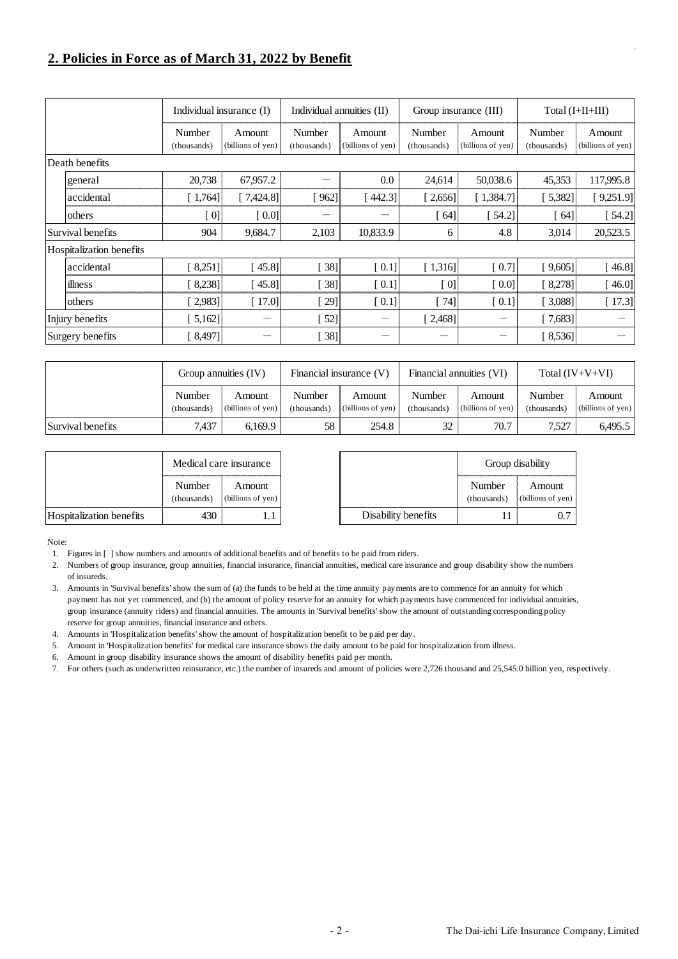# **2. Policies in Force as of March 31, 2022 by Benefit**

|                          | Individual insurance (I) |                             | Individual annuities (II) |                             | Group insurance (III) |                             | Total $(I+II+III)$    |                             |
|--------------------------|--------------------------|-----------------------------|---------------------------|-----------------------------|-----------------------|-----------------------------|-----------------------|-----------------------------|
|                          | Number<br>(thousands)    | Amount<br>(billions of yen) | Number<br>(thousands)     | Amount<br>(billions of yen) | Number<br>(thousands) | Amount<br>(billions of yen) | Number<br>(thousands) | Amount<br>(billions of yen) |
| Death benefits           |                          |                             |                           |                             |                       |                             |                       |                             |
| general                  | 20,738                   | 67,957.2                    |                           | 0.0                         | 24,614                | 50,038.6                    | 45,353                | 117,995.8                   |
| accidental               | [1,764]                  | [7,424.8]                   | [962]                     | $442.3$ ]                   | [2,656]               | [1,384.7]                   | [5,382]               | [9,251.9]                   |
| others                   | [0]                      | [0.0]                       |                           |                             | 64]                   | $54.2$ ]                    | 64]                   | $54.2$ ]                    |
| Survival benefits        | 904                      | 9,684.7                     | 2,103                     | 10,833.9                    | 6                     | 4.8                         | 3,014                 | 20,523.5                    |
| Hospitalization benefits |                          |                             |                           |                             |                       |                             |                       |                             |
| accidental               | 8,251]                   | 45.81                       | 38]                       | [0.1]                       | [1,316]               | [0.7]                       | [9,605]               | [46.8]                      |
| illness                  | 8,238]                   | 45.8]                       | 38]                       | [0.1]                       | [0]                   | [0.0]                       | [8,278]               | [46.0]                      |
| others                   | $[2,983]$                | [17.0]                      | $\left[29\right]$         | [0.1]                       | $[74]$                | [0.1]                       | [3,088]               | [17.3]                      |
| Injury benefits          | [5,162]                  | -                           | $[52]$                    |                             | [2,468]               |                             | [7,683]               |                             |
| Surgery benefits         | [8,497]                  |                             | $\left[38\right]$         |                             |                       |                             | [8, 536]              |                             |

|                   | Group annuities (IV)  |                             | Financial insurance $(V)$ |                                    | Financial annuities (VI) |                                    | Total $(IV+V+VI)$     |                             |
|-------------------|-----------------------|-----------------------------|---------------------------|------------------------------------|--------------------------|------------------------------------|-----------------------|-----------------------------|
|                   | Number<br>(thousands) | Amount<br>(billions of yen) | Number<br>(thousands)     | <b>Amount</b><br>(billions of yen) | Number<br>(thousands)    | <b>Amount</b><br>(billions of yen) | Number<br>(thousands) | Amount<br>(billions of yen) |
| Survival benefits | 437.                  | 6.169.9                     | 58                        | 254.8                              |                          | 70.7                               | 7.527                 | 6.495.5                     |

|                          | Medical care insurance |                             |                     |                       | Group disability            |
|--------------------------|------------------------|-----------------------------|---------------------|-----------------------|-----------------------------|
|                          | Number<br>(thousands)  | Amount<br>(billions of yen) |                     | Number<br>(thousands) | Amount<br>(billions of yen) |
| Hospitalization benefits | 430                    |                             | Disability benefits |                       | 0.7                         |

Note:

- 1. Figures in [ ] show numbers and amounts of additional benefits and of benefits to be paid from riders.
- 2. Numbers of group insurance, group annuities, financial insurance, financial annuities, medical care insurance and group disability show the numbers of insureds.
- 3. Amounts in 'Survival benefits' show the sum of (a) the funds to be held at the time annuity payments are to commence for an annuity for which payment has not yet commenced, and (b) the amount of policy reserve for an annuity for which payments have commenced for individual annuities, group insurance (annuity riders) and financial annuities. The amounts in 'Survival benefits' show the amount of outstanding corresponding policy reserve for group annuities, financial insurance and others.
- 4. Amounts in 'Hospitalization benefits' show the amount of hospitalization benefit to be paid per day.
- 5. Amount in 'Hospitalization benefits' for medical care insurance shows the daily amount to be paid for hospitalization from illness.
- 6. Amount in group disability insurance shows the amount of disability benefits paid per month.
- 7. For others (such as underwritten reinsurance, etc.) the number of insureds and amount of policies were 2,726 thousand and 25,545.0 billion yen, respectively.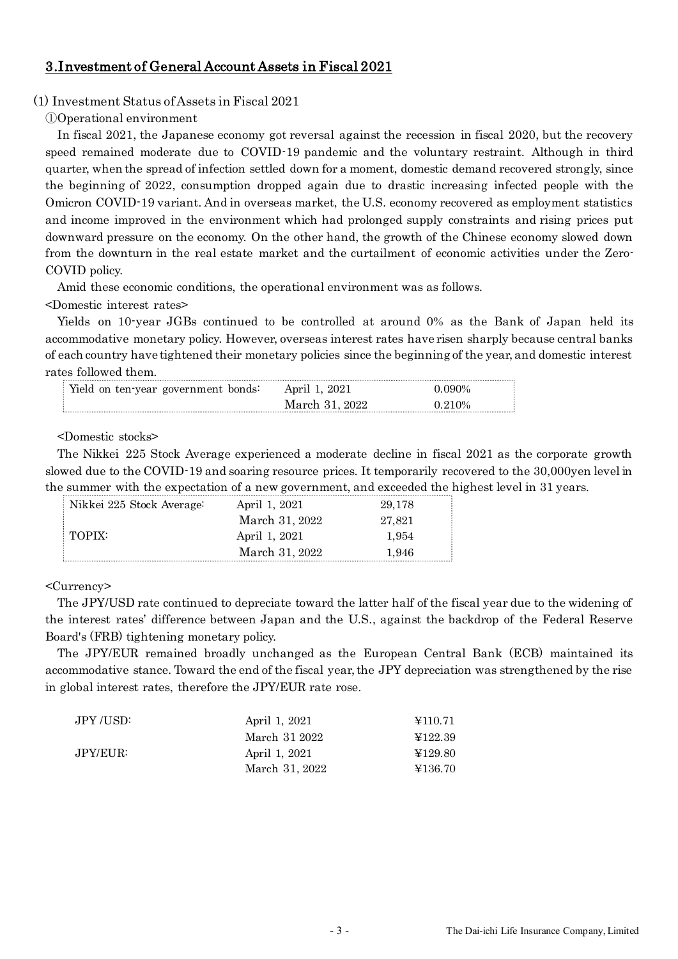# 3.Investment of General Account Assets in Fiscal 2021

# (1) Investment Status of Assets in Fiscal 2021

①Operational environment

In fiscal 2021, the Japanese economy got reversal against the recession in fiscal 2020, but the recovery speed remained moderate due to COVID-19 pandemic and the voluntary restraint. Although in third quarter, when the spread of infection settled down for a moment, domestic demand recovered strongly, since the beginning of 2022, consumption dropped again due to drastic increasing infected people with the Omicron COVID-19 variant. And in overseas market, the U.S. economy recovered as employment statistics and income improved in the environment which had prolonged supply constraints and rising prices put downward pressure on the economy. On the other hand, the growth of the Chinese economy slowed down from the downturn in the real estate market and the curtailment of economic activities under the Zero-COVID policy.

Amid these economic conditions, the operational environment was as follows.

<Domestic interest rates>

Yields on 10-year JGBs continued to be controlled at around 0% as the Bank of Japan held its accommodative monetary policy. However, overseas interest rates have risen sharply because central banks of each country have tightened their monetary policies since the beginning of the year, and domestic interest rates followed them.

| Yield on ten year government bonds: | April 1, 2021  | Ი Ი9Ი% |
|-------------------------------------|----------------|--------|
|                                     | March 31. 2022 | 0 210% |

<Domestic stocks>

The Nikkei 225 Stock Average experienced a moderate decline in fiscal 2021 as the corporate growth slowed due to the COVID-19 and soaring resource prices. It temporarily recovered to the 30,000yen level in the summer with the expectation of a new government, and exceeded the highest level in 31 years.

| Nikkei 225 Stock Average: | April 1, 2021  | 29.178 |
|---------------------------|----------------|--------|
|                           | March 31, 2022 | 27.821 |
| $\mid$ TOPIX:             | April 1, 2021  | 1.954  |
|                           | March 31, 2022 | 1.946  |

<Currency>

The JPY/USD rate continued to depreciate toward the latter half of the fiscal year due to the widening of the interest rates' difference between Japan and the U.S., against the backdrop of the Federal Reserve Board's (FRB) tightening monetary policy.

The JPY/EUR remained broadly unchanged as the European Central Bank (ECB) maintained its accommodative stance. Toward the end of the fiscal year, the JPY depreciation was strengthened by the rise in global interest rates, therefore the JPY/EUR rate rose.

| JPY /USD: | April 1, 2021  | ¥110.71 |
|-----------|----------------|---------|
|           | March 31 2022  | ¥122.39 |
| JPY/EUR:  | April 1, 2021  | ¥129.80 |
|           | March 31, 2022 | ¥136.70 |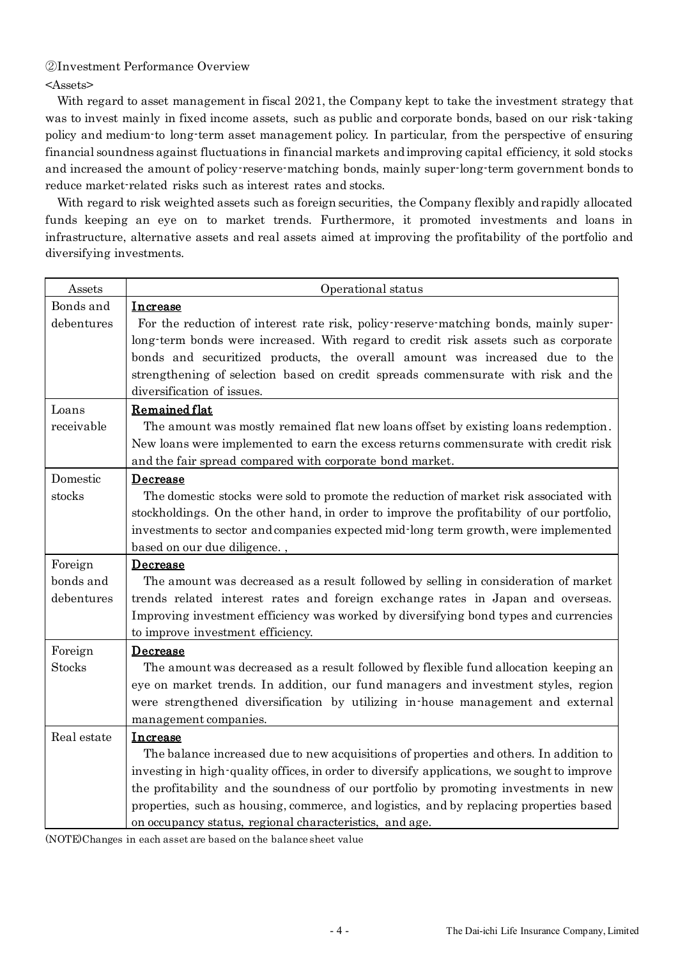# ②Investment Performance Overview

<Assets>

With regard to asset management in fiscal 2021, the Company kept to take the investment strategy that was to invest mainly in fixed income assets, such as public and corporate bonds, based on our risk-taking policy and medium-to long-term asset management policy. In particular, from the perspective of ensuring financial soundness against fluctuations in financial markets and improving capital efficiency, it sold stocks and increased the amount of policy-reserve-matching bonds, mainly super-long-term government bonds to reduce market-related risks such as interest rates and stocks.

With regard to risk weighted assets such as foreign securities, the Company flexibly and rapidly allocated funds keeping an eye on to market trends. Furthermore, it promoted investments and loans in infrastructure, alternative assets and real assets aimed at improving the profitability of the portfolio and diversifying investments.

| Assets        | Operational status                                                                          |
|---------------|---------------------------------------------------------------------------------------------|
| Bonds and     | Increase                                                                                    |
| debentures    | For the reduction of interest rate risk, policy reserve matching bonds, mainly super-       |
|               | long-term bonds were increased. With regard to credit risk assets such as corporate         |
|               | bonds and securitized products, the overall amount was increased due to the                 |
|               | strengthening of selection based on credit spreads commensurate with risk and the           |
|               | diversification of issues.                                                                  |
| Loans         | Remained flat                                                                               |
| receivable    | The amount was mostly remained flat new loans offset by existing loans redemption.          |
|               | New loans were implemented to earn the excess returns commensurate with credit risk         |
|               | and the fair spread compared with corporate bond market.                                    |
| Domestic      | Decrease                                                                                    |
| stocks        | The domestic stocks were sold to promote the reduction of market risk associated with       |
|               | stockholdings. On the other hand, in order to improve the profitability of our portfolio,   |
|               | investments to sector and companies expected mid-long term growth, were implemented         |
|               | based on our due diligence.,                                                                |
| Foreign       | Decrease                                                                                    |
| bonds and     | The amount was decreased as a result followed by selling in consideration of market         |
| debentures    | trends related interest rates and foreign exchange rates in Japan and overseas.             |
|               | Improving investment efficiency was worked by diversifying bond types and currencies        |
|               | to improve investment efficiency.                                                           |
| Foreign       | <b>Decrease</b>                                                                             |
| <b>Stocks</b> | The amount was decreased as a result followed by flexible fund allocation keeping an        |
|               | eye on market trends. In addition, our fund managers and investment styles, region          |
|               | were strengthened diversification by utilizing in house management and external             |
|               | management companies.                                                                       |
| Real estate   | Increase                                                                                    |
|               | The balance increased due to new acquisitions of properties and others. In addition to      |
|               | investing in high-quality offices, in order to diversify applications, we sought to improve |
|               | the profitability and the soundness of our portfolio by promoting investments in new        |
|               | properties, such as housing, commerce, and logistics, and by replacing properties based     |
|               | on occupancy status, regional characteristics, and age.                                     |

(NOTE)Changes in each asset are based on the balance sheet value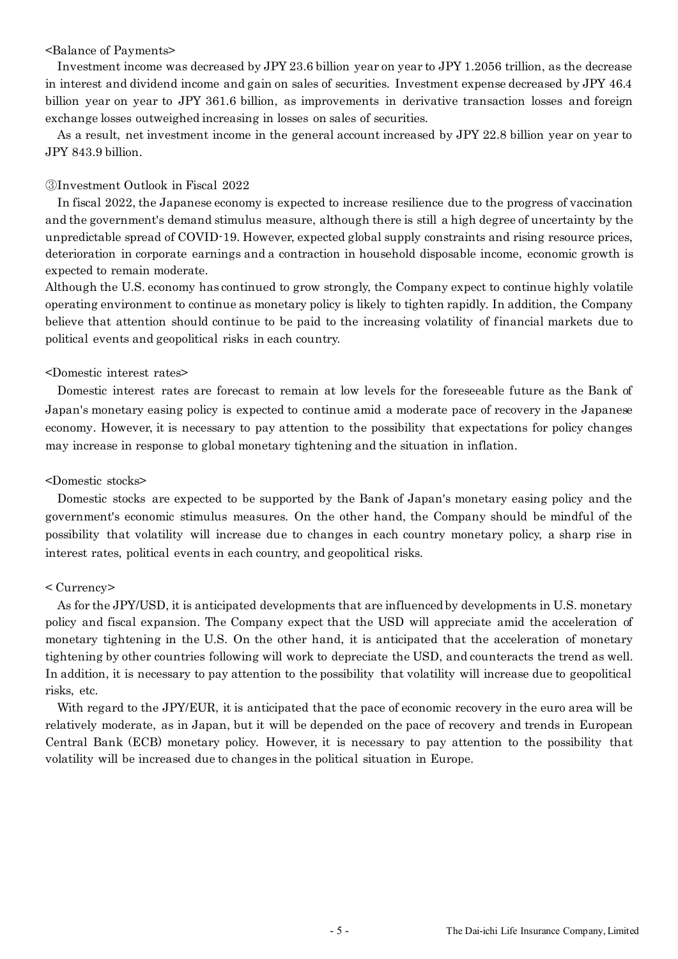### <Balance of Payments>

Investment income was decreased by JPY 23.6 billion year on year to JPY 1.2056 trillion, as the decrease in interest and dividend income and gain on sales of securities. Investment expense decreased by JPY 46.4 billion year on year to JPY 361.6 billion, as improvements in derivative transaction losses and foreign exchange losses outweighed increasing in losses on sales of securities.

As a result, net investment income in the general account increased by JPY 22.8 billion year on year to JPY 843.9 billion.

## ③Investment Outlook in Fiscal 2022

In fiscal 2022, the Japanese economy is expected to increase resilience due to the progress of vaccination and the government's demand stimulus measure, although there is still a high degree of uncertainty by the unpredictable spread of COVID-19. However, expected global supply constraints and rising resource prices, deterioration in corporate earnings and a contraction in household disposable income, economic growth is expected to remain moderate.

Although the U.S. economy has continued to grow strongly, the Company expect to continue highly volatile operating environment to continue as monetary policy is likely to tighten rapidly. In addition, the Company believe that attention should continue to be paid to the increasing volatility of financial markets due to political events and geopolitical risks in each country.

## <Domestic interest rates>

Domestic interest rates are forecast to remain at low levels for the foreseeable future as the Bank of Japan's monetary easing policy is expected to continue amid a moderate pace of recovery in the Japanese economy. However, it is necessary to pay attention to the possibility that expectations for policy changes may increase in response to global monetary tightening and the situation in inflation.

### <Domestic stocks>

Domestic stocks are expected to be supported by the Bank of Japan's monetary easing policy and the government's economic stimulus measures. On the other hand, the Company should be mindful of the possibility that volatility will increase due to changes in each country monetary policy, a sharp rise in interest rates, political events in each country, and geopolitical risks.

# < Currency>

As for the JPY/USD, it is anticipated developments that are influenced by developments in U.S. monetary policy and fiscal expansion. The Company expect that the USD will appreciate amid the acceleration of monetary tightening in the U.S. On the other hand, it is anticipated that the acceleration of monetary tightening by other countries following will work to depreciate the USD, and counteracts the trend as well. In addition, it is necessary to pay attention to the possibility that volatility will increase due to geopolitical risks, etc.

With regard to the JPY/EUR, it is anticipated that the pace of economic recovery in the euro area will be relatively moderate, as in Japan, but it will be depended on the pace of recovery and trends in European Central Bank (ECB) monetary policy. However, it is necessary to pay attention to the possibility that volatility will be increased due to changes in the political situation in Europe.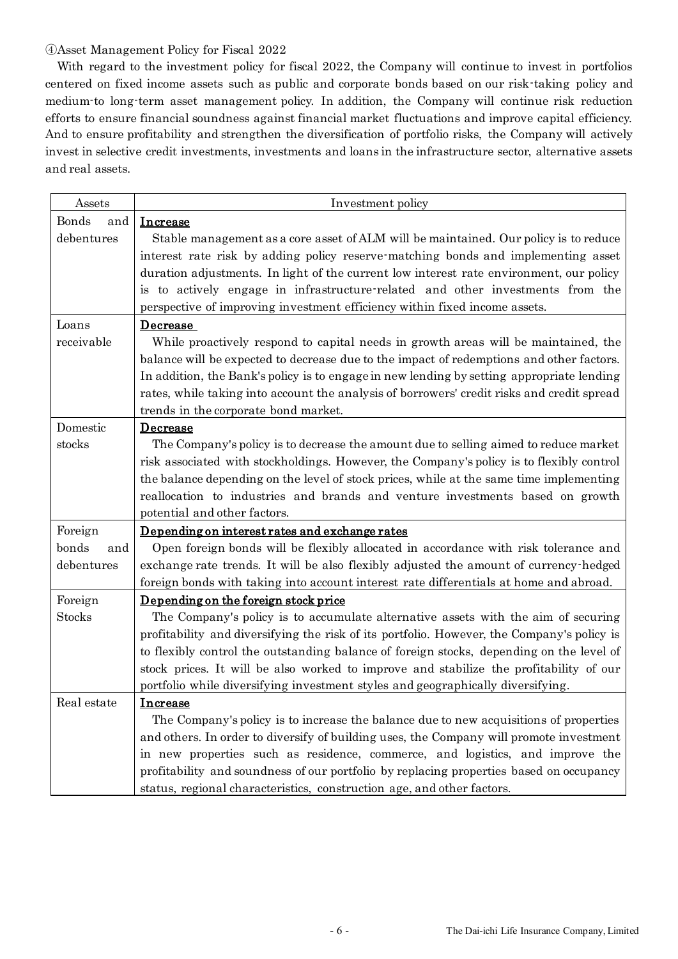# ④Asset Management Policy for Fiscal 2022

 With regard to the investment policy for fiscal 2022, the Company will continue to invest in portfolios centered on fixed income assets such as public and corporate bonds based on our risk-taking policy and medium-to long-term asset management policy. In addition, the Company will continue risk reduction efforts to ensure financial soundness against financial market fluctuations and improve capital efficiency. And to ensure profitability and strengthen the diversification of portfolio risks, the Company will actively invest in selective credit investments, investments and loans in the infrastructure sector, alternative assets and real assets.

| Assets                       | Investment policy                                                                                                                                                                                                                                                                                                                                                                                                                                                                                                                                                                                                                                                                                                                                                                                                                                                                                                     |
|------------------------------|-----------------------------------------------------------------------------------------------------------------------------------------------------------------------------------------------------------------------------------------------------------------------------------------------------------------------------------------------------------------------------------------------------------------------------------------------------------------------------------------------------------------------------------------------------------------------------------------------------------------------------------------------------------------------------------------------------------------------------------------------------------------------------------------------------------------------------------------------------------------------------------------------------------------------|
| Bonds<br>and                 | <b>Increase</b>                                                                                                                                                                                                                                                                                                                                                                                                                                                                                                                                                                                                                                                                                                                                                                                                                                                                                                       |
| debentures                   | Stable management as a core asset of ALM will be maintained. Our policy is to reduce                                                                                                                                                                                                                                                                                                                                                                                                                                                                                                                                                                                                                                                                                                                                                                                                                                  |
|                              | interest rate risk by adding policy reserve-matching bonds and implementing asset                                                                                                                                                                                                                                                                                                                                                                                                                                                                                                                                                                                                                                                                                                                                                                                                                                     |
|                              | duration adjustments. In light of the current low interest rate environment, our policy                                                                                                                                                                                                                                                                                                                                                                                                                                                                                                                                                                                                                                                                                                                                                                                                                               |
|                              | is to actively engage in infrastructure-related and other investments from the                                                                                                                                                                                                                                                                                                                                                                                                                                                                                                                                                                                                                                                                                                                                                                                                                                        |
|                              | perspective of improving investment efficiency within fixed income assets.                                                                                                                                                                                                                                                                                                                                                                                                                                                                                                                                                                                                                                                                                                                                                                                                                                            |
| Loans                        | <b>Decrease</b>                                                                                                                                                                                                                                                                                                                                                                                                                                                                                                                                                                                                                                                                                                                                                                                                                                                                                                       |
| receivable                   | While proactively respond to capital needs in growth areas will be maintained, the                                                                                                                                                                                                                                                                                                                                                                                                                                                                                                                                                                                                                                                                                                                                                                                                                                    |
|                              | balance will be expected to decrease due to the impact of redemptions and other factors.                                                                                                                                                                                                                                                                                                                                                                                                                                                                                                                                                                                                                                                                                                                                                                                                                              |
|                              | In addition, the Bank's policy is to engage in new lending by setting appropriate lending                                                                                                                                                                                                                                                                                                                                                                                                                                                                                                                                                                                                                                                                                                                                                                                                                             |
|                              | rates, while taking into account the analysis of borrowers' credit risks and credit spread                                                                                                                                                                                                                                                                                                                                                                                                                                                                                                                                                                                                                                                                                                                                                                                                                            |
|                              | trends in the corporate bond market.                                                                                                                                                                                                                                                                                                                                                                                                                                                                                                                                                                                                                                                                                                                                                                                                                                                                                  |
| Domestic                     | <b>Decrease</b>                                                                                                                                                                                                                                                                                                                                                                                                                                                                                                                                                                                                                                                                                                                                                                                                                                                                                                       |
| stocks                       | The Company's policy is to decrease the amount due to selling aimed to reduce market                                                                                                                                                                                                                                                                                                                                                                                                                                                                                                                                                                                                                                                                                                                                                                                                                                  |
|                              | risk associated with stockholdings. However, the Company's policy is to flexibly control                                                                                                                                                                                                                                                                                                                                                                                                                                                                                                                                                                                                                                                                                                                                                                                                                              |
|                              | the balance depending on the level of stock prices, while at the same time implementing                                                                                                                                                                                                                                                                                                                                                                                                                                                                                                                                                                                                                                                                                                                                                                                                                               |
|                              | reallocation to industries and brands and venture investments based on growth                                                                                                                                                                                                                                                                                                                                                                                                                                                                                                                                                                                                                                                                                                                                                                                                                                         |
|                              | potential and other factors.                                                                                                                                                                                                                                                                                                                                                                                                                                                                                                                                                                                                                                                                                                                                                                                                                                                                                          |
| Foreign                      | Depending on interest rates and exchange rates                                                                                                                                                                                                                                                                                                                                                                                                                                                                                                                                                                                                                                                                                                                                                                                                                                                                        |
| bonds<br>and                 | Open foreign bonds will be flexibly allocated in accordance with risk tolerance and                                                                                                                                                                                                                                                                                                                                                                                                                                                                                                                                                                                                                                                                                                                                                                                                                                   |
| debentures                   | exchange rate trends. It will be also flexibly adjusted the amount of currency hedged                                                                                                                                                                                                                                                                                                                                                                                                                                                                                                                                                                                                                                                                                                                                                                                                                                 |
|                              | foreign bonds with taking into account interest rate differentials at home and abroad.                                                                                                                                                                                                                                                                                                                                                                                                                                                                                                                                                                                                                                                                                                                                                                                                                                |
| Foreign                      | Depending on the foreign stock price                                                                                                                                                                                                                                                                                                                                                                                                                                                                                                                                                                                                                                                                                                                                                                                                                                                                                  |
|                              |                                                                                                                                                                                                                                                                                                                                                                                                                                                                                                                                                                                                                                                                                                                                                                                                                                                                                                                       |
|                              |                                                                                                                                                                                                                                                                                                                                                                                                                                                                                                                                                                                                                                                                                                                                                                                                                                                                                                                       |
|                              |                                                                                                                                                                                                                                                                                                                                                                                                                                                                                                                                                                                                                                                                                                                                                                                                                                                                                                                       |
|                              |                                                                                                                                                                                                                                                                                                                                                                                                                                                                                                                                                                                                                                                                                                                                                                                                                                                                                                                       |
|                              |                                                                                                                                                                                                                                                                                                                                                                                                                                                                                                                                                                                                                                                                                                                                                                                                                                                                                                                       |
|                              |                                                                                                                                                                                                                                                                                                                                                                                                                                                                                                                                                                                                                                                                                                                                                                                                                                                                                                                       |
|                              |                                                                                                                                                                                                                                                                                                                                                                                                                                                                                                                                                                                                                                                                                                                                                                                                                                                                                                                       |
|                              |                                                                                                                                                                                                                                                                                                                                                                                                                                                                                                                                                                                                                                                                                                                                                                                                                                                                                                                       |
|                              |                                                                                                                                                                                                                                                                                                                                                                                                                                                                                                                                                                                                                                                                                                                                                                                                                                                                                                                       |
|                              |                                                                                                                                                                                                                                                                                                                                                                                                                                                                                                                                                                                                                                                                                                                                                                                                                                                                                                                       |
| <b>Stocks</b><br>Real estate | The Company's policy is to accumulate alternative assets with the aim of securing<br>profitability and diversifying the risk of its portfolio. However, the Company's policy is<br>to flexibly control the outstanding balance of foreign stocks, depending on the level of<br>stock prices. It will be also worked to improve and stabilize the profitability of our<br>portfolio while diversifying investment styles and geographically diversifying.<br><b>Increase</b><br>The Company's policy is to increase the balance due to new acquisitions of properties<br>and others. In order to diversify of building uses, the Company will promote investment<br>in new properties such as residence, commerce, and logistics, and improve the<br>profitability and soundness of our portfolio by replacing properties based on occupancy<br>status, regional characteristics, construction age, and other factors. |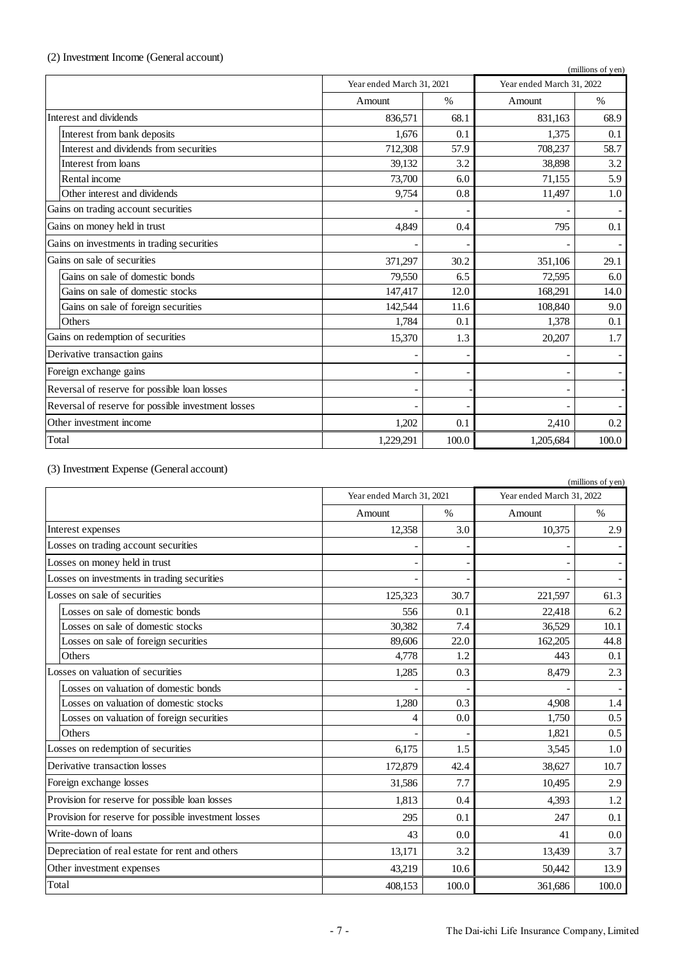# (2) Investment Income (General account)

|                                                    |                                                        |       |           | (millions of yen) |
|----------------------------------------------------|--------------------------------------------------------|-------|-----------|-------------------|
|                                                    | Year ended March 31, 2022<br>Year ended March 31, 2021 |       |           |                   |
|                                                    | Amount                                                 | $\%$  | Amount    | $\%$              |
| Interest and dividends                             | 836,571                                                | 68.1  | 831,163   | 68.9              |
| Interest from bank deposits                        | 1.676                                                  | 0.1   | 1.375     | 0.1               |
| Interest and dividends from securities             | 712,308                                                | 57.9  | 708,237   | 58.7              |
| Interest from loans                                | 39,132                                                 | 3.2   | 38,898    | 3.2               |
| Rental income                                      | 73,700                                                 | 6.0   | 71,155    | 5.9               |
| Other interest and dividends                       | 9,754                                                  | 0.8   | 11,497    | 1.0               |
| Gains on trading account securities                |                                                        |       |           |                   |
| Gains on money held in trust                       | 4.849                                                  | 0.4   | 795       | 0.1               |
| Gains on investments in trading securities         |                                                        |       |           |                   |
| Gains on sale of securities                        | 371,297                                                | 30.2  | 351,106   | 29.1              |
| Gains on sale of domestic bonds                    | 79.550                                                 | 6.5   | 72,595    | 6.0               |
| Gains on sale of domestic stocks                   | 147,417                                                | 12.0  | 168,291   | 14.0              |
| Gains on sale of foreign securities                | 142,544                                                | 11.6  | 108,840   | 9.0               |
| Others                                             | 1,784                                                  | 0.1   | 1,378     | 0.1               |
| Gains on redemption of securities                  | 15,370                                                 | 1.3   | 20,207    | 1.7               |
| Derivative transaction gains                       |                                                        |       |           |                   |
| Foreign exchange gains                             |                                                        |       |           |                   |
| Reversal of reserve for possible loan losses       |                                                        |       |           |                   |
| Reversal of reserve for possible investment losses |                                                        |       |           |                   |
| Other investment income                            | 1,202                                                  | 0.1   | 2,410     | 0.2               |
| Total                                              | 1,229,291                                              | 100.0 | 1,205,684 | 100.0             |

# (3) Investment Expense (General account)

|                                                      |         |                           |         | (millions of yen)         |
|------------------------------------------------------|---------|---------------------------|---------|---------------------------|
|                                                      |         | Year ended March 31, 2021 |         | Year ended March 31, 2022 |
|                                                      | Amount  | $\%$                      | Amount  | $\%$                      |
| Interest expenses                                    | 12,358  | 3.0                       | 10,375  | 2.9                       |
| Losses on trading account securities                 |         |                           |         |                           |
| Losses on money held in trust                        |         |                           |         |                           |
| Losses on investments in trading securities          |         |                           |         |                           |
| Losses on sale of securities                         | 125,323 | 30.7                      | 221,597 | 61.3                      |
| Losses on sale of domestic bonds                     | 556     | 0.1                       | 22,418  | 6.2                       |
| Losses on sale of domestic stocks                    | 30,382  | 7.4                       | 36,529  | 10.1                      |
| Losses on sale of foreign securities                 | 89,606  | 22.0                      | 162,205 | 44.8                      |
| Others                                               | 4,778   | 1.2                       | 443     | 0.1                       |
| Losses on valuation of securities                    | 1,285   | 0.3                       | 8.479   | 2.3                       |
| Losses on valuation of domestic bonds                |         |                           |         |                           |
| Losses on valuation of domestic stocks               | 1,280   | 0.3                       | 4.908   | 1.4                       |
| Losses on valuation of foreign securities            | 4       | 0.0                       | 1,750   | 0.5                       |
| Others                                               |         |                           | 1,821   | 0.5                       |
| Losses on redemption of securities                   | 6,175   | 1.5                       | 3,545   | 1.0                       |
| Derivative transaction losses                        | 172,879 | 42.4                      | 38,627  | 10.7                      |
| Foreign exchange losses                              | 31,586  | 7.7                       | 10,495  | 2.9                       |
| Provision for reserve for possible loan losses       | 1,813   | 0.4                       | 4,393   | 1.2                       |
| Provision for reserve for possible investment losses | 295     | 0.1                       | 247     | 0.1                       |
| Write-down of loans                                  | 43      | 0.0                       | 41      | 0.0                       |
| Depreciation of real estate for rent and others      | 13,171  | 3.2                       | 13,439  | 3.7                       |
| Other investment expenses                            | 43,219  | 10.6                      | 50,442  | 13.9                      |
| Total                                                | 408,153 | 100.0                     | 361,686 | 100.0                     |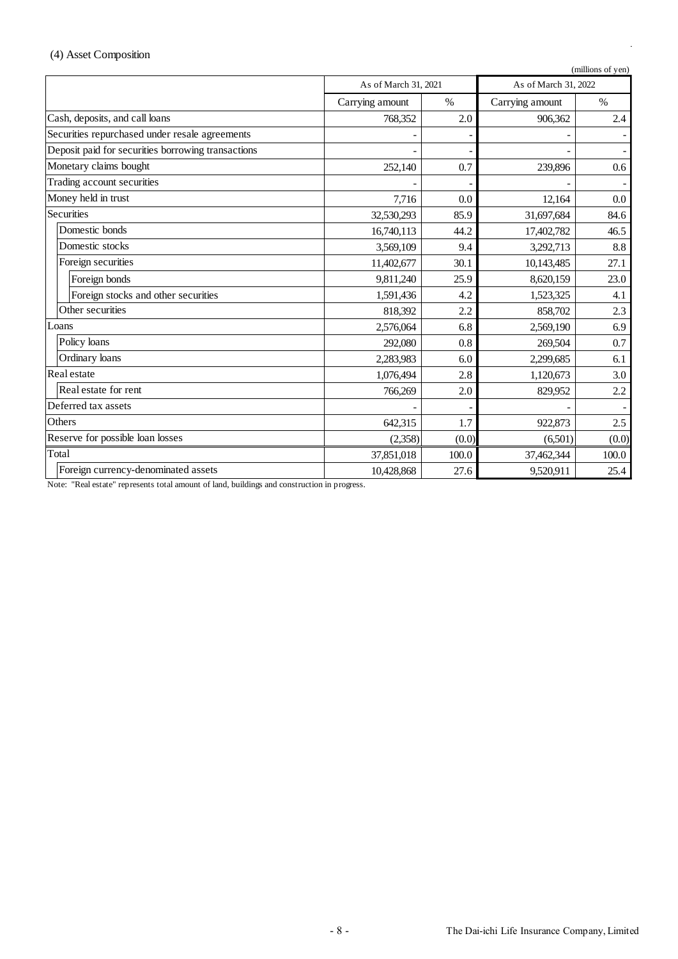# (4) Asset Composition

|                                                    |                                              |       |                 | (millions of yen) |
|----------------------------------------------------|----------------------------------------------|-------|-----------------|-------------------|
|                                                    | As of March 31, 2021<br>As of March 31, 2022 |       |                 |                   |
|                                                    | Carrying amount                              | $\%$  | Carrying amount | $\frac{0}{0}$     |
| Cash, deposits, and call loans                     | 768,352                                      | 2.0   | 906,362         | 2.4               |
| Securities repurchased under resale agreements     |                                              |       |                 |                   |
| Deposit paid for securities borrowing transactions |                                              |       |                 |                   |
| Monetary claims bought                             | 252,140                                      | 0.7   | 239,896         | 0.6               |
| Trading account securities                         |                                              |       |                 |                   |
| Money held in trust                                | 7,716                                        | 0.0   | 12,164          | 0.0               |
| Securities                                         | 32,530,293                                   | 85.9  | 31,697,684      | 84.6              |
| Domestic bonds                                     | 16,740,113                                   | 44.2  | 17,402,782      | 46.5              |
| Domestic stocks                                    | 3,569,109                                    | 9.4   | 3,292,713       | 8.8               |
| Foreign securities                                 | 11,402,677                                   | 30.1  | 10,143,485      | 27.1              |
| Foreign bonds                                      | 9,811,240                                    | 25.9  | 8,620,159       | 23.0              |
| Foreign stocks and other securities                | 1,591,436                                    | 4.2   | 1,523,325       | 4.1               |
| Other securities                                   | 818,392                                      | 2.2   | 858,702         | 2.3               |
| Loans                                              | 2,576,064                                    | 6.8   | 2,569,190       | 6.9               |
| Policy loans                                       | 292,080                                      | 0.8   | 269,504         | 0.7               |
| Ordinary loans                                     | 2,283,983                                    | 6.0   | 2,299,685       | 6.1               |
| Real estate                                        | 1,076,494                                    | 2.8   | 1,120,673       | 3.0               |
| Real estate for rent                               | 766,269                                      | 2.0   | 829,952         | 2.2               |
| Deferred tax assets                                |                                              |       |                 |                   |
| Others                                             | 642,315                                      | 1.7   | 922,873         | 2.5               |
| Reserve for possible loan losses                   | (0.0)<br>(2,358)                             |       | (6,501)         | (0.0)             |
| Total                                              | 37,851,018                                   | 100.0 | 37,462,344      | 100.0             |
| Foreign currency-denominated assets                | 10,428,868                                   | 27.6  | 9,520,911       | 25.4              |

Note: "Real estate" represents total amount of land, buildings and construction in progress.

l,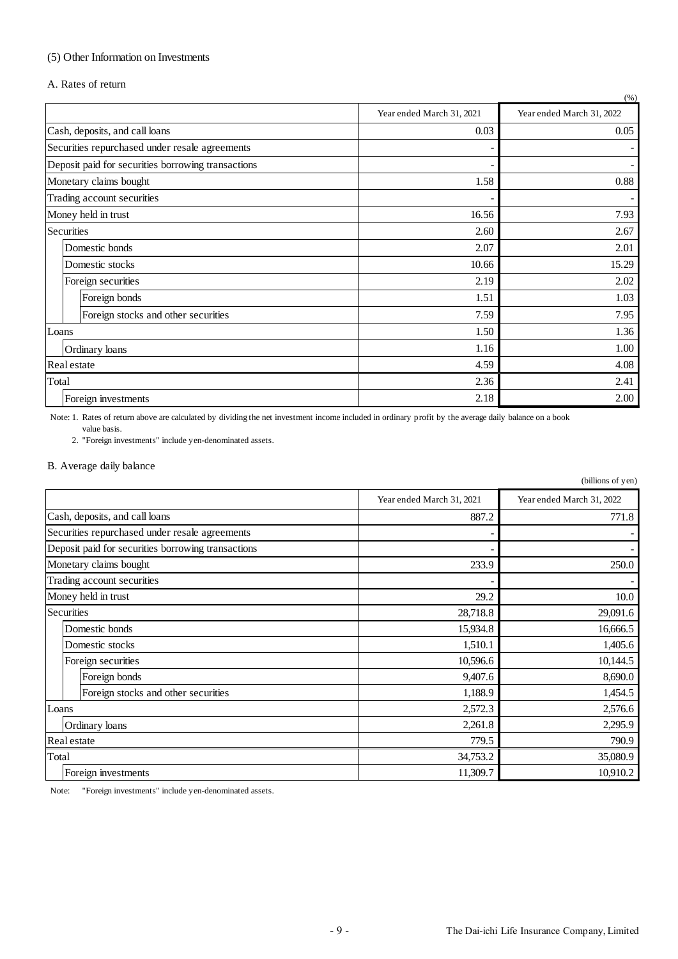# (5) Other Information on Investments

A. Rates of return

|                                                    |                           | (% )                      |
|----------------------------------------------------|---------------------------|---------------------------|
|                                                    | Year ended March 31, 2021 | Year ended March 31, 2022 |
| Cash, deposits, and call loans                     | 0.03                      | 0.05                      |
| Securities repurchased under resale agreements     |                           |                           |
| Deposit paid for securities borrowing transactions |                           |                           |
| Monetary claims bought                             | 1.58                      | 0.88                      |
| Trading account securities                         |                           |                           |
| Money held in trust                                | 16.56                     | 7.93                      |
| Securities                                         | 2.60                      | 2.67                      |
| Domestic bonds                                     | 2.07                      | 2.01                      |
| Domestic stocks                                    | 10.66                     | 15.29                     |
| Foreign securities                                 | 2.19                      | 2.02                      |
| Foreign bonds                                      | 1.51                      | 1.03                      |
| Foreign stocks and other securities                | 7.59                      | 7.95                      |
| Loans                                              | 1.50                      | 1.36                      |
| Ordinary loans                                     | 1.16                      | 1.00                      |
| Real estate                                        | 4.59                      | 4.08                      |
| Total                                              | 2.36                      | 2.41                      |
| Foreign investments                                | 2.18                      | 2.00                      |

value basis. Note: 1. Rates of return above are calculated by dividing the net investment income included in ordinary profit by the average daily balance on a book

2. "Foreign investments" include yen-denominated assets.

#### B. Average daily balance

|                                                    |                           | (billions of yen)         |
|----------------------------------------------------|---------------------------|---------------------------|
|                                                    | Year ended March 31, 2021 | Year ended March 31, 2022 |
| Cash, deposits, and call loans                     | 887.2                     | 771.8                     |
| Securities repurchased under resale agreements     |                           |                           |
| Deposit paid for securities borrowing transactions |                           |                           |
| Monetary claims bought                             | 233.9                     | 250.0                     |
| Trading account securities                         |                           |                           |
| Money held in trust                                | 29.2                      | 10.0                      |
| Securities                                         | 28,718.8                  | 29,091.6                  |
| Domestic bonds                                     | 15,934.8                  | 16,666.5                  |
| Domestic stocks                                    | 1,510.1                   | 1,405.6                   |
| Foreign securities                                 | 10,596.6                  | 10,144.5                  |
| Foreign bonds                                      | 9,407.6                   | 8,690.0                   |
| Foreign stocks and other securities                | 1,188.9                   | 1,454.5                   |
| Loans                                              | 2,572.3                   | 2,576.6                   |
| Ordinary loans                                     | 2,261.8                   | 2,295.9                   |
| Real estate                                        | 779.5                     | 790.9                     |
| Total                                              | 34,753.2                  | 35,080.9                  |
| Foreign investments                                | 11,309.7                  | 10,910.2                  |

Note: "Foreign investments" include yen-denominated assets.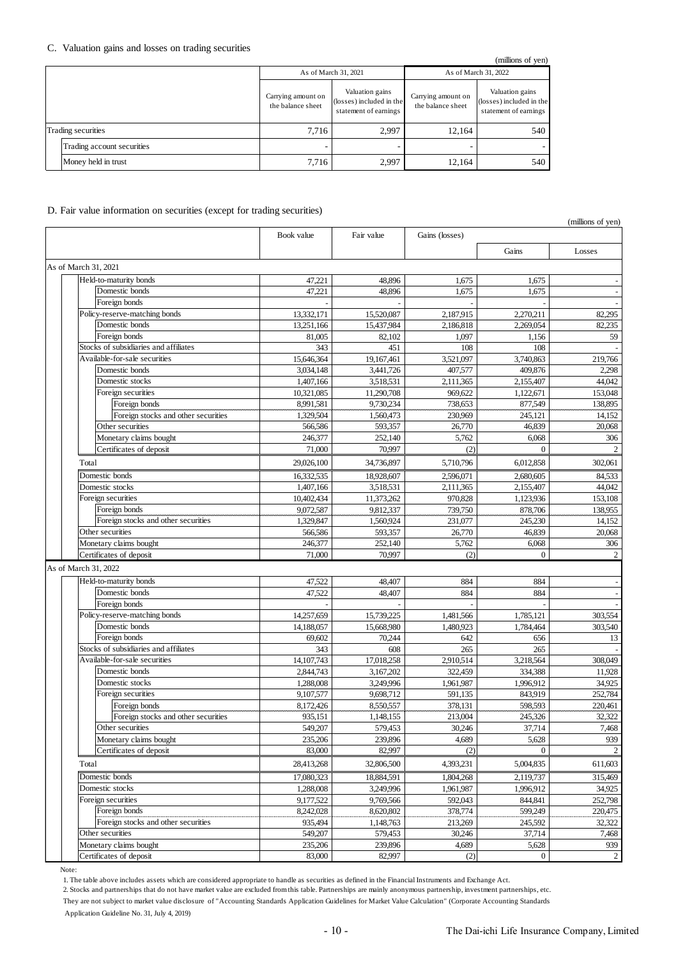#### C. Valuation gains and losses on trading securities

|  | $\mu$ <sub>1</sub> $\mu$ <sub>1</sub> $\mu$ <sub>1</sub> |                                         |                                                                      |                                         |                                                                      |  |
|--|----------------------------------------------------------|-----------------------------------------|----------------------------------------------------------------------|-----------------------------------------|----------------------------------------------------------------------|--|
|  |                                                          |                                         | As of March 31, 2021                                                 | As of March 31, 2022                    |                                                                      |  |
|  |                                                          | Carrying amount on<br>the balance sheet | Valuation gains<br>(losses) included in the<br>statement of earnings | Carrying amount on<br>the balance sheet | Valuation gains<br>(losses) included in the<br>statement of earnings |  |
|  | Trading securities                                       | 7.716                                   | 2.997                                                                | 12.164                                  | 540                                                                  |  |
|  | Trading account securities                               |                                         |                                                                      |                                         |                                                                      |  |
|  | Money held in trust                                      | 7.716                                   | 2.997                                                                | 12.164                                  | 540                                                                  |  |

#### D. Fair value information on securities (except for trading securities)

|                                       |            |            |                |                | $\mu$ and $\mu$ or $\mu$ $\mu$ |
|---------------------------------------|------------|------------|----------------|----------------|--------------------------------|
|                                       | Book value | Fair value | Gains (losses) |                |                                |
|                                       |            |            |                | Gains          | Losses                         |
| As of March 31, 2021                  |            |            |                |                |                                |
| Held-to-maturity bonds                | 47,221     | 48,896     | 1,675          | 1,675          |                                |
| Domestic bonds                        | 47,221     | 48,896     | 1,675          | 1,675          | $\overline{\phantom{a}}$       |
| Foreign bonds                         |            |            |                |                |                                |
| Policy-reserve-matching bonds         | 13,332,171 | 15,520,087 | 2,187,915      | 2,270,211      | 82,295                         |
| Domestic bonds                        | 13,251,166 | 15,437,984 | 2,186,818      | 2,269,054      | 82,235                         |
| Foreign bonds                         | 81,005     | 82,102     | 1,097          | 1,156          | 59                             |
| Stocks of subsidiaries and affiliates | 343        | 451        | 108            | 108            |                                |
| Available-for-sale securities         | 15,646,364 | 19,167,461 | 3,521,097      | 3,740,863      | 219,766                        |
| Domestic bonds                        | 3,034,148  | 3,441,726  | 407,577        | 409,876        | 2,298                          |
| Domestic stocks                       | 1,407,166  | 3,518,531  | 2,111,365      | 2,155,407      | 44,042                         |
| Foreign securities                    | 10,321,085 | 11,290,708 | 969,622        | 1,122,671      | 153,048                        |
| Foreign bonds                         | 8,991,581  | 9,730,234  | 738,653        | 877,549        | 138,895                        |
| Foreign stocks and other securities   | 1,329,504  | 1,560,473  | 230,969        | 245,121        | 14,152                         |
| Other securities                      | 566,586    | 593,357    | 26,770         | 46,839         | 20,068                         |
| Monetary claims bought                | 246,377    | 252,140    | 5,762          | 6,068          | 306                            |
| Certificates of deposit               | 71,000     | 70,997     | (2)            | $\Omega$       | 2                              |
| Total                                 | 29,026,100 | 34,736,897 | 5,710,796      | 6,012,858      | 302,061                        |
| Domestic bonds                        | 16,332,535 | 18,928,607 | 2,596,071      | 2,680,605      | 84,533                         |
| Domestic stocks                       | 1,407,166  | 3,518,531  | 2,111,365      | 2,155,407      | 44.042                         |
| Foreign securities                    | 10,402,434 | 11,373,262 | 970,828        | 1,123,936      | 153,108                        |
| Foreign bonds                         | 9,072,587  | 9,812,337  | 739,750        | 878,706        | 138,955                        |
| Foreign stocks and other securities   | 1,329,847  | 1,560,924  | 231,077        | 245,230        | 14,152                         |
| Other securities                      | 566,586    | 593,357    | 26,770         | 46,839         | 20,068                         |
| Monetary claims bought                | 246,377    | 252,140    | 5,762          | 6,068          | 306                            |
| Certificates of deposit               | 71,000     | 70,997     | (2)            | $\Omega$       | $\overline{c}$                 |
| As of March 31, 2022                  |            |            |                |                |                                |
| Held-to-maturity bonds                | 47,522     | 48,407     | 884            | 884            |                                |
| Domestic bonds                        | 47,522     | 48.407     | 884            | 884            |                                |
| Foreign bonds                         |            |            |                |                |                                |
| Policy-reserve-matching bonds         | 14,257,659 | 15,739,225 | 1,481,566      | 1,785,121      | 303,554                        |
| Domestic bonds                        | 14,188,057 | 15,668,980 | 1,480,923      | 1,784,464      | 303,540                        |
| Foreign bonds                         | 69,602     | 70,244     | 642            | 656            | 13                             |
| Stocks of subsidiaries and affiliates | 343        | 608        | 265            | 265            |                                |
| Available-for-sale securities         | 14,107,743 | 17,018,258 | 2,910,514      | 3,218,564      | 308,049                        |
| Domestic bonds                        | 2,844,743  | 3.167.202  | 322,459        | 334,388        | 11,928                         |
| Domestic stocks                       | 1,288,008  | 3,249,996  | 1,961,987      | 1,996,912      | 34,925                         |
| Foreign securities                    | 9,107,577  | 9,698,712  | 591,135        | 843,919        | 252,784                        |
| Foreign bonds                         | 8,172,426  | 8.550.557  | 378.131        | 598,593        | 220,461                        |
| Foreign stocks and other securities   | 935,151    | 1,148,155  | 213,004        | 245,326        | 32,322                         |
| Other securities                      | 549,207    | 579,453    | 30,246         | 37,714         | 7,468                          |
| Monetary claims bought                | 235,206    | 239,896    | 4,689          | 5,628          | 939                            |
| Certificates of deposit               | 83,000     | 82,997     | (2)            | $\Omega$       | $\sqrt{2}$                     |
| Total                                 | 28,413,268 | 32,806,500 | 4,393,231      | 5,004,835      | 611,603                        |
| Domestic bonds                        | 17,080,323 | 18,884,591 | 1,804,268      | 2,119,737      | 315,469                        |
| Domestic stocks                       | 1,288,008  | 3,249,996  | 1,961,987      | 1,996,912      | 34,925                         |
| Foreign securities                    | 9,177,522  | 9,769,566  | 592,043        | 844,841        | 252,798                        |
| Foreign bonds                         | 8,242,028  | 8,620,802  | 378,774        | 599,249        | 220,475                        |
| Foreign stocks and other securities   | 935,494    | 1,148,763  | 213,269        | 245,592        | 32,322                         |
| Other securities                      | 549,207    | 579,453    | 30,246         | 37,714         | 7,468                          |
| Monetary claims bought                | 235,206    | 239,896    | 4,689          | 5,628          | 939                            |
| Certificates of deposit               | 83,000     | 82,997     | (2)            | $\overline{0}$ | $\overline{c}$                 |

Note:

1. The table above includes assets which are considered appropriate to handle as securities as defined in the Financial Instruments and Exchange Act.

2. Stocks and partnerships that do not have market value are excluded from this table. Partnerships are mainly anonymous partnership, investment partnerships, etc. They are not subject to market value disclosure of "Accounting Standards Application Guidelines for Market Value Calculation" (Corporate Accounting Standards

Application Guideline No. 31, July 4, 2019)

(millions of yen)

(millions of yen)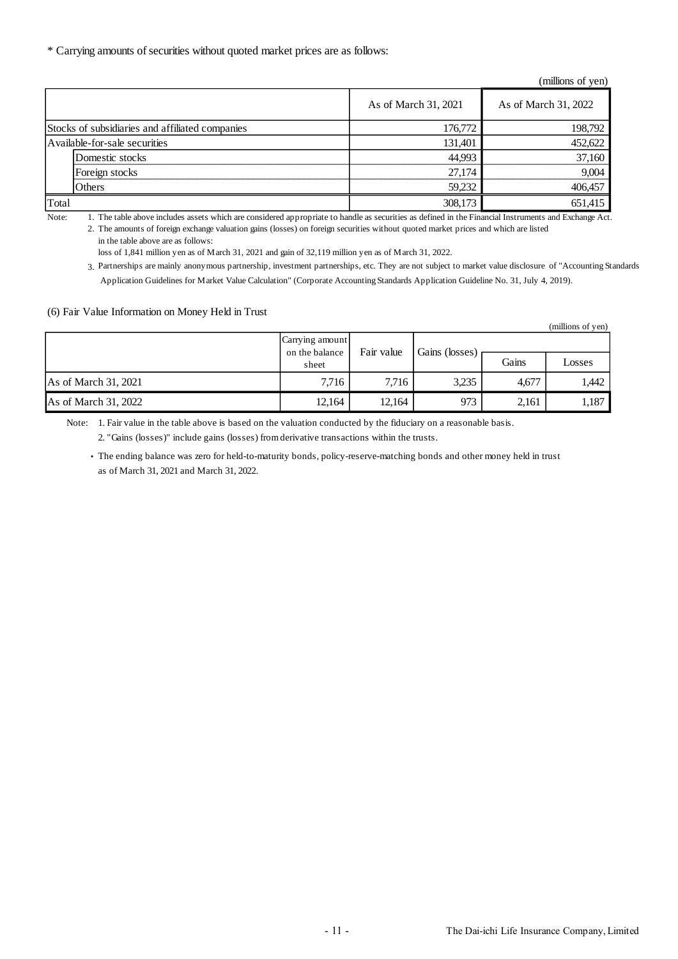\* Carrying amounts of securities without quoted market prices are as follows:

| (millions of yen)                               |                      |                      |  |
|-------------------------------------------------|----------------------|----------------------|--|
|                                                 | As of March 31, 2021 | As of March 31, 2022 |  |
| Stocks of subsidiaries and affiliated companies | 176,772              | 198,792              |  |
| Available-for-sale securities                   | 131,401              | 452,622              |  |
| Domestic stocks                                 | 44,993               | 37,160               |  |
| Foreign stocks                                  | 27,174               | 9.004                |  |
| Others                                          | 59,232               | 406,457              |  |
| Total                                           | 308,173              | 651,415              |  |

Note: 1. The table above includes assets which are considered appropriate to handle as securities as defined in the Financial Instruments and Exchange Act.

2. The amounts of foreign exchange valuation gains (losses) on foreign securities without quoted market prices and which are listed

in the table above are as follows:

loss of 1,841 million yen as of March 31, 2021 and gain of 32,119 million yen as of March 31, 2022.

3. Partnerships are mainly anonymous partnership, investment partnerships, etc. They are not subject to market value disclosure of "Accounting Standards Application Guidelines for Market Value Calculation" (Corporate Accounting Standards Application Guideline No. 31, July 4, 2019).

#### (6) Fair Value Information on Money Held in Trust

|                      |                                            |            |                |       | (millions of yen) |
|----------------------|--------------------------------------------|------------|----------------|-------|-------------------|
|                      | Carrying amount<br>on the balance<br>sheet | Fair value | Gains (losses) |       |                   |
|                      |                                            |            |                | Gains | Losses            |
| As of March 31, 2021 | 7.716                                      | 7.716      | 3.235          | 4.677 | 1,442             |
| As of March 31, 2022 | 12,164                                     | 12,164     | 973            | 2,161 | 1,187             |

Note: 1. Fair value in the table above is based on the valuation conducted by the fiduciary on a reasonable basis. 2. "Gains (losses)" include gains (losses) from derivative transactions within the trusts.

・ The ending balance was zero for held-to-maturity bonds, policy-reserve-matching bonds and other money held in trust

as of March 31, 2021 and March 31, 2022.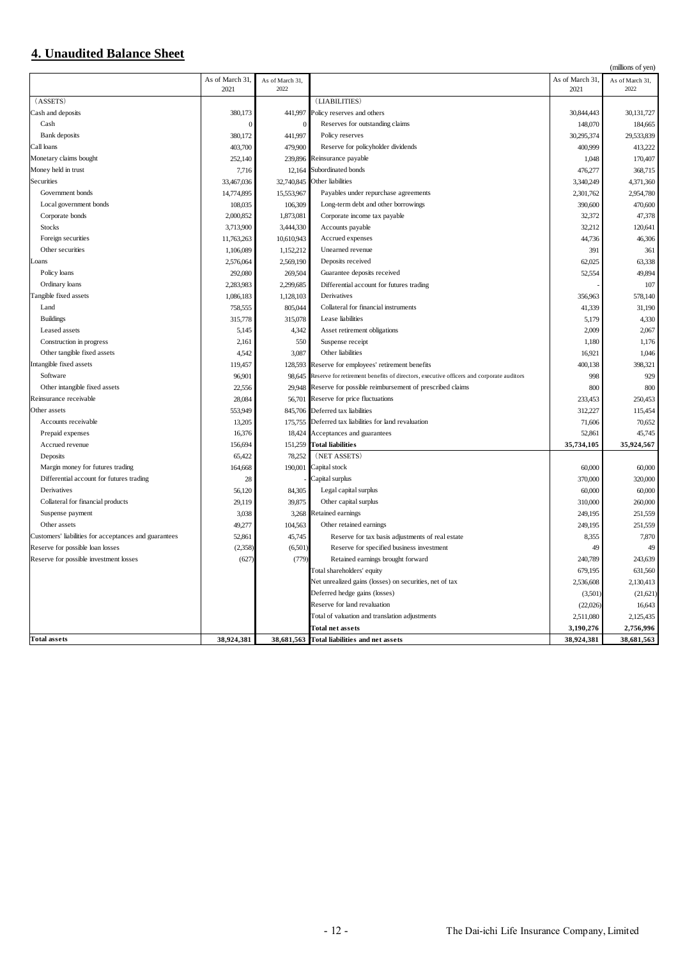# **4. Unaudited Balance Sheet**

|                                                       |                        |                         |                                                                                         |                         | (millions of yen)       |
|-------------------------------------------------------|------------------------|-------------------------|-----------------------------------------------------------------------------------------|-------------------------|-------------------------|
|                                                       | As of March 31<br>2021 | As of March 31,<br>2022 |                                                                                         | As of March 31.<br>2021 | As of March 31,<br>2022 |
| (ASSETS)                                              |                        |                         | (LIABILITIES)                                                                           |                         |                         |
| Cash and deposits                                     | 380,173                |                         | 441,997 Policy reserves and others                                                      | 30,844,443              | 30,131,727              |
| Cash                                                  | $\Omega$               |                         | Reserves for outstanding claims                                                         | 148,070                 | 184,665                 |
| <b>Bank</b> deposits                                  | 380,172                | 441,997                 | Policy reserves                                                                         | 30,295,374              | 29,533,839              |
| Call loans                                            | 403,700                | 479,900                 | Reserve for policyholder dividends                                                      | 400,999                 | 413,222                 |
| Monetary claims bought                                | 252,140                | 239,896                 | Reinsurance payable                                                                     | 1,048                   | 170,407                 |
| Money held in trust                                   | 7,716                  | 12,164                  | Subordinated bonds                                                                      | 476,277                 | 368,715                 |
| <b>Securities</b>                                     | 33,467,036             | 32,740,845              | Other liabilities                                                                       | 3,340,249               | 4,371,360               |
| Government bonds                                      | 14,774,895             | 15,553,967              | Payables under repurchase agreements                                                    | 2,301,762               | 2,954,780               |
|                                                       |                        |                         |                                                                                         |                         |                         |
| Local government bonds                                | 108,035                | 106,309                 | Long-term debt and other borrowings                                                     | 390,600                 | 470,600                 |
| Corporate bonds                                       | 2,000,852              | 1,873,081               | Corporate income tax payable                                                            | 32,372                  | 47,378                  |
| <b>Stocks</b>                                         | 3,713,900              | 3,444,330               | Accounts payable                                                                        | 32,212                  | 120,641                 |
| Foreign securities                                    | 11,763,263             | 10,610,943              | Accrued expenses                                                                        | 44,736                  | 46,306                  |
| Other securities                                      | 1,106,089              | 1,152,212               | Unearned revenue                                                                        | 391                     | 361                     |
| cans                                                  | 2,576,064              | 2,569,190               | Deposits received                                                                       | 62,025                  | 63,338                  |
| Policy loans                                          | 292,080                | 269,504                 | Guarantee deposits received                                                             | 52,554                  | 49,894                  |
| Ordinary loans                                        | 2,283,983              | 2,299,685               | Differential account for futures trading                                                |                         | 107                     |
| Tangible fixed assets                                 | 1,086,183              | 1,128,103               | Derivatives                                                                             | 356,963                 | 578,140                 |
| Land                                                  | 758,555                | 805,044                 | Collateral for financial instruments                                                    | 41,339                  | 31,190                  |
| <b>Buildings</b>                                      | 315,778                | 315,078                 | Lease liabilities                                                                       | 5,179                   | 4,330                   |
| Leased assets                                         | 5,145                  | 4,342                   | Asset retirement obligations                                                            | 2,009                   | 2,067                   |
| Construction in progress                              | 2,161                  | 550                     | Suspense receipt                                                                        | 1,180                   | 1,176                   |
| Other tangible fixed assets                           | 4,542                  | 3,087                   | Other liabilities                                                                       | 16,921                  | 1,046                   |
| Intangible fixed assets                               | 119,457                | 128,593                 | Reserve for employees' retirement benefits                                              | 400,138                 | 398,321                 |
| Software                                              | 96,901                 | 98.645                  | Reserve for retirement benefits of directors, executive officers and corporate auditors | 998                     | 929                     |
| Other intangible fixed assets                         | 22,556                 |                         | 29,948 Reserve for possible reimbursement of prescribed claims                          | 800                     | 800                     |
| Reinsurance receivable                                | 28,084                 | 56,701                  | Reserve for price fluctuations                                                          | 233,453                 | 250,453                 |
| Other assets                                          | 553,949                |                         | 845,706 Deferred tax liabilities                                                        | 312,227                 | 115,454                 |
| Accounts receivable                                   | 13,205                 | 175,755                 | Deferred tax liabilities for land revaluation                                           | 71,606                  | 70,652                  |
| Prepaid expenses                                      | 16,376                 | 18,424                  | Acceptances and guarantees                                                              | 52,861                  | 45,745                  |
| Accrued revenue                                       | 156,694                | 151,259                 | <b>Total liabilities</b>                                                                | 35,734,105              | 35,924,567              |
| Deposits                                              | 65,422                 | 78,252                  | (NET ASSETS)                                                                            |                         |                         |
| Margin money for futures trading                      | 164,668                |                         | 190,001 Capital stock                                                                   | 60,000                  | 60,000                  |
| Differential account for futures trading              | 28                     |                         | Capital surplus                                                                         | 370,000                 | 320,000                 |
| Derivatives                                           | 56,120                 | 84,305                  | Legal capital surplus                                                                   | 60,000                  | 60,000                  |
| Collateral for financial products                     | 29,119                 | 39,875                  | Other capital surplus                                                                   | 310,000                 | 260,000                 |
| Suspense payment                                      | 3,038                  | 3,268                   | Retained earnings                                                                       | 249,195                 | 251,559                 |
| Other assets                                          | 49,277                 | 104,563                 | Other retained earnings                                                                 | 249,195                 | 251,559                 |
| Customers' liabilities for acceptances and guarantees | 52,861                 | 45,745                  | Reserve for tax basis adjustments of real estate                                        | 8,355                   | 7,870                   |
| Reserve for possible loan losses                      | (2,358)                | (6,501)                 | Reserve for specified business investment                                               | 49                      | 49                      |
| Reserve for possible investment losses                | (627)                  | (779)                   | Retained earnings brought forward                                                       | 240,789                 | 243,639                 |
|                                                       |                        |                         | Total shareholders' equity                                                              | 679,195                 | 631,560                 |
|                                                       |                        |                         | Net unrealized gains (losses) on securities, net of tax                                 | 2,536,608               | 2,130,413               |
|                                                       |                        |                         | Deferred hedge gains (losses)                                                           | (3,501)                 | (21,621)                |
|                                                       |                        |                         | Reserve for land revaluation                                                            | (22,026)                | 16,643                  |
|                                                       |                        |                         | Total of valuation and translation adjustments                                          | 2,511,080               | 2,125,435               |
|                                                       |                        |                         |                                                                                         |                         |                         |
| <b>Total assets</b>                                   |                        |                         | <b>Total net assets</b>                                                                 | 3,190,276               | 2,756,996               |
|                                                       | 38,924,381             | 38,681,563              | <b>Total liabilities and net assets</b>                                                 | 38,924,381              | 38,681,563              |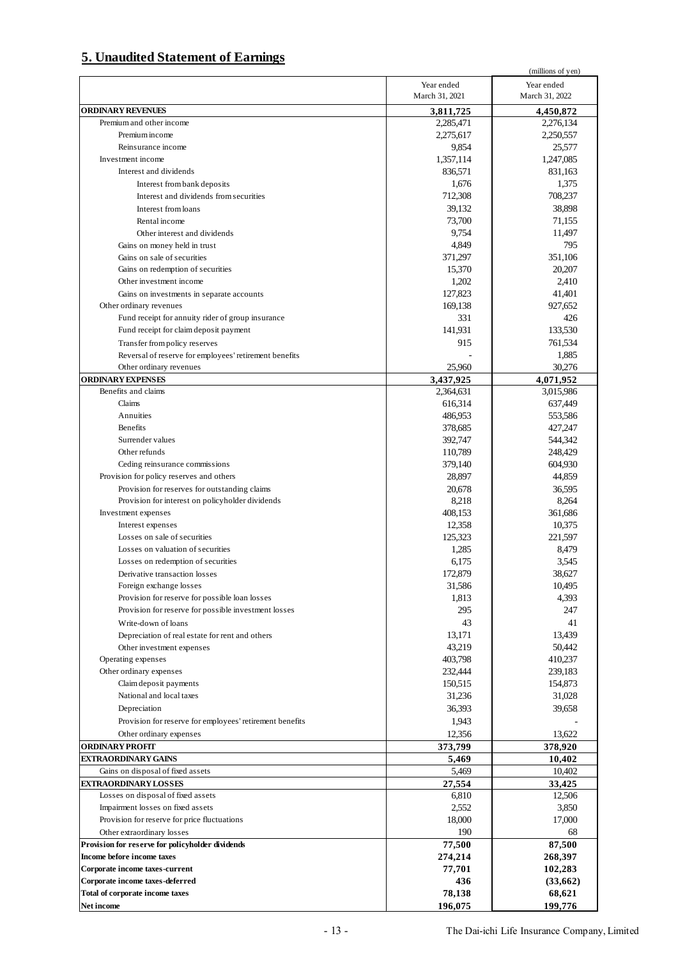# **5. Unaudited Statement of Earnings**

|                                                          |                | (millions of yen) |
|----------------------------------------------------------|----------------|-------------------|
|                                                          | Year ended     | Year ended        |
|                                                          | March 31, 2021 | March 31, 2022    |
|                                                          |                |                   |
| <b>ORDINARY REVENUES</b>                                 | 3,811,725      | 4,450,872         |
| Premium and other income                                 | 2,285,471      | 2,276,134         |
| Premium income                                           | 2,275,617      | 2,250,557         |
| Reinsurance income                                       | 9,854          | 25,577            |
| Investment income                                        | 1,357,114      | 1,247,085         |
|                                                          |                |                   |
| Interest and dividends                                   | 836,571        | 831,163           |
| Interest from bank deposits                              | 1,676          | 1,375             |
| Interest and dividends from securities                   | 712,308        | 708,237           |
| Interest from loans                                      | 39,132         | 38,898            |
| Rental income                                            | 73,700         | 71,155            |
|                                                          | 9,754          | 11,497            |
| Other interest and dividends                             |                |                   |
| Gains on money held in trust                             | 4,849          | 795               |
| Gains on sale of securities                              | 371,297        | 351,106           |
| Gains on redemption of securities                        | 15,370         | 20,207            |
| Other investment income                                  | 1,202          | 2,410             |
| Gains on investments in separate accounts                | 127,823        | 41,401            |
|                                                          |                |                   |
| Other ordinary revenues                                  | 169,138        | 927,652           |
| Fund receipt for annuity rider of group insurance        | 331            | 426               |
| Fund receipt for claim deposit payment                   | 141,931        | 133,530           |
| Transfer from policy reserves                            | 915            | 761,534           |
| Reversal of reserve for employees' retirement benefits   |                | 1,885             |
|                                                          | 25,960         | 30,276            |
| Other ordinary revenues                                  |                |                   |
| <b>ORDINARY EXPENSES</b>                                 | 3,437,925      | 4,071,952         |
| Benefits and claims                                      | 2,364,631      | 3,015,986         |
| Claims                                                   | 616,314        | 637,449           |
| Annuities                                                | 486,953        | 553,586           |
| Benefits                                                 | 378,685        | 427,247           |
|                                                          |                |                   |
| Surrender values                                         | 392,747        | 544,342           |
| Other refunds                                            | 110,789        | 248,429           |
| Ceding reinsurance commissions                           | 379,140        | 604,930           |
| Provision for policy reserves and others                 | 28,897         | 44,859            |
| Provision for reserves for outstanding claims            | 20,678         | 36,595            |
|                                                          |                |                   |
| Provision for interest on policyholder dividends         | 8,218          | 8,264             |
| Investment expenses                                      | 408,153        | 361,686           |
| Interest expenses                                        | 12,358         | 10,375            |
| Losses on sale of securities                             | 125,323        | 221,597           |
| Losses on valuation of securities                        | 1,285          | 8,479             |
| Losses on redemption of securities                       | 6,175          | 3,545             |
|                                                          |                |                   |
| Derivative transaction losses                            | 172,879        | 38,627            |
| Foreign exchange losses                                  | 31,586         | 10,495            |
| Provision for reserve for possible loan losses           | 1,813          | 4,393             |
| Provision for reserve for possible investment losses     | 295            | 247               |
| Write-down of loans                                      | 43             | 41                |
|                                                          |                |                   |
| Depreciation of real estate for rent and others          | 13,171         | 13,439            |
| Other investment expenses                                | 43,219         | 50,442            |
| Operating expenses                                       | 403,798        | 410,237           |
| Other ordinary expenses                                  | 232,444        | 239,183           |
| Claim deposit payments                                   | 150,515        | 154,873           |
| National and local taxes                                 | 31,236         | 31,028            |
|                                                          |                |                   |
| Depreciation                                             | 36,393         | 39,658            |
| Provision for reserve for employees' retirement benefits | 1,943          |                   |
| Other ordinary expenses                                  | 12,356         | 13,622            |
| <b>ORDINARY PROFIT</b>                                   | 373,799        | 378,920           |
| <b>EXTRAORDINARY GAINS</b>                               |                |                   |
|                                                          | 5,469          | 10,402            |
| Gains on disposal of fixed assets                        | 5,469          | 10,402            |
| <b>EXTRAORDINARY LOSSES</b>                              | 27,554         | 33,425            |
| Losses on disposal of fixed assets                       | 6,810          | 12,506            |
| Impairment losses on fixed assets                        | 2,552          | 3,850             |
| Provision for reserve for price fluctuations             | 18,000         | 17,000            |
|                                                          |                |                   |
| Other extraordinary losses                               | 190            | 68                |
| Provision for reserve for policyholder dividends         | 77,500         | 87,500            |
| Income before income taxes                               | 274,214        | 268,397           |
| Corporate income taxes-current                           | 77,701         | 102,283           |
| Corporate income taxes-deferred                          | 436            | (33,662)          |
|                                                          |                |                   |
| Total of corporate income taxes                          | 78,138         | 68,621            |
| Net income                                               | 196,075        | 199,776           |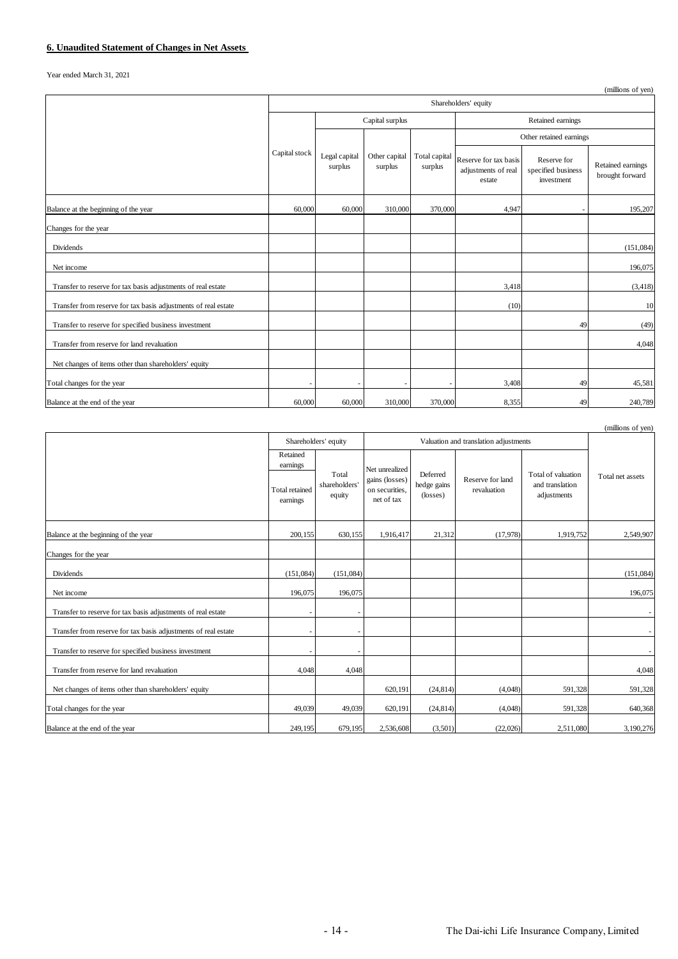Year ended March 31, 2021

|                                                                |                      |                          |                          |                          |                                                        |                                                 | (millions of yen)                    |
|----------------------------------------------------------------|----------------------|--------------------------|--------------------------|--------------------------|--------------------------------------------------------|-------------------------------------------------|--------------------------------------|
|                                                                | Shareholders' equity |                          |                          |                          |                                                        |                                                 |                                      |
|                                                                |                      |                          | Capital surplus          |                          | Retained earnings                                      |                                                 |                                      |
|                                                                | Capital stock        |                          | Other capital<br>surplus | Total capital<br>surplus |                                                        | Other retained earnings                         |                                      |
|                                                                |                      | Legal capital<br>surplus |                          |                          | Reserve for tax basis<br>adjustments of real<br>estate | Reserve for<br>specified business<br>investment | Retained earnings<br>brought forward |
| Balance at the beginning of the year                           | 60,000               | 60,000                   | 310,000                  | 370,000                  | 4,947                                                  |                                                 | 195,207                              |
| Changes for the year                                           |                      |                          |                          |                          |                                                        |                                                 |                                      |
| Dividends                                                      |                      |                          |                          |                          |                                                        |                                                 | (151,084)                            |
| Net income                                                     |                      |                          |                          |                          |                                                        |                                                 | 196,075                              |
| Transfer to reserve for tax basis adjustments of real estate   |                      |                          |                          |                          | 3,418                                                  |                                                 | (3, 418)                             |
| Transfer from reserve for tax basis adjustments of real estate |                      |                          |                          |                          | (10)                                                   |                                                 | 10                                   |
| Transfer to reserve for specified business investment          |                      |                          |                          |                          |                                                        | 49                                              | (49)                                 |
| Transfer from reserve for land revaluation                     |                      |                          |                          |                          |                                                        |                                                 | 4,048                                |
| Net changes of items other than shareholders' equity           |                      |                          |                          |                          |                                                        |                                                 |                                      |
| Total changes for the year                                     |                      |                          |                          |                          | 3,408                                                  | 49                                              | 45,581                               |
| Balance at the end of the year                                 | 60,000               | 60,000                   | 310,000                  | 370,000                  | 8,355                                                  | 49                                              | 240,789                              |

|                                                                |                                   |                                                               |                                  |                         |                  |                                       | (millions of yen) |
|----------------------------------------------------------------|-----------------------------------|---------------------------------------------------------------|----------------------------------|-------------------------|------------------|---------------------------------------|-------------------|
|                                                                |                                   | Shareholders' equity<br>Valuation and translation adjustments |                                  |                         |                  |                                       |                   |
|                                                                | Retained<br>earnings              | Total<br>shareholders                                         | Net unrealized<br>gains (losses) | Deferred<br>hedge gains | Reserve for land | Total of valuation<br>and translation | Total net assets  |
|                                                                | <b>Total retained</b><br>earnings | equity                                                        | on securities.<br>net of tax     | (losses)                | revaluation      | adjustments                           |                   |
| Balance at the beginning of the year                           | 200,155                           | 630,155                                                       | 1,916,417                        | 21,312                  | (17,978)         | 1,919,752                             | 2,549,907         |
| Changes for the year                                           |                                   |                                                               |                                  |                         |                  |                                       |                   |
| <b>Dividends</b>                                               | (151,084)                         | (151,084)                                                     |                                  |                         |                  |                                       | (151,084)         |
| Net income                                                     | 196,075                           | 196,075                                                       |                                  |                         |                  |                                       | 196,075           |
| Transfer to reserve for tax basis adjustments of real estate   | ٠                                 | $\sim$                                                        |                                  |                         |                  |                                       |                   |
| Transfer from reserve for tax basis adjustments of real estate | $\overline{\phantom{a}}$          | $\overline{\phantom{a}}$                                      |                                  |                         |                  |                                       |                   |
| Transfer to reserve for specified business investment          | $\overline{\phantom{a}}$          | ٠                                                             |                                  |                         |                  |                                       |                   |
| Transfer from reserve for land revaluation                     | 4,048                             | 4,048                                                         |                                  |                         |                  |                                       | 4,048             |
| Net changes of items other than shareholders' equity           |                                   |                                                               | 620,191                          | (24, 814)               | (4,048)          | 591,328                               | 591,328           |
| Total changes for the year                                     | 49,039                            | 49,039                                                        | 620,191                          | (24, 814)               | (4,048)          | 591,328                               | 640,368           |
| Balance at the end of the year                                 | 249,195                           | 679,195                                                       | 2,536,608                        | (3,501)                 | (22,026)         | 2,511,080                             | 3,190,276         |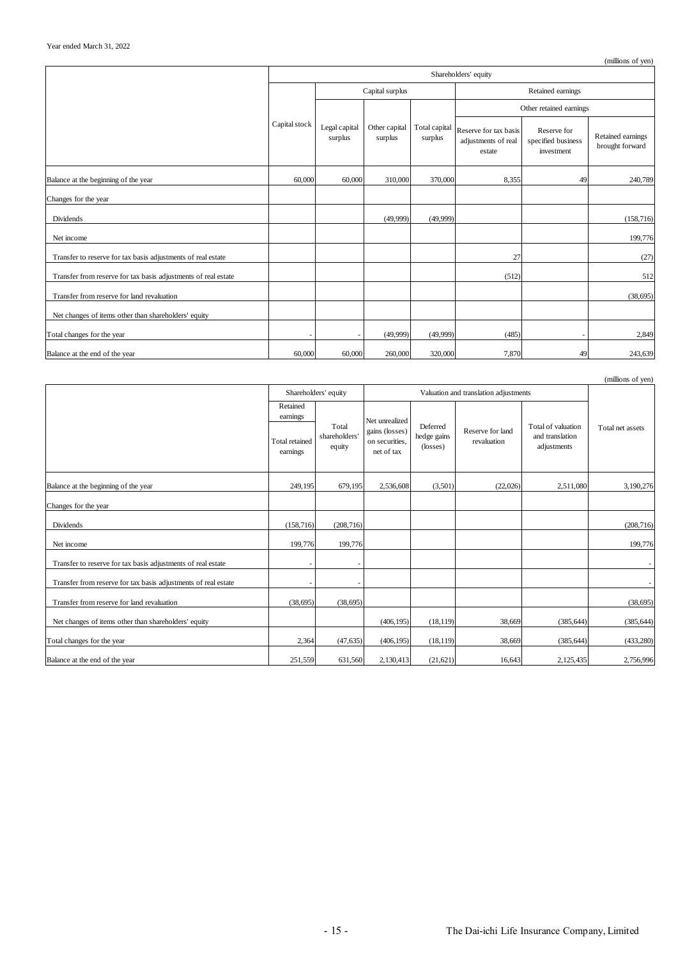|                                                                |                      |                          |                          |                          |                                                        |                                                 | (millions of yen)                    |  |
|----------------------------------------------------------------|----------------------|--------------------------|--------------------------|--------------------------|--------------------------------------------------------|-------------------------------------------------|--------------------------------------|--|
|                                                                | Shareholders' equity |                          |                          |                          |                                                        |                                                 |                                      |  |
|                                                                |                      | Capital surplus          |                          |                          |                                                        | Retained earnings                               |                                      |  |
|                                                                | Capital stock        | Legal capital<br>surplus | Other capital<br>surplus | Total capital<br>surplus |                                                        | Other retained earnings                         |                                      |  |
|                                                                |                      |                          |                          |                          | Reserve for tax basis<br>adjustments of real<br>estate | Reserve for<br>specified business<br>investment | Retained earnings<br>brought forward |  |
| Balance at the beginning of the year                           | 60,000               | 60,000                   | 310,000                  | 370,000                  | 8,355                                                  | 49                                              | 240,789                              |  |
| Changes for the year                                           |                      |                          |                          |                          |                                                        |                                                 |                                      |  |
| <b>Dividends</b>                                               |                      |                          | (49,999)                 | (49,999)                 |                                                        |                                                 | (158, 716)                           |  |
| Net income                                                     |                      |                          |                          |                          |                                                        |                                                 | 199,776                              |  |
| Transfer to reserve for tax basis adjustments of real estate   |                      |                          |                          |                          | 27                                                     |                                                 | (27)                                 |  |
| Transfer from reserve for tax basis adjustments of real estate |                      |                          |                          |                          | (512)                                                  |                                                 | 512                                  |  |
| Transfer from reserve for land revaluation                     |                      |                          |                          |                          |                                                        |                                                 | (38, 695)                            |  |
| Net changes of items other than shareholders' equity           |                      |                          |                          |                          |                                                        |                                                 |                                      |  |
| Total changes for the year                                     |                      |                          | (49,999)                 | (49,999)                 | (485)                                                  |                                                 | 2,849                                |  |
| Balance at the end of the year                                 | 60,000               | 60,000                   | 260,000                  | 320,000                  | 7,870                                                  | 49                                              | 243,639                              |  |

|                                                                |                                   |                                  |                                                |                                     |                                 |                                                      | (millions of yen) |
|----------------------------------------------------------------|-----------------------------------|----------------------------------|------------------------------------------------|-------------------------------------|---------------------------------|------------------------------------------------------|-------------------|
|                                                                |                                   | Shareholders' equity             | Valuation and translation adjustments          |                                     |                                 |                                                      |                   |
|                                                                | Retained<br>earnings              |                                  | Net unrealized                                 |                                     |                                 |                                                      |                   |
|                                                                | <b>Total</b> retained<br>earnings | Total<br>shareholders'<br>equity | gains (losses)<br>on securities,<br>net of tax | Deferred<br>hedge gains<br>(losses) | Reserve for land<br>revaluation | Total of valuation<br>and translation<br>adjustments | Total net assets  |
| Balance at the beginning of the year                           | 249,195                           | 679,195                          | 2,536,608                                      | (3,501)                             | (22,026)                        | 2,511,080                                            | 3,190,276         |
| Changes for the year                                           |                                   |                                  |                                                |                                     |                                 |                                                      |                   |
| Dividends                                                      | (158, 716)                        | (208, 716)                       |                                                |                                     |                                 |                                                      | (208, 716)        |
| Net income                                                     | 199,776                           | 199,776                          |                                                |                                     |                                 |                                                      | 199,776           |
| Transfer to reserve for tax basis adjustments of real estate   | $\overline{\phantom{a}}$          | ٠                                |                                                |                                     |                                 |                                                      |                   |
| Transfer from reserve for tax basis adjustments of real estate | ٠                                 |                                  |                                                |                                     |                                 |                                                      |                   |
| Transfer from reserve for land revaluation                     | (38, 695)                         | (38, 695)                        |                                                |                                     |                                 |                                                      | (38, 695)         |
| Net changes of items other than shareholders' equity           |                                   |                                  | (406, 195)                                     | (18, 119)                           | 38,669                          | (385, 644)                                           | (385, 644)        |
| Total changes for the year                                     | 2,364                             | (47, 635)                        | (406, 195)                                     | (18, 119)                           | 38,669                          | (385, 644)                                           | (433, 280)        |
| Balance at the end of the year                                 | 251,559                           | 631,560                          | 2,130,413                                      | (21,621)                            | 16,643                          | 2,125,435                                            | 2,756,996         |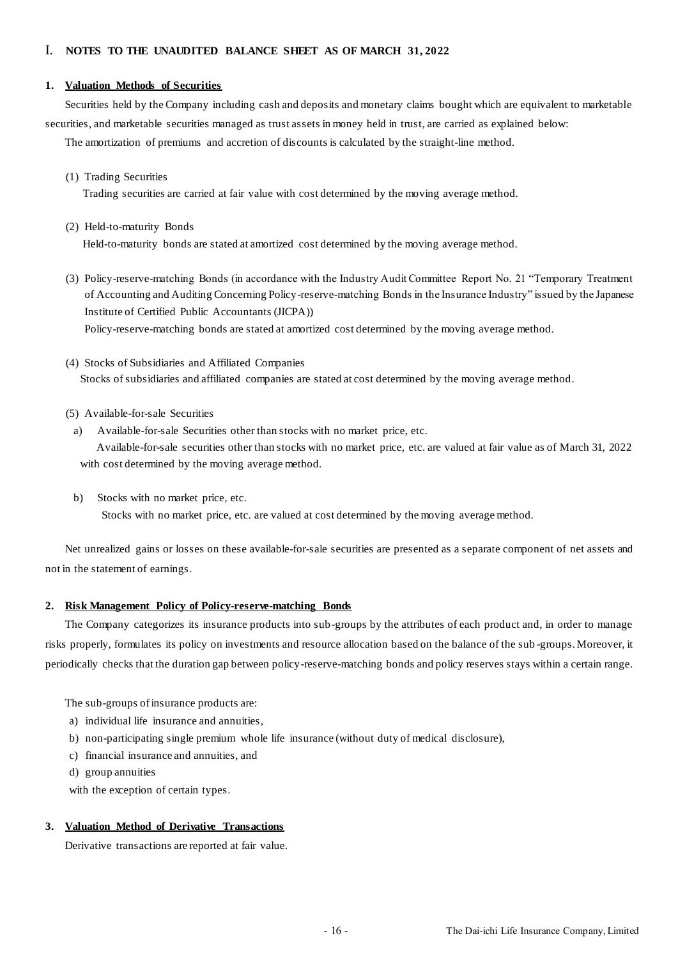## I. **NOTES TO THE UNAUDITED BALANCE SHEET AS OF MARCH 31, 2022**

#### **1. Valuation Methods of Securities**

Securities held by the Company including cash and deposits and monetary claims bought which are equivalent to marketable securities, and marketable securities managed as trust assets in money held in trust, are carried as explained below:

The amortization of premiums and accretion of discounts is calculated by the straight-line method.

(1) Trading Securities

Trading securities are carried at fair value with cost determined by the moving average method.

- (2) Held-to-maturity Bonds Held-to-maturity bonds are stated at amortized cost determined by the moving average method.
- (3) Policy-reserve-matching Bonds (in accordance with the Industry Audit Committee Report No. 21 "Temporary Treatment of Accounting and Auditing Concerning Policy-reserve-matching Bonds in the Insurance Industry" issued by the Japanese Institute of Certified Public Accountants (JICPA)) Policy-reserve-matching bonds are stated at amortized cost determined by the moving average method.

(4) Stocks of Subsidiaries and Affiliated Companies Stocks of subsidiaries and affiliated companies are stated at cost determined by the moving average method.

- (5) Available-for-sale Securities
- a) Available-for-sale Securities other than stocks with no market price, etc.

Available-for-sale securities other than stocks with no market price, etc. are valued at fair value as of March 31, 2022 with cost determined by the moving average method.

b) Stocks with no market price, etc.

Stocks with no market price, etc. are valued at cost determined by the moving average method.

Net unrealized gains or losses on these available-for-sale securities are presented as a separate component of net assets and not in the statement of earnings.

#### **2. Risk Management Policy of Policy-reserve-matching Bonds**

The Company categorizes its insurance products into sub-groups by the attributes of each product and, in order to manage risks properly, formulates its policy on investments and resource allocation based on the balance of the sub -groups. Moreover, it periodically checks that the duration gap between policy-reserve-matching bonds and policy reserves stays within a certain range.

The sub-groups of insurance products are:

- a) individual life insurance and annuities,
- b) non-participating single premium whole life insurance (without duty of medical disclosure),
- c) financial insurance and annuities, and
- d) group annuities

with the exception of certain types.

#### **3. Valuation Method of Derivative Transactions**

Derivative transactions are reported at fair value.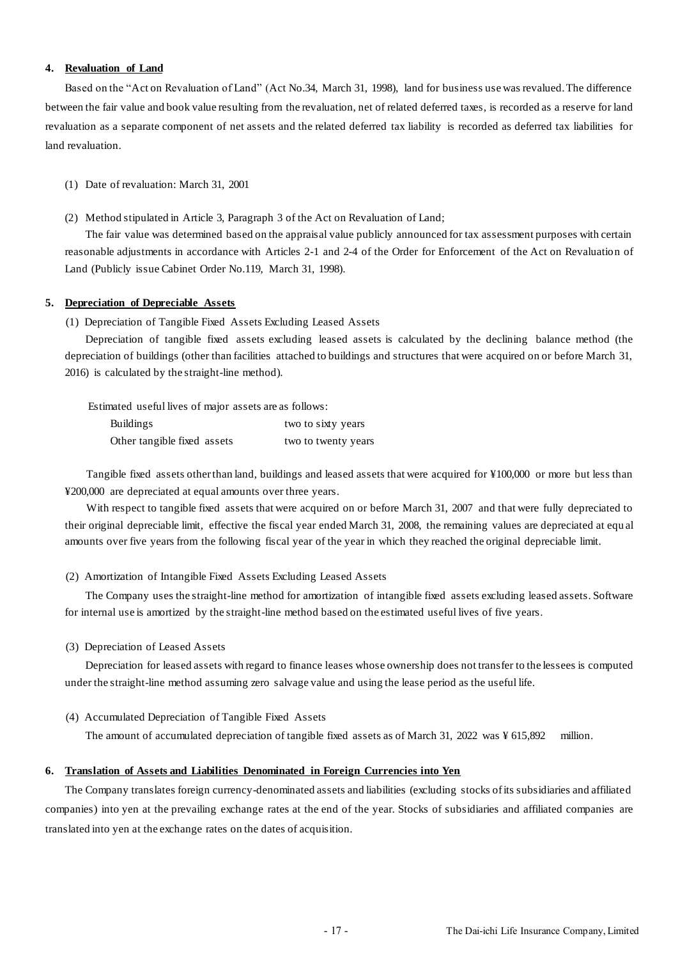### **4. Revaluation of Land**

Based on the "Act on Revaluation of Land" (Act No.34, March 31, 1998), land for business use was revalued. The difference between the fair value and book value resulting from the revaluation, net of related deferred taxes, is recorded as a reserve for land revaluation as a separate component of net assets and the related deferred tax liability is recorded as deferred tax liabilities for land revaluation.

(1) Date of revaluation: March 31, 2001

(2) Method stipulated in Article 3, Paragraph 3 of the Act on Revaluation of Land;

The fair value was determined based on the appraisal value publicly announced for tax assessment purposes with certain reasonable adjustments in accordance with Articles 2-1 and 2-4 of the Order for Enforcement of the Act on Revaluation of Land (Publicly issue Cabinet Order No.119, March 31, 1998).

#### **5. Depreciation of Depreciable Assets**

(1) Depreciation of Tangible Fixed Assets Excluding Leased Assets

Depreciation of tangible fixed assets excluding leased assets is calculated by the declining balance method (the depreciation of buildings (other than facilities attached to buildings and structures that were acquired on or before March 31, 2016) is calculated by the straight-line method).

Estimated useful lives of major assets are as follows:

| <b>Buildings</b>            | two to sixty years  |
|-----------------------------|---------------------|
| Other tangible fixed assets | two to twenty years |

Tangible fixed assets other than land, buildings and leased assets that were acquired for ¥100,000 or more but less than ¥200,000 are depreciated at equal amounts over three years.

With respect to tangible fixed assets that were acquired on or before March 31, 2007 and that were fully depreciated to their original depreciable limit, effective the fiscal year ended March 31, 2008, the remaining values are depreciated at equ al amounts over five years from the following fiscal year of the year in which they reached the original depreciable limit.

(2) Amortization of Intangible Fixed Assets Excluding Leased Assets

The Company uses the straight-line method for amortization of intangible fixed assets excluding leased assets. Software for internal use is amortized by the straight-line method based on the estimated useful lives of five years.

(3) Depreciation of Leased Assets

Depreciation for leased assets with regard to finance leases whose ownership does not transfer to the lessees is computed under the straight-line method assuming zero salvage value and using the lease period as the useful life.

(4) Accumulated Depreciation of Tangible Fixed Assets

The amount of accumulated depreciation of tangible fixed assets as of March 31, 2022 was ¥ 615,892 million.

#### **6. Translation of Assets and Liabilities Denominated in Foreign Currencies into Yen**

The Company translates foreign currency-denominated assets and liabilities (excluding stocks of its subsidiaries and affiliated companies) into yen at the prevailing exchange rates at the end of the year. Stocks of subsidiaries and affiliated companies are translated into yen at the exchange rates on the dates of acquisition.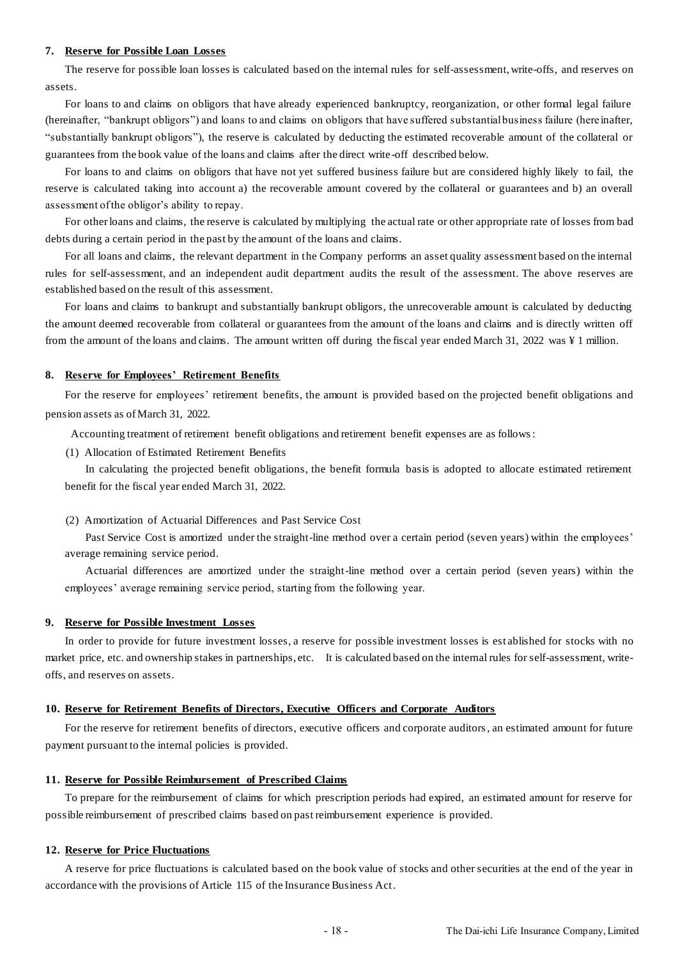#### **7. Reserve for Possible Loan Losses**

The reserve for possible loan losses is calculated based on the internal rules for self-assessment, write-offs, and reserves on assets.

For loans to and claims on obligors that have already experienced bankruptcy, reorganization, or other formal legal failure (hereinafter, "bankrupt obligors") and loans to and claims on obligors that have suffered substantial business failure (here inafter, "substantially bankrupt obligors"), the reserve is calculated by deducting the estimated recoverable amount of the collateral or guarantees from the book value of the loans and claims after the direct write-off described below.

For loans to and claims on obligors that have not yet suffered business failure but are considered highly likely to fail, the reserve is calculated taking into account a) the recoverable amount covered by the collateral or guarantees and b) an overall assessment of the obligor's ability to repay.

For other loans and claims, the reserve is calculated by multiplying the actual rate or other appropriate rate of losses from bad debts during a certain period in the past by the amount of the loans and claims.

For all loans and claims, the relevant department in the Company performs an asset quality assessment based on the internal rules for self-assessment, and an independent audit department audits the result of the assessment. The above reserves are established based on the result of this assessment.

For loans and claims to bankrupt and substantially bankrupt obligors, the unrecoverable amount is calculated by deducting the amount deemed recoverable from collateral or guarantees from the amount of the loans and claims and is directly written off from the amount of the loans and claims. The amount written off during the fiscal year ended March 31, 2022 was ¥ 1 million.

#### **8. Reserve for Employees' Retirement Benefits**

For the reserve for employees' retirement benefits, the amount is provided based on the projected benefit obligations and pension assets as of March 31, 2022.

Accounting treatment of retirement benefit obligations and retirement benefit expenses are as follows:

(1) Allocation of Estimated Retirement Benefits

In calculating the projected benefit obligations, the benefit formula basis is adopted to allocate estimated retirement benefit for the fiscal year ended March 31, 2022.

(2) Amortization of Actuarial Differences and Past Service Cost

Past Service Cost is amortized under the straight-line method over a certain period (seven years) within the employees' average remaining service period.

Actuarial differences are amortized under the straight-line method over a certain period (seven years) within the employees' average remaining service period, starting from the following year.

#### **9. Reserve for Possible Investment Losses**

In order to provide for future investment losses, a reserve for possible investment losses is est ablished for stocks with no market price, etc. and ownership stakes in partnerships, etc. It is calculated based on the internal rules for self-assessment, writeoffs, and reserves on assets.

#### **10. Reserve for Retirement Benefits of Directors, Executive Officers and Corporate Auditors**

For the reserve for retirement benefits of directors, executive officers and corporate auditors, an estimated amount for future payment pursuant to the internal policies is provided.

#### **11. Reserve for Possible Reimbursement of Prescribed Claims**

To prepare for the reimbursement of claims for which prescription periods had expired, an estimated amount for reserve for possible reimbursement of prescribed claims based on past reimbursement experience is provided.

#### **12. Reserve for Price Fluctuations**

A reserve for price fluctuations is calculated based on the book value of stocks and other securities at the end of the year in accordance with the provisions of Article 115 of the Insurance Business Act.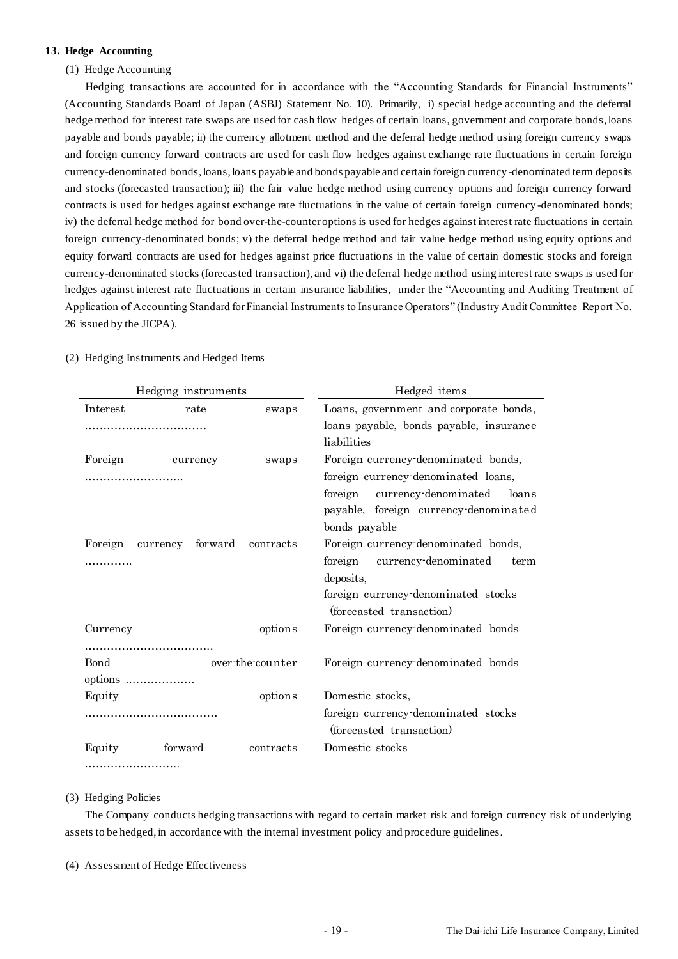#### **13. Hedge Accounting**

#### (1) Hedge Accounting

Hedging transactions are accounted for in accordance with the "Accounting Standards for Financial Instruments" (Accounting Standards Board of Japan (ASBJ) Statement No. 10). Primarily, i) special hedge accounting and the deferral hedge method for interest rate swaps are used for cash flow hedges of certain loans, government and corporate bonds, loans payable and bonds payable; ii) the currency allotment method and the deferral hedge method using foreign currency swaps and foreign currency forward contracts are used for cash flow hedges against exchange rate fluctuations in certain foreign currency-denominated bonds, loans, loans payable and bonds payable and certain foreign currency -denominated term deposits and stocks (forecasted transaction); iii) the fair value hedge method using currency options and foreign currency forward contracts is used for hedges against exchange rate fluctuations in the value of certain foreign currency -denominated bonds; iv) the deferral hedge method for bond over-the-counter options is used for hedges against interest rate fluctuations in certain foreign currency-denominated bonds; v) the deferral hedge method and fair value hedge method using equity options and equity forward contracts are used for hedges against price fluctuations in the value of certain domestic stocks and foreign currency-denominated stocks (forecasted transaction), and vi) the deferral hedge method using interest rate swaps is used for hedges against interest rate fluctuations in certain insurance liabilities, under the "Accounting and Auditing Treatment of Application of Accounting Standard for Financial Instruments to Insurance Operators" (Industry Audit Committee Report No. 26 issued by the JICPA).

| Hedging instruments |                     |                  | Hedged items                                                                   |  |  |  |
|---------------------|---------------------|------------------|--------------------------------------------------------------------------------|--|--|--|
| Interest            | rate                | swaps            | Loans, government and corporate bonds,                                         |  |  |  |
|                     |                     |                  | loans payable, bonds payable, insurance                                        |  |  |  |
|                     |                     |                  | liabilities                                                                    |  |  |  |
| Foreign             | currency            | swaps            | Foreign currency denominated bonds,                                            |  |  |  |
| .                   |                     |                  | foreign currency denominated loans,                                            |  |  |  |
|                     |                     |                  | foreign currency denominated<br>loans<br>payable, foreign currency denominated |  |  |  |
|                     |                     |                  | bonds payable                                                                  |  |  |  |
| Foreign             | forward<br>currency | contracts        | Foreign currency denominated bonds,                                            |  |  |  |
|                     |                     |                  | foreign currency-denominated<br>term                                           |  |  |  |
|                     |                     |                  | deposits,                                                                      |  |  |  |
|                     |                     |                  | foreign currency denominated stocks<br>(forecasted transaction)                |  |  |  |
| Currency            |                     | options          | Foreign currency denominated bonds                                             |  |  |  |
|                     |                     |                  |                                                                                |  |  |  |
| <b>Bond</b>         |                     | over-the-counter | Foreign currency denominated bonds                                             |  |  |  |
| options             |                     |                  |                                                                                |  |  |  |
| Equity              |                     | options          | Domestic stocks,                                                               |  |  |  |
|                     |                     |                  | foreign currency denominated stocks                                            |  |  |  |
|                     |                     |                  | (forecasted transaction)                                                       |  |  |  |
| Equity              | forward             | contracts        | Domestic stocks                                                                |  |  |  |
|                     |                     |                  |                                                                                |  |  |  |

#### (2) Hedging Instruments and Hedged Items

#### (3) Hedging Policies

The Company conducts hedging transactions with regard to certain market risk and foreign currency risk of underlying assets to be hedged, in accordance with the internal investment policy and procedure guidelines.

(4) Assessment of Hedge Effectiveness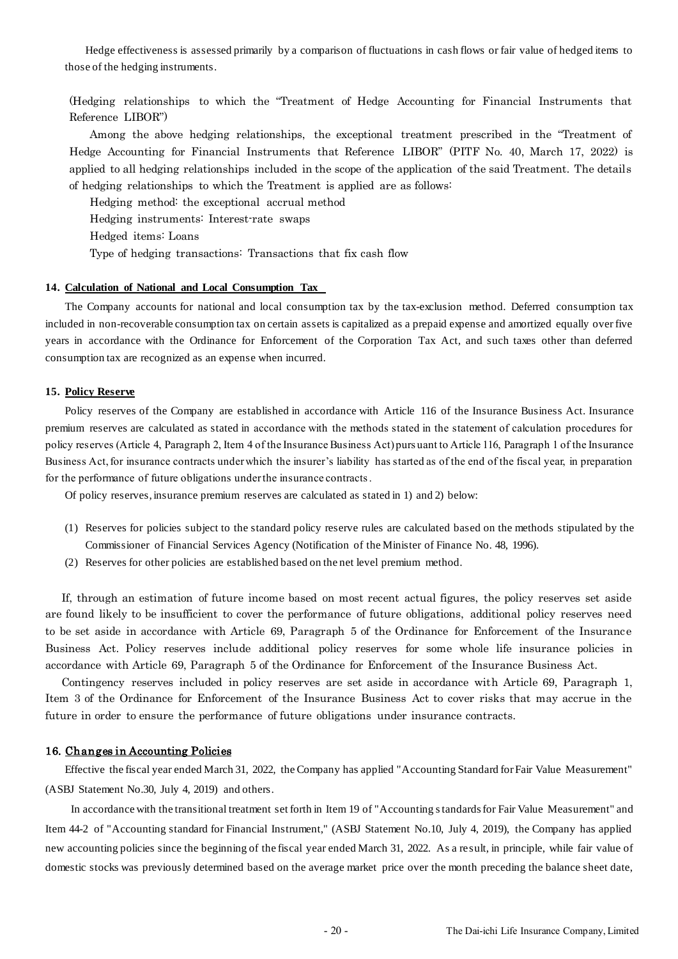Hedge effectiveness is assessed primarily by a comparison of fluctuations in cash flows or fair value of hedged items to those of the hedging instruments.

(Hedging relationships to which the "Treatment of Hedge Accounting for Financial Instruments that Reference LIBOR")

Among the above hedging relationships, the exceptional treatment prescribed in the "Treatment of Hedge Accounting for Financial Instruments that Reference LIBOR" (PITF No. 40, March 17, 2022) is applied to all hedging relationships included in the scope of the application of the said Treatment. The details of hedging relationships to which the Treatment is applied are as follows:

Hedging method: the exceptional accrual method

Hedging instruments: Interest-rate swaps

Hedged items: Loans

Type of hedging transactions: Transactions that fix cash flow

#### **14. Calculation of National and Local Consumption Tax**

The Company accounts for national and local consumption tax by the tax-exclusion method. Deferred consumption tax included in non-recoverable consumption tax on certain assets is capitalized as a prepaid expense and amortized equally over five years in accordance with the Ordinance for Enforcement of the Corporation Tax Act, and such taxes other than deferred consumption tax are recognized as an expense when incurred.

#### **15. Policy Reserve**

Policy reserves of the Company are established in accordance with Article 116 of the Insurance Business Act. Insurance premium reserves are calculated as stated in accordance with the methods stated in the statement of calculation procedures for policy reserves (Article 4, Paragraph 2, Item 4 of the Insurance Business Act) purs uant to Article 116, Paragraph 1 of the Insurance Business Act, for insurance contracts under which the insurer's liability has started as of the end of the fiscal year, in preparation for the performance of future obligations under the insurance contracts.

Of policy reserves, insurance premium reserves are calculated as stated in 1) and 2) below:

- (1) Reserves for policies subject to the standard policy reserve rules are calculated based on the methods stipulated by the Commissioner of Financial Services Agency (Notification of the Minister of Finance No. 48, 1996).
- (2) Reserves for other policies are established based on the net level premium method.

If, through an estimation of future income based on most recent actual figures, the policy reserves set aside are found likely to be insufficient to cover the performance of future obligations, additional policy reserves need to be set aside in accordance with Article 69, Paragraph 5 of the Ordinance for Enforcement of the Insurance Business Act. Policy reserves include additional policy reserves for some whole life insurance policies in accordance with Article 69, Paragraph 5 of the Ordinance for Enforcement of the Insurance Business Act.

Contingency reserves included in policy reserves are set aside in accordance with Article 69, Paragraph 1, Item 3 of the Ordinance for Enforcement of the Insurance Business Act to cover risks that may accrue in the future in order to ensure the performance of future obligations under insurance contracts.

#### 16. Changes in Accounting Policies

Effective the fiscal year ended March 31, 2022, the Company has applied "Accounting Standard for Fair Value Measurement" (ASBJ Statement No.30, July 4, 2019) and others.

In accordance with the transitional treatment set forth in Item 19 of "Accounting standards for Fair Value Measurement" and Item 44-2 of "Accounting standard for Financial Instrument," (ASBJ Statement No.10, July 4, 2019), the Company has applied new accounting policies since the beginning of the fiscal year ended March 31, 2022. As a re sult, in principle, while fair value of domestic stocks was previously determined based on the average market price over the month preceding the balance sheet date,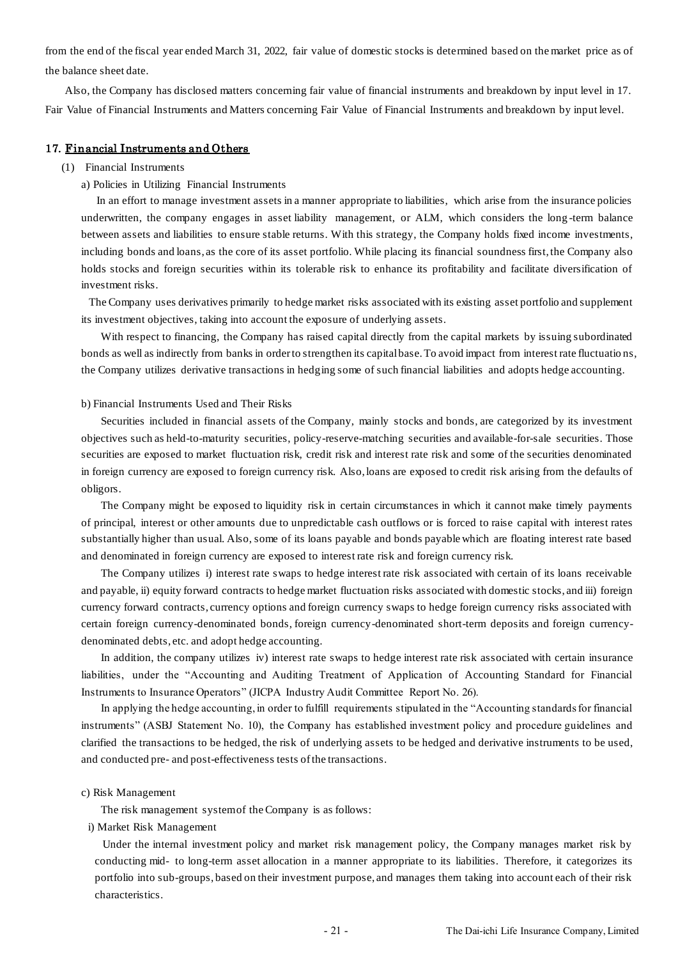from the end of the fiscal year ended March 31, 2022, fair value of domestic stocks is determined based on the market price as of the balance sheet date.

Also, the Company has disclosed matters concerning fair value of financial instruments and breakdown by input level in 17. Fair Value of Financial Instruments and Matters concerning Fair Value of Financial Instruments and breakdown by input level.

#### 17. Financial Instruments and Others

- (1) Financial Instruments
	- a) Policies in Utilizing Financial Instruments

In an effort to manage investment assets in a manner appropriate to liabilities, which arise from the insurance policies underwritten, the company engages in asset liability management, or ALM, which considers the long -term balance between assets and liabilities to ensure stable returns. With this strategy, the Company holds fixed income investments, including bonds and loans, as the core of its asset portfolio. While placing its financial soundness first, the Company also holds stocks and foreign securities within its tolerable risk to enhance its profitability and facilitate diversification of investment risks.

The Company uses derivatives primarily to hedge market risks associated with its existing asset portfolio and supplement its investment objectives, taking into account the exposure of underlying assets.

With respect to financing, the Company has raised capital directly from the capital markets by issuing subordinated bonds as well as indirectly from banks in order to strengthen its capital base. To avoid impact from interest rate fluctuatio ns, the Company utilizes derivative transactions in hedging some of such financial liabilities and adopts hedge accounting.

#### b) Financial Instruments Used and Their Risks

Securities included in financial assets of the Company, mainly stocks and bonds, are categorized by its investment objectives such as held-to-maturity securities, policy-reserve-matching securities and available-for-sale securities. Those securities are exposed to market fluctuation risk, credit risk and interest rate risk and some of the securities denominated in foreign currency are exposed to foreign currency risk. Also, loans are exposed to credit risk arising from the defaults of obligors.

The Company might be exposed to liquidity risk in certain circumstances in which it cannot make timely payments of principal, interest or other amounts due to unpredictable cash outflows or is forced to raise capital with interest rates substantially higher than usual. Also, some of its loans payable and bonds payable which are floating interest rate based and denominated in foreign currency are exposed to interest rate risk and foreign currency risk.

The Company utilizes i) interest rate swaps to hedge interest rate risk associated with certain of its loans receivable and payable, ii) equity forward contracts to hedge market fluctuation risks associated with domestic stocks, and iii) foreign currency forward contracts, currency options and foreign currency swaps to hedge foreign currency risks associated with certain foreign currency-denominated bonds, foreign currency-denominated short-term deposits and foreign currencydenominated debts, etc. and adopt hedge accounting.

In addition, the company utilizes iv) interest rate swaps to hedge interest rate risk associated with certain insurance liabilities, under the "Accounting and Auditing Treatment of Application of Accounting Standard for Financial Instruments to Insurance Operators" (JICPA Industry Audit Committee Report No. 26).

In applying the hedge accounting, in order to fulfill requirements stipulated in the "Accounting standards for financial instruments" (ASBJ Statement No. 10), the Company has established investment policy and procedure guidelines and clarified the transactions to be hedged, the risk of underlying assets to be hedged and derivative instruments to be used, and conducted pre- and post-effectiveness tests of the transactions.

#### c) Risk Management

The risk management system of the Company is as follows:

i) Market Risk Management

Under the internal investment policy and market risk management policy, the Company manages market risk by conducting mid- to long-term asset allocation in a manner appropriate to its liabilities. Therefore, it categorizes its portfolio into sub-groups, based on their investment purpose, and manages them taking into account each of their risk characteristics.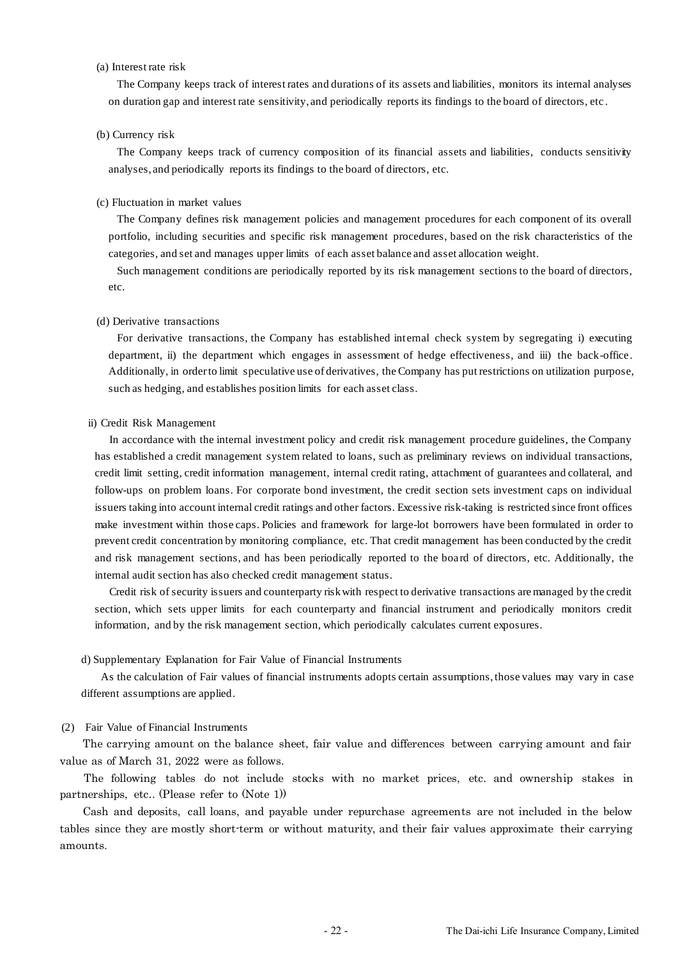### (a) Interest rate risk

The Company keeps track of interest rates and durations of its assets and liabilities, monitors its internal analyses on duration gap and interest rate sensitivity, and periodically reports its findings to the board of directors, etc .

#### (b) Currency risk

The Company keeps track of currency composition of its financial assets and liabilities, conducts sensitivity analyses, and periodically reports its findings to the board of directors, etc.

#### (c) Fluctuation in market values

The Company defines risk management policies and management procedures for each component of its overall portfolio, including securities and specific risk management procedures, based on the risk characteristics of the categories, and set and manages upper limits of each asset balance and asset allocation weight.

Such management conditions are periodically reported by its risk management sections to the board of directors, etc.

#### (d) Derivative transactions

For derivative transactions, the Company has established internal check system by segregating i) executing department, ii) the department which engages in assessment of hedge effectiveness, and iii) the back-office. Additionally, in order to limit speculative use of derivatives, the Company has put restrictions on utilization purpose, such as hedging, and establishes position limits for each asset class.

#### ii) Credit Risk Management

In accordance with the internal investment policy and credit risk management procedure guidelines, the Company has established a credit management system related to loans, such as preliminary reviews on individual transactions, credit limit setting, credit information management, internal credit rating, attachment of guarantees and collateral, and follow-ups on problem loans. For corporate bond investment, the credit section sets investment caps on individual issuers taking into account internal credit ratings and other factors. Excessive risk-taking is restricted since front offices make investment within those caps. Policies and framework for large-lot borrowers have been formulated in order to prevent credit concentration by monitoring compliance, etc. That credit management has been conducted by the credit and risk management sections, and has been periodically reported to the board of directors, etc. Additionally, the internal audit section has also checked credit management status.

Credit risk of security issuers and counterparty risk with respect to derivative transactions are managed by the credit section, which sets upper limits for each counterparty and financial instrument and periodically monitors credit information, and by the risk management section, which periodically calculates current exposures.

#### d) Supplementary Explanation for Fair Value of Financial Instruments

As the calculation of Fair values of financial instruments adopts certain assumptions, those values may vary in case different assumptions are applied.

#### (2) Fair Value of Financial Instruments

The carrying amount on the balance sheet, fair value and differences between carrying amount and fair value as of March 31, 2022 were as follows.

The following tables do not include stocks with no market prices, etc. and ownership stakes in partnerships, etc.. (Please refer to (Note 1))

Cash and deposits, call loans, and payable under repurchase agreements are not included in the below tables since they are mostly short-term or without maturity, and their fair values approximate their carrying amounts.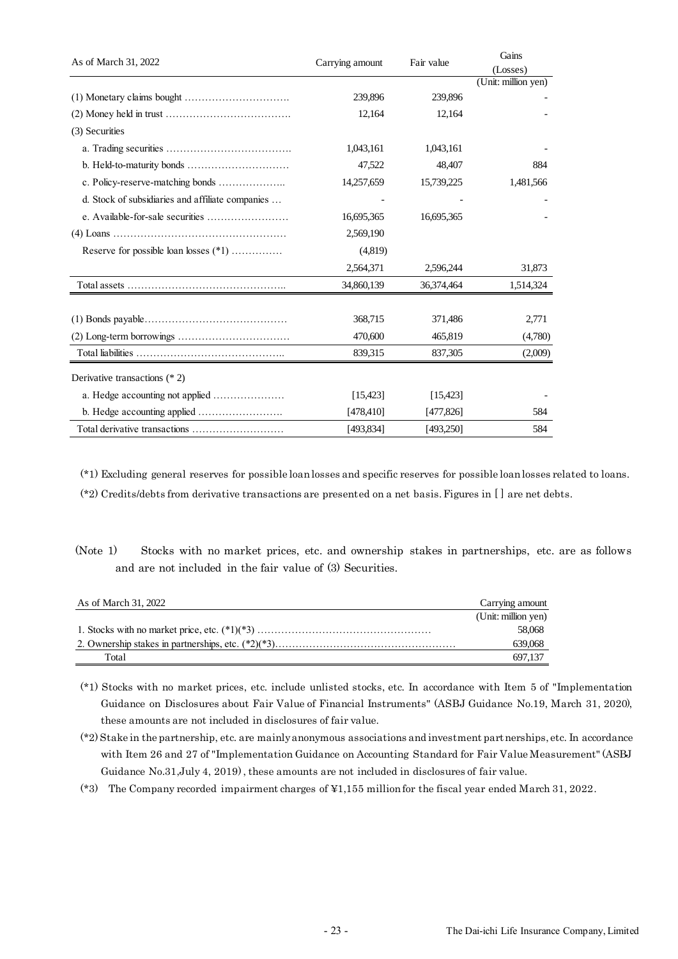| As of March 31, 2022                             |                 | Fair value | Gains               |
|--------------------------------------------------|-----------------|------------|---------------------|
|                                                  | Carrying amount |            | (Losses)            |
|                                                  |                 |            | (Unit: million yen) |
|                                                  | 239,896         | 239,896    |                     |
|                                                  | 12,164          | 12,164     |                     |
| (3) Securities                                   |                 |            |                     |
|                                                  | 1,043,161       | 1,043,161  |                     |
|                                                  | 47,522          | 48,407     | 884                 |
|                                                  | 14,257,659      | 15,739,225 | 1,481,566           |
| d. Stock of subsidiaries and affiliate companies |                 |            |                     |
|                                                  | 16,695,365      | 16,695,365 |                     |
|                                                  | 2,569,190       |            |                     |
| Reserve for possible loan losses (*1)            | (4,819)         |            |                     |
|                                                  | 2,564,371       | 2,596,244  | 31,873              |
|                                                  | 34,860,139      | 36,374,464 | 1,514,324           |
|                                                  |                 |            |                     |
|                                                  | 368,715         | 371,486    | 2,771               |
|                                                  | 470,600         | 465,819    | (4,780)             |
|                                                  | 839,315         | 837,305    | (2,009)             |
| Derivative transactions $(* 2)$                  |                 |            |                     |
| a. Hedge accounting not applied                  | [15, 423]       | [15, 423]  |                     |
|                                                  | [478, 410]      | [477,826]  | 584                 |
| Total derivative transactions                    | [493,834]       | [493,250]  | 584                 |

(\*1) Excluding general reserves for possible loan losses and specific reserves for possible loan losses related to loans.

(\*2) Credits/debts from derivative transactions are presented on a net basis. Figures in [ ] are net debts.

(Note 1) Stocks with no market prices, etc. and ownership stakes in partnerships, etc. are as follows and are not included in the fair value of (3) Securities.

| As of March 31, 2022 | Carrying amount     |
|----------------------|---------------------|
|                      | (Unit: million yen) |
|                      | 58,068              |
|                      | 639,068             |
| Total                | 697.137             |

(\*1) Stocks with no market prices, etc. include unlisted stocks, etc. In accordance with Item 5 of "Implementation Guidance on Disclosures about Fair Value of Financial Instruments" (ASBJ Guidance No.19, March 31, 2020), these amounts are not included in disclosures of fair value.

(\*2) Stake in the partnership, etc. are mainly anonymous associations and investment partnerships, etc. In accordance with Item 26 and 27 of "Implementation Guidance on Accounting Standard for Fair Value Measurement" (ASBJ Guidance No.31,July 4, 2019) , these amounts are not included in disclosures of fair value.

(\*3) The Company recorded impairment charges of ¥1,155 million for the fiscal year ended March 31, 2022.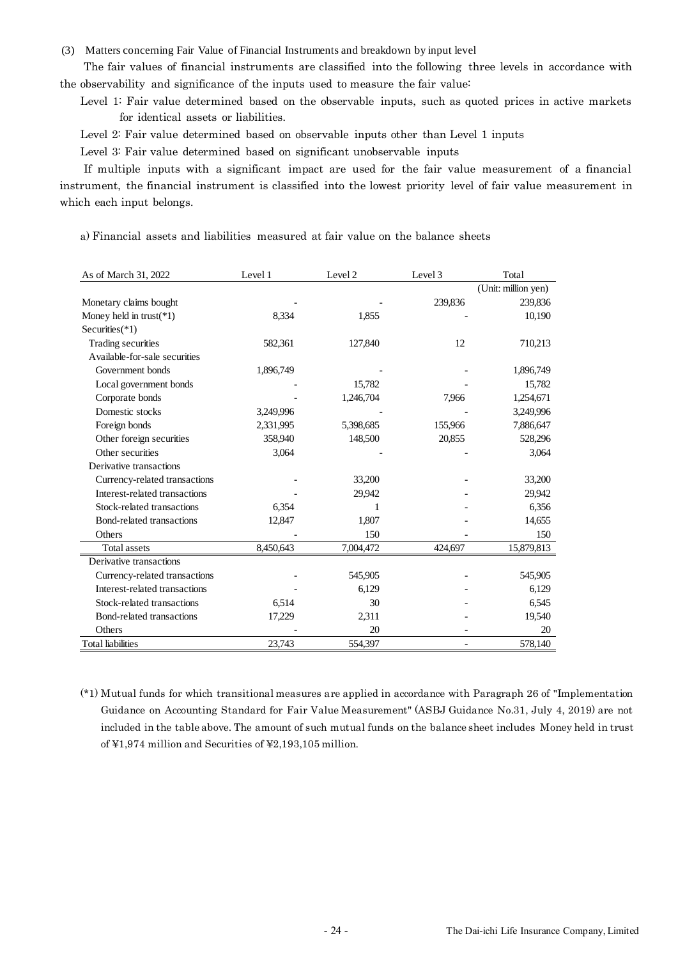(3) Matters concerning Fair Value of Financial Instruments and breakdown by input level

The fair values of financial instruments are classified into the following three levels in accordance with the observability and significance of the inputs used to measure the fair value:

Level 1: Fair value determined based on the observable inputs, such as quoted prices in active markets for identical assets or liabilities.

Level 2: Fair value determined based on observable inputs other than Level 1 inputs

Level 3: Fair value determined based on significant unobservable inputs

If multiple inputs with a significant impact are used for the fair value measurement of a financial instrument, the financial instrument is classified into the lowest priority level of fair value measurement in which each input belongs.

a) Financial assets and liabilities measured at fair value on the balance sheets

| As of March 31, 2022          | Level 1   | Level 2   | Level 3 | Total               |
|-------------------------------|-----------|-----------|---------|---------------------|
|                               |           |           |         | (Unit: million yen) |
| Monetary claims bought        |           |           | 239,836 | 239,836             |
| Money held in trust( $*1$ )   | 8,334     | 1,855     |         | 10,190              |
| Securities $(*1)$             |           |           |         |                     |
| Trading securities            | 582,361   | 127,840   | 12      | 710,213             |
| Available-for-sale securities |           |           |         |                     |
| Government bonds              | 1,896,749 |           |         | 1,896,749           |
| Local government bonds        |           | 15,782    |         | 15,782              |
| Corporate bonds               |           | 1,246,704 | 7,966   | 1,254,671           |
| Domestic stocks               | 3,249,996 |           |         | 3,249,996           |
| Foreign bonds                 | 2,331,995 | 5,398,685 | 155,966 | 7,886,647           |
| Other foreign securities      | 358,940   | 148,500   | 20,855  | 528,296             |
| Other securities              | 3,064     |           |         | 3,064               |
| Derivative transactions       |           |           |         |                     |
| Currency-related transactions |           | 33,200    |         | 33,200              |
| Interest-related transactions |           | 29,942    |         | 29,942              |
| Stock-related transactions    | 6,354     | 1         |         | 6,356               |
| Bond-related transactions     | 12,847    | 1,807     |         | 14,655              |
| Others                        |           | 150       |         | 150                 |
| <b>Total assets</b>           | 8,450,643 | 7,004,472 | 424,697 | 15,879,813          |
| Derivative transactions       |           |           |         |                     |
| Currency-related transactions |           | 545,905   |         | 545,905             |
| Interest-related transactions |           | 6,129     |         | 6,129               |
| Stock-related transactions    | 6,514     | 30        |         | 6,545               |
| Bond-related transactions     | 17,229    | 2,311     |         | 19,540              |
| Others                        |           | 20        |         | 20                  |
| <b>Total liabilities</b>      | 23,743    | 554,397   |         | 578,140             |

(\*1) Mutual funds for which transitional measures are applied in accordance with Paragraph 26 of "Implementation Guidance on Accounting Standard for Fair Value Measurement" (ASBJ Guidance No.31, July 4, 2019) are not included in the table above. The amount of such mutual funds on the balance sheet includes Money held in trust of ¥1,974 million and Securities of ¥2,193,105 million.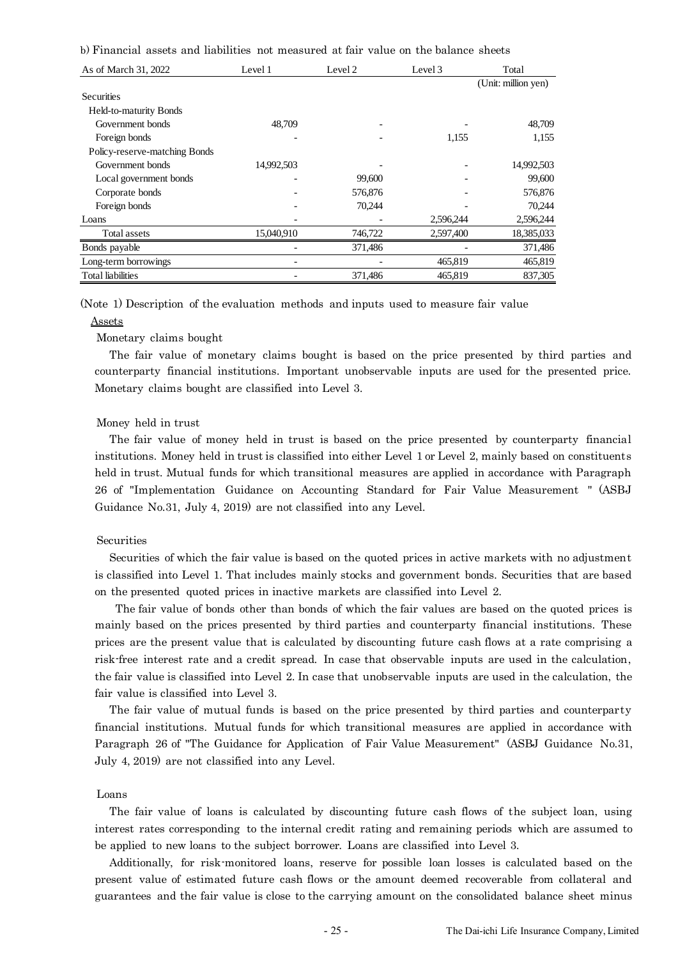b) Financial assets and liabilities not measured at fair value on the balance sheets

| As of March 31, 2022          | Level 1    | Level 2 | Level 3   | Total               |
|-------------------------------|------------|---------|-----------|---------------------|
|                               |            |         |           | (Unit: million yen) |
| Securities                    |            |         |           |                     |
| Held-to-maturity Bonds        |            |         |           |                     |
| Government bonds              | 48,709     |         |           | 48,709              |
| Foreign bonds                 |            |         | 1,155     | 1,155               |
| Policy-reserve-matching Bonds |            |         |           |                     |
| Government bonds              | 14,992,503 |         |           | 14,992,503          |
| Local government bonds        |            | 99,600  |           | 99,600              |
| Corporate bonds               |            | 576,876 |           | 576,876             |
| Foreign bonds                 |            | 70,244  |           | 70,244              |
| Loans                         |            |         | 2,596,244 | 2,596,244           |
| Total assets                  | 15,040,910 | 746,722 | 2,597,400 | 18,385,033          |
| Bonds payable                 |            | 371,486 |           | 371,486             |
| Long-term borrowings          |            |         | 465,819   | 465,819             |
| <b>Total liabilities</b>      |            | 371,486 | 465,819   | 837,305             |

(Note 1) Description of the evaluation methods and inputs used to measure fair value

#### Assets

Monetary claims bought

The fair value of monetary claims bought is based on the price presented by third parties and counterparty financial institutions. Important unobservable inputs are used for the presented price. Monetary claims bought are classified into Level 3.

#### Money held in trust

The fair value of money held in trust is based on the price presented by counterparty financial institutions. Money held in trust is classified into either Level 1 or Level 2, mainly based on constituents held in trust. Mutual funds for which transitional measures are applied in accordance with Paragraph 26 of "Implementation Guidance on Accounting Standard for Fair Value Measurement " (ASBJ Guidance No.31, July 4, 2019) are not classified into any Level.

# Securities

Securities of which the fair value is based on the quoted prices in active markets with no adjustment is classified into Level 1. That includes mainly stocks and government bonds. Securities that are based on the presented quoted prices in inactive markets are classified into Level 2.

The fair value of bonds other than bonds of which the fair values are based on the quoted prices is mainly based on the prices presented by third parties and counterparty financial institutions. These prices are the present value that is calculated by discounting future cash flows at a rate comprising a risk-free interest rate and a credit spread. In case that observable inputs are used in the calculation, the fair value is classified into Level 2. In case that unobservable inputs are used in the calculation, the fair value is classified into Level 3.

The fair value of mutual funds is based on the price presented by third parties and counterparty financial institutions. Mutual funds for which transitional measures are applied in accordance with Paragraph 26 of "The Guidance for Application of Fair Value Measurement" (ASBJ Guidance No.31, July 4, 2019) are not classified into any Level.

#### Loans

The fair value of loans is calculated by discounting future cash flows of the subject loan, using interest rates corresponding to the internal credit rating and remaining periods which are assumed to be applied to new loans to the subject borrower. Loans are classified into Level 3.

Additionally, for risk-monitored loans, reserve for possible loan losses is calculated based on the present value of estimated future cash flows or the amount deemed recoverable from collateral and guarantees and the fair value is close to the carrying amount on the consolidated balance sheet minus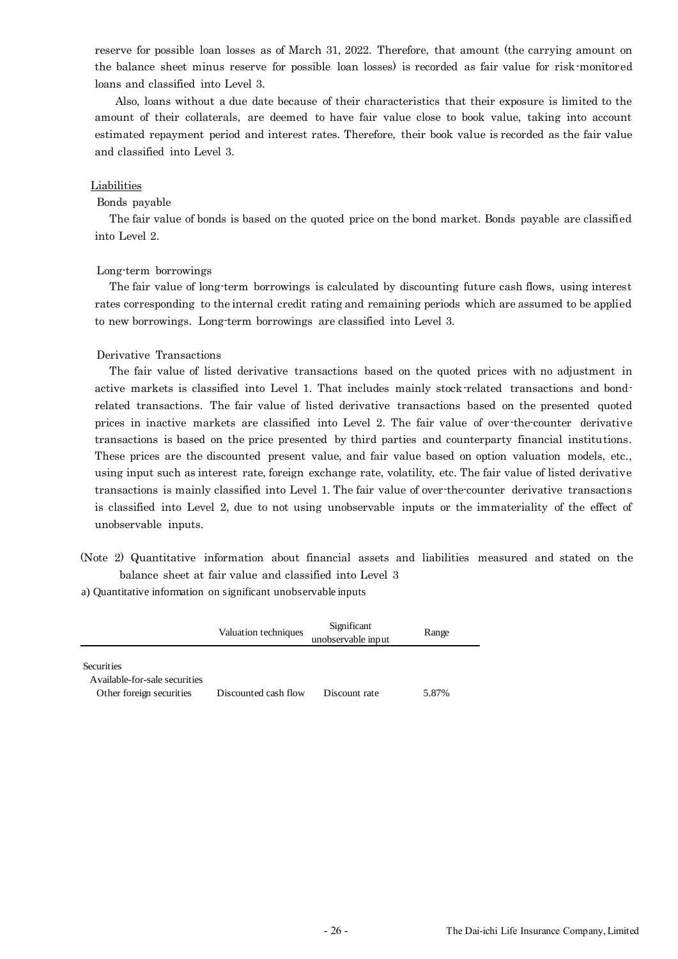reserve for possible loan losses as of March 31, 2022. Therefore, that amount (the carrying amount on the balance sheet minus reserve for possible loan losses) is recorded as fair value for risk-monitored loans and classified into Level 3.

Also, loans without a due date because of their characteristics that their exposure is limited to the amount of their collaterals, are deemed to have fair value close to book value, taking into account estimated repayment period and interest rates. Therefore, their book value is recorded as the fair value and classified into Level 3.

#### Liabilities

#### Bonds payable

The fair value of bonds is based on the quoted price on the bond market. Bonds payable are classified into Level 2.

#### Long-term borrowings

The fair value of long-term borrowings is calculated by discounting future cash flows, using interest rates corresponding to the internal credit rating and remaining periods which are assumed to be applied to new borrowings. Long-term borrowings are classified into Level 3.

#### Derivative Transactions

The fair value of listed derivative transactions based on the quoted prices with no adjustment in active markets is classified into Level 1. That includes mainly stock-related transactions and bondrelated transactions. The fair value of listed derivative transactions based on the presented quoted prices in inactive markets are classified into Level 2. The fair value of over-the-counter derivative transactions is based on the price presented by third parties and counterparty financial institutions. These prices are the discounted present value, and fair value based on option valuation models, etc., using input such as interest rate, foreign exchange rate, volatility, etc. The fair value of listed derivative transactions is mainly classified into Level 1. The fair value of over-the-counter derivative transactions is classified into Level 2, due to not using unobservable inputs or the immateriality of the effect of unobservable inputs.

(Note 2) Quantitative information about financial assets and liabilities measured and stated on the balance sheet at fair value and classified into Level 3

a) Quantitative information on significant unobservable inputs

|                                                                                 | Valuation techniques | Significant<br>unobservable input | Range |
|---------------------------------------------------------------------------------|----------------------|-----------------------------------|-------|
| <b>Securities</b><br>A vailable-for-sale securities<br>Other foreign securities | Discounted cash flow | Discount rate                     | 5.87% |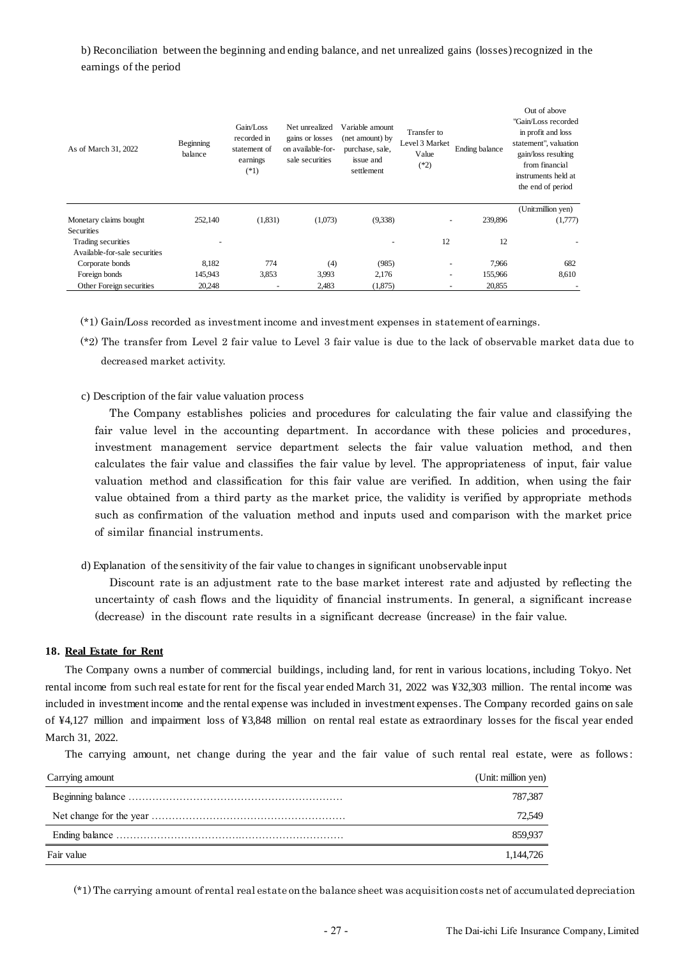b) Reconciliation between the beginning and ending balance, and net unrealized gains (losses) recognized in the earnings of the period

| As of March 31, 2022                                | Beginning<br>balance | Gain/Loss<br>recorded in<br>statement of<br>earnings<br>$(*1)$ | Net unrealized<br>gains or losses<br>on available-for-<br>sale securities | Variable amount<br>(net amount) by<br>purchase, sale,<br>issue and<br>settlement | Transfer to<br>Level 3 Market<br>Value<br>$(*2)$ | Ending balance | Out of above<br>"Gain/Loss recorded<br>in profit and loss<br>statement", valuation<br>gain/loss resulting<br>from financial<br>instruments held at<br>the end of period |
|-----------------------------------------------------|----------------------|----------------------------------------------------------------|---------------------------------------------------------------------------|----------------------------------------------------------------------------------|--------------------------------------------------|----------------|-------------------------------------------------------------------------------------------------------------------------------------------------------------------------|
| Monetary claims bought                              | 252,140              | (1,831)                                                        | (1,073)                                                                   | (9,338)                                                                          | $\overline{\phantom{0}}$                         | 239,896        | (Unit:million yen)<br>(1,777)                                                                                                                                           |
| <b>Securities</b>                                   |                      |                                                                |                                                                           |                                                                                  |                                                  |                |                                                                                                                                                                         |
| Trading securities<br>Available-for-sale securities | ٠                    |                                                                |                                                                           |                                                                                  | 12                                               | 12             |                                                                                                                                                                         |
| Corporate bonds                                     | 8,182                | 774                                                            | (4)                                                                       | (985)                                                                            | $\overline{\phantom{a}}$                         | 7,966          | 682                                                                                                                                                                     |
| Foreign bonds                                       | 145,943              | 3,853                                                          | 3.993                                                                     | 2,176                                                                            | $\overline{\phantom{0}}$                         | 155,966        | 8,610                                                                                                                                                                   |
| Other Foreign securities                            | 20,248               | -                                                              | 2,483                                                                     | (1,875)                                                                          |                                                  | 20,855         |                                                                                                                                                                         |

(\*1) Gain/Loss recorded as investment income and investment expenses in statement of earnings.

(\*2) The transfer from Level 2 fair value to Level 3 fair value is due to the lack of observable market data due to decreased market activity.

c) Description of the fair value valuation process

The Company establishes policies and procedures for calculating the fair value and classifying the fair value level in the accounting department. In accordance with these policies and procedures, investment management service department selects the fair value valuation method, and then calculates the fair value and classifies the fair value by level. The appropriateness of input, fair value valuation method and classification for this fair value are verified. In addition, when using the fair value obtained from a third party as the market price, the validity is verified by appropriate methods such as confirmation of the valuation method and inputs used and comparison with the market price of similar financial instruments.

d) Explanation of the sensitivity of the fair value to changes in significant unobservable input

Discount rate is an adjustment rate to the base market interest rate and adjusted by reflecting the uncertainty of cash flows and the liquidity of financial instruments. In general, a significant increase (decrease) in the discount rate results in a significant decrease (increase) in the fair value.

#### **18. Real Estate for Rent**

The Company owns a number of commercial buildings, including land, for rent in various locations, including Tokyo. Net rental income from such real estate for rent for the fiscal year ended March 31, 2022 was ¥32,303 million. The rental income was included in investment income and the rental expense was included in investment expenses. The Company recorded gains on sale of ¥4,127 million and impairment loss of ¥3,848 million on rental real estate as extraordinary losses for the fiscal year ended March 31, 2022.

The carrying amount, net change during the year and the fair value of such rental real estate, were as follows :

| Carrying amount | (Unit: million yen) |
|-----------------|---------------------|
|                 | 787.387             |
|                 | 72.549              |
|                 | 859.937             |
| Fair value      | 1.144.726           |

(\*1) The carrying amount of rental real estate on the balance sheet was acquisition costs net of accumulated depreciation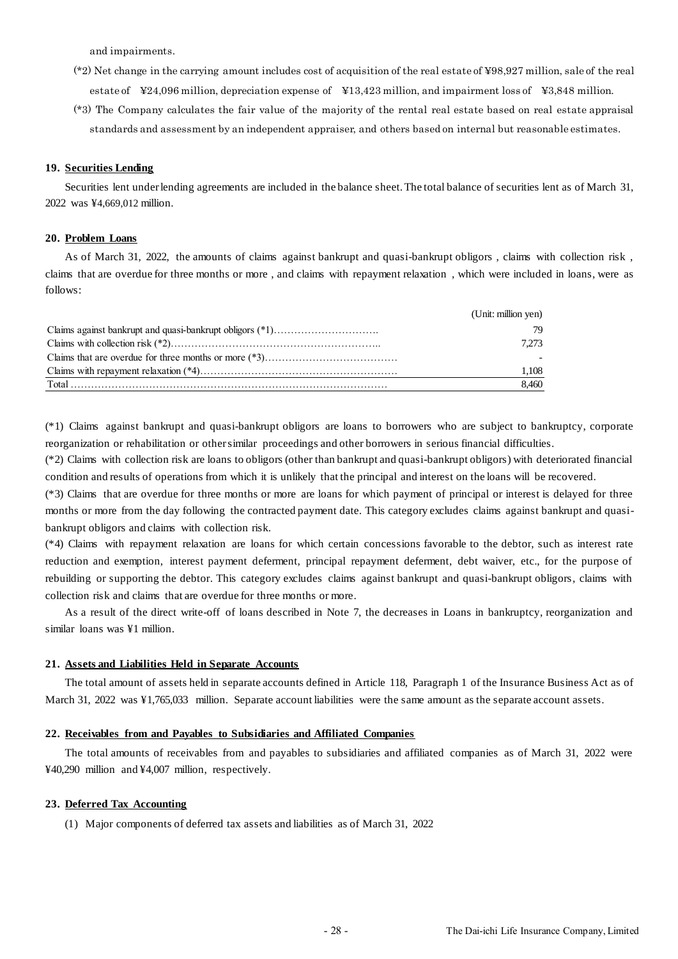and impairments.

- (\*2) Net change in the carrying amount includes cost of acquisition of the real estate of ¥98,927 million, sale of the real estate of ¥24,096 million, depreciation expense of ¥13,423 million, and impairment loss of ¥3,848 million.
- (\*3) The Company calculates the fair value of the majority of the rental real estate based on real estate appraisal standards and assessment by an independent appraiser, and others based on internal but reasonable estimates.

#### **19. Securities Lending**

Securities lent under lending agreements are included in the balance sheet. The total balance of securities lent as of March 31, 2022 was ¥4,669,012 million.

#### **20. Problem Loans**

As of March 31, 2022, the amounts of claims against bankrupt and quasi-bankrupt obligors, claims with collection risk, claims that are overdue for three months or more , and claims with repayment relaxation , which were included in loans, were as follows:

|                                                                                                                                                                                                                                                                                                                                                                                                                                                                                                                                                                                  | (Unit: million yen) |
|----------------------------------------------------------------------------------------------------------------------------------------------------------------------------------------------------------------------------------------------------------------------------------------------------------------------------------------------------------------------------------------------------------------------------------------------------------------------------------------------------------------------------------------------------------------------------------|---------------------|
|                                                                                                                                                                                                                                                                                                                                                                                                                                                                                                                                                                                  | 79                  |
|                                                                                                                                                                                                                                                                                                                                                                                                                                                                                                                                                                                  | 7.273               |
|                                                                                                                                                                                                                                                                                                                                                                                                                                                                                                                                                                                  |                     |
|                                                                                                                                                                                                                                                                                                                                                                                                                                                                                                                                                                                  | 1.108               |
| $\begin{minipage}{0.9\linewidth} Total \begin{minipage}{0.9\linewidth} \centering \end{minipage} \begin{minipage}{0.9\linewidth} \centering \end{minipage} \begin{minipage}{0.9\linewidth} \centering \end{minipage} \begin{minipage}{0.9\linewidth} \centering \end{minipage} \begin{minipage}{0.9\linewidth} \centering \end{minipage} \begin{minipage}{0.9\linewidth} \centering \end{minipage} \begin{minipage}{0.9\linewidth} \centering \end{minipage} \begin{minipage}{0.9\linewidth} \centering \end{minipage} \begin{minipage}{0.9\linewidth} \centering \end{minipage$ | 8.460               |

(\*1) Claims against bankrupt and quasi-bankrupt obligors are loans to borrowers who are subject to bankruptcy, corporate reorganization or rehabilitation or other similar proceedings and other borrowers in serious financial difficulties.

(\*2) Claims with collection risk are loans to obligors (other than bankrupt and quasi-bankrupt obligors) with deteriorated financial condition and results of operations from which it is unlikely that the principal and interest on the loans will be recovered.

(\*3) Claims that are overdue for three months or more are loans for which payment of principal or interest is delayed for three months or more from the day following the contracted payment date. This category excludes claims against bankrupt and quasibankrupt obligors and claims with collection risk.

(\*4) Claims with repayment relaxation are loans for which certain concessions favorable to the debtor, such as interest rate reduction and exemption, interest payment deferment, principal repayment deferment, debt waiver, etc., for the purpose of rebuilding or supporting the debtor. This category excludes claims against bankrupt and quasi-bankrupt obligors, claims with collection risk and claims that are overdue for three months or more.

As a result of the direct write-off of loans described in Note 7, the decreases in Loans in bankruptcy, reorganization and similar loans was ¥1 million.

#### **21. Assets and Liabilities Held in Separate Accounts**

The total amount of assets held in separate accounts defined in Article 118, Paragraph 1 of the Insurance Business Act as of March 31, 2022 was ¥1,765,033 million. Separate account liabilities were the same amount as the separate account assets.

#### **22. Receivables from and Payables to Subsidiaries and Affiliated Companies**

The total amounts of receivables from and payables to subsidiaries and affiliated companies as of March 31, 2022 were ¥40,290 million and ¥4,007 million, respectively.

#### **23. Deferred Tax Accounting**

(1) Major components of deferred tax assets and liabilities as of March 31, 2022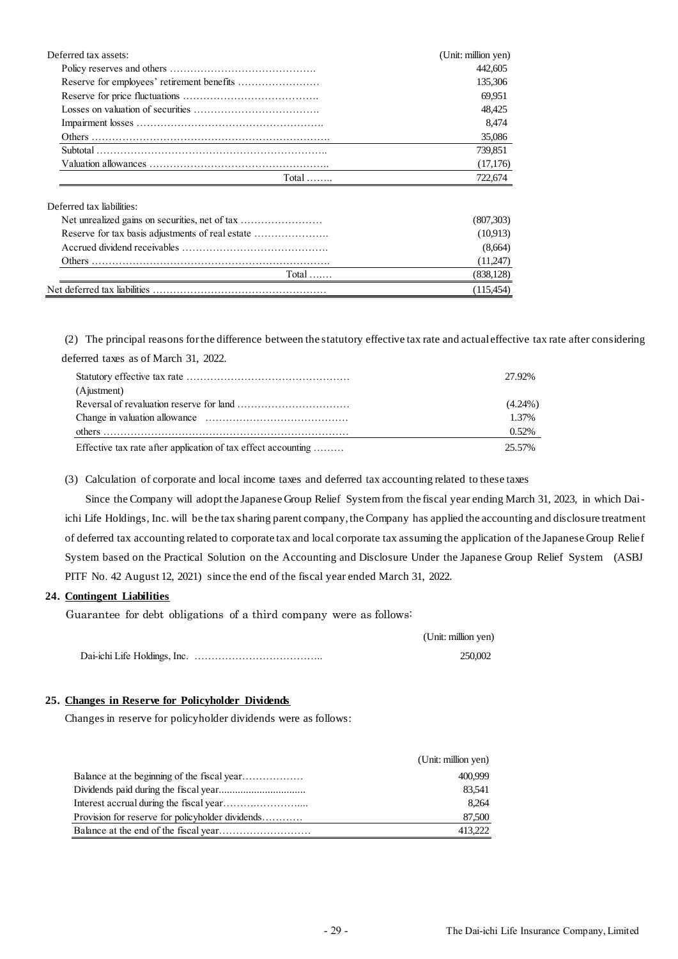| Deferred tax assets:                             | (Unit: million yen) |
|--------------------------------------------------|---------------------|
|                                                  | 442,605             |
|                                                  | 135,306             |
|                                                  | 69,951              |
|                                                  | 48,425              |
|                                                  | 8,474               |
|                                                  | 35,086              |
|                                                  | 739,851             |
|                                                  | (17,176)            |
| Total $\dots$                                    | 722,674             |
| Deferred tax liabilities:                        |                     |
| Net unrealized gains on securities, net of tax   | (807,303)           |
| Reserve for tax basis adjustments of real estate | (10,913)            |
|                                                  | (8,664)             |
|                                                  | (11,247)            |
| Total $\dots$                                    | (838, 128)          |
|                                                  | (115, 454)          |

(2) The principal reasons for the difference between the statutory effective tax rate and actual effective tax rate after considering

deferred taxes as of March 31, 2022.

|                                                               | 27.92%     |
|---------------------------------------------------------------|------------|
| (Ajustment)                                                   |            |
|                                                               | $(4.24\%)$ |
|                                                               | 1.37%      |
|                                                               | 0.52%      |
| Effective tax rate after application of tax effect accounting | 25.57%     |

(3) Calculation of corporate and local income taxes and deferred tax accounting related to these taxes

Since the Company will adopt the Japanese Group Relief System from the fiscal year ending March 31, 2023, in which Daiichi Life Holdings, Inc. will be the tax sharing parent company, the Company has applied the accounting and disclosure treatment of deferred tax accounting related to corporate tax and local corporate tax assuming the application of the Japanese Group Relief System based on the Practical Solution on the Accounting and Disclosure Under the Japanese Group Relief System (ASBJ PITF No. 42 August 12, 2021) since the end of the fiscal year ended March 31, 2022.

## **24. Contingent Liabilities**

Guarantee for debt obligations of a third company were as follows:

| (Unit: million yen) |
|---------------------|
| 250,002             |

# **25. Changes in Reserve for Policyholder Dividends**

Changes in reserve for policyholder dividends were as follows:

|                                                  | (Unit: million yen) |
|--------------------------------------------------|---------------------|
| Balance at the beginning of the fiscal year      | 400.999             |
|                                                  | 83,541              |
|                                                  | 8.264               |
| Provision for reserve for policyholder dividends | 87,500              |
|                                                  | 413,222             |
|                                                  |                     |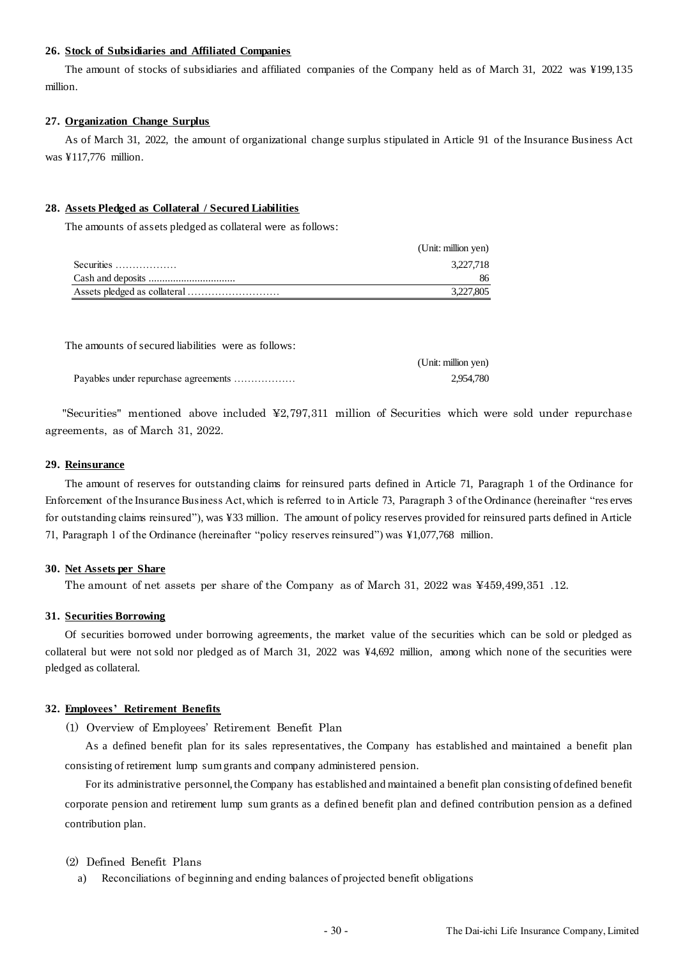#### **26. Stock of Subsidiaries and Affiliated Companies**

The amount of stocks of subsidiaries and affiliated companies of the Company held as of March 31, 2022 was ¥199,135 million.

#### **27. Organization Change Surplus**

As of March 31, 2022, the amount of organizational change surplus stipulated in Article 91 of the Insurance Business Act was ¥117,776 million.

#### **28. Assets Pledged as Collateral / Secured Liabilities**

The amounts of assets pledged as collateral were as follows:

|            | (Unit: million yen) |
|------------|---------------------|
| Securities | 3.227.718           |
|            |                     |
|            | 3,227,805           |

The amounts of secured liabilities were as follows:

|                                      | (Unit: million yen) |
|--------------------------------------|---------------------|
| Payables under repurchase agreements | 2.954.780           |

"Securities" mentioned above included  $\frac{42,797,311}{2}$  million of Securities which were sold under repurchase agreements, as of March 31, 2022.

#### **29. Reinsurance**

The amount of reserves for outstanding claims for reinsured parts defined in Article 71, Paragraph 1 of the Ordinance for Enforcement of the Insurance Business Act, which is referred to in Article 73, Paragraph 3 of the Ordinance (hereinafter "res erves for outstanding claims reinsured"), was ¥33 million. The amount of policy reserves provided for reinsured parts defined in Article 71, Paragraph 1 of the Ordinance (hereinafter "policy reserves reinsured") was ¥1,077,768 million.

#### **30. Net Assets per Share**

The amount of net assets per share of the Company as of March 31, 2022 was ¥459,499,351 .12.

#### **31. Securities Borrowing**

Of securities borrowed under borrowing agreements, the market value of the securities which can be sold or pledged as collateral but were not sold nor pledged as of March 31, 2022 was ¥4,692 million, among which none of the securities were pledged as collateral.

#### **32. Employees' Retirement Benefits**

(1) Overview of Employees' Retirement Benefit Plan

As a defined benefit plan for its sales representatives, the Company has established and maintained a benefit plan consisting of retirement lump sum grants and company administered pension.

For its administrative personnel, the Company has established and maintained a benefit plan consisting of defined benefit corporate pension and retirement lump sum grants as a defined benefit plan and defined contribution pension as a defined contribution plan.

#### (2) Defined Benefit Plans

Reconciliations of beginning and ending balances of projected benefit obligations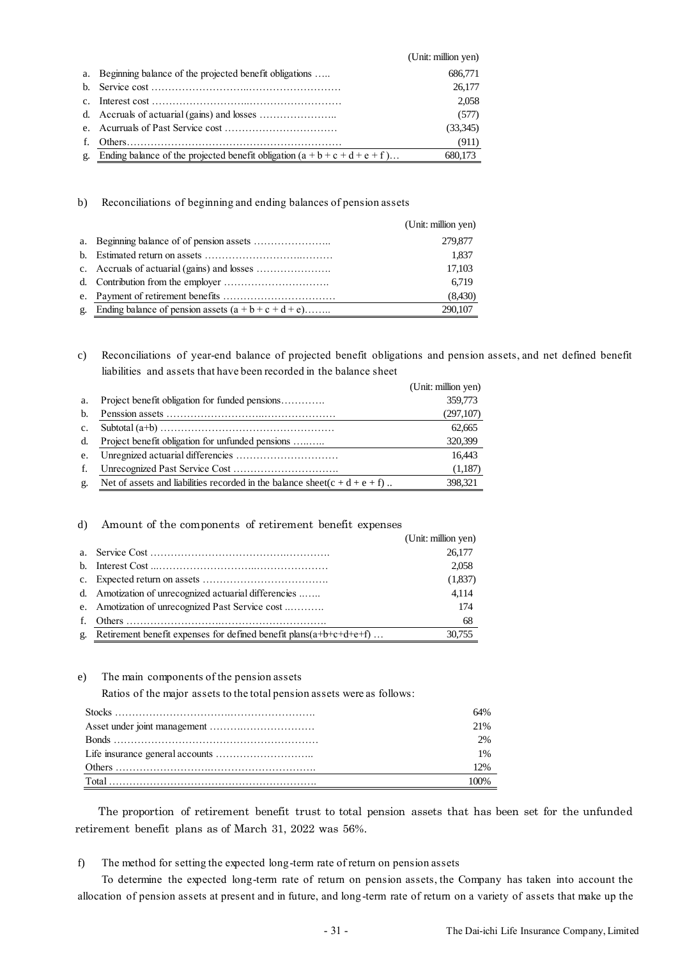|    |                                                                                 | (Unit: million yen) |
|----|---------------------------------------------------------------------------------|---------------------|
|    | a. Beginning balance of the projected benefit obligations                       | 686,771             |
|    |                                                                                 | 26,177              |
|    |                                                                                 | 2.058               |
|    |                                                                                 | (577)               |
|    |                                                                                 | (33,345)            |
| f. |                                                                                 | (911)               |
|    | g. Ending balance of the projected benefit obligation $(a + b + c + d + e + f)$ | 680.173             |

b) Reconciliations of beginning and ending balances of pension assets

|                |                                                        | (Unit: million yen) |
|----------------|--------------------------------------------------------|---------------------|
|                |                                                        | 279,877             |
|                |                                                        | 1.837               |
|                |                                                        | 17,103              |
|                |                                                        | 6.719               |
|                |                                                        | (8,430)             |
| $\mathbf{g}$ . | Ending balance of pension assets $(a + b + c + d + e)$ | 290,107             |

c) Reconciliations of year-end balance of projected benefit obligations and pension assets, and net defined benefit liabilities and assets that have been recorded in the balance sheet

|                |                                                                                 | (Unit: million yen) |
|----------------|---------------------------------------------------------------------------------|---------------------|
| a.             | Project benefit obligation for funded pensions                                  | 359,773             |
| b.             |                                                                                 | (297,107)           |
| $\mathbf{c}$ . |                                                                                 | 62.665              |
| d.             | Project benefit obligation for unfunded pensions                                | 320,399             |
| e.             |                                                                                 | 16.443              |
| f.             |                                                                                 | (1,187)             |
| g.             | Net of assets and liabilities recorded in the balance sheet( $c + d + e + f$ ). | 398.321             |

#### d) Amount of the components of retirement benefit expenses

|                |                                                                       | (Unit: million yen) |
|----------------|-----------------------------------------------------------------------|---------------------|
|                |                                                                       | 26,177              |
|                |                                                                       | 2,058               |
|                |                                                                       | (1,837)             |
|                | d. Amotization of unrecognized actuarial differencies                 | 4.114               |
|                | e. Amotization of unrecognized Past Service cost                      | 174                 |
| $f_{\cdot}$    |                                                                       | 68                  |
| $\mathbf{g}$ . | Retirement benefit expenses for defined benefit plans $(a+b+c+d+e+f)$ | 30.755              |

e) The main components of the pension assets

Ratios of the major assets to the total pension assets were as follows:

| 64% |
|-----|
| 21% |
| 2%  |
| 1%  |
| 12% |
|     |

The proportion of retirement benefit trust to total pension assets that has been set for the unfunded retirement benefit plans as of March 31, 2022 was 56%.

f) The method for setting the expected long-term rate of return on pension assets

To determine the expected long-term rate of return on pension assets, the Company has taken into account the allocation of pension assets at present and in future, and long-term rate of return on a variety of assets that make up the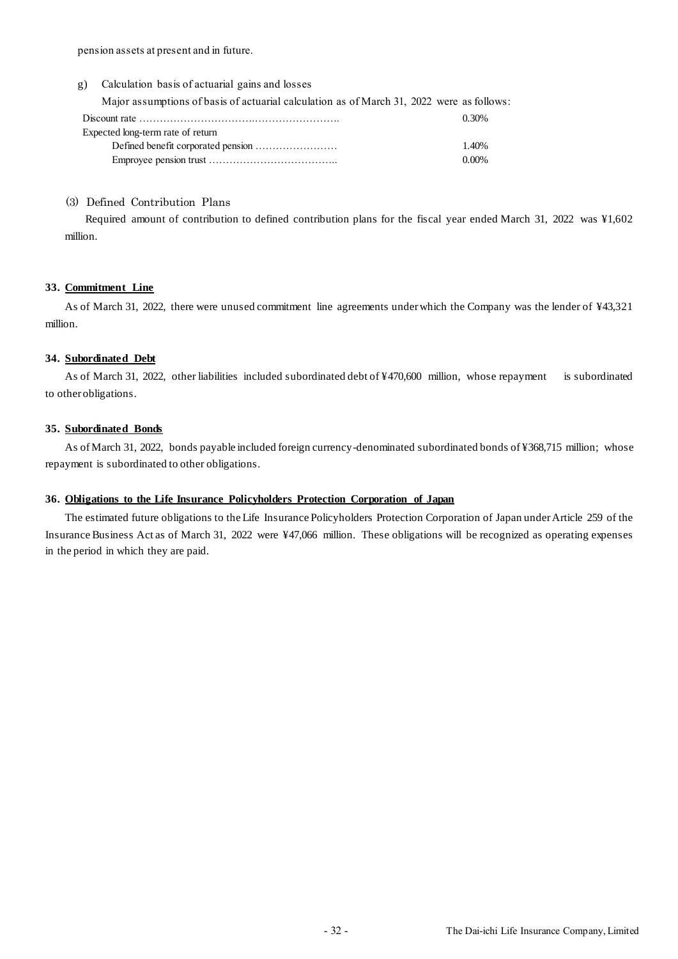pension assets at present and in future.

| Calculation basis of actuarial gains and losses<br>g) |
|-------------------------------------------------------|
|-------------------------------------------------------|

Major assumptions of basis of actuarial calculation as of March 31, 2022 were as follows:

|                                   | 0.30% |
|-----------------------------------|-------|
| Expected long-term rate of return |       |
|                                   | 1.40% |
|                                   | 0.00% |

#### (3) Defined Contribution Plans

Required amount of contribution to defined contribution plans for the fiscal year ended March 31, 2022 was ¥1,602 million.

#### **33. Commitment Line**

As of March 31, 2022, there were unused commitment line agreements under which the Company was the lender of ¥43,321 million.

### **34. Subordinated Debt**

As of March 31, 2022, other liabilities included subordinated debt of ¥470,600 million, whose repayment is subordinated to other obligations.

#### **35. Subordinated Bonds**

As of March 31, 2022, bonds payable included foreign currency-denominated subordinated bonds of ¥368,715 million; whose repayment is subordinated to other obligations.

## **36. Obligations to the Life Insurance Policyholders Protection Corporation of Japan**

The estimated future obligations to the Life Insurance Policyholders Protection Corporation of Japan under Article 259 of the Insurance Business Act as of March 31, 2022 were ¥47,066 million. These obligations will be recognized as operating expenses in the period in which they are paid.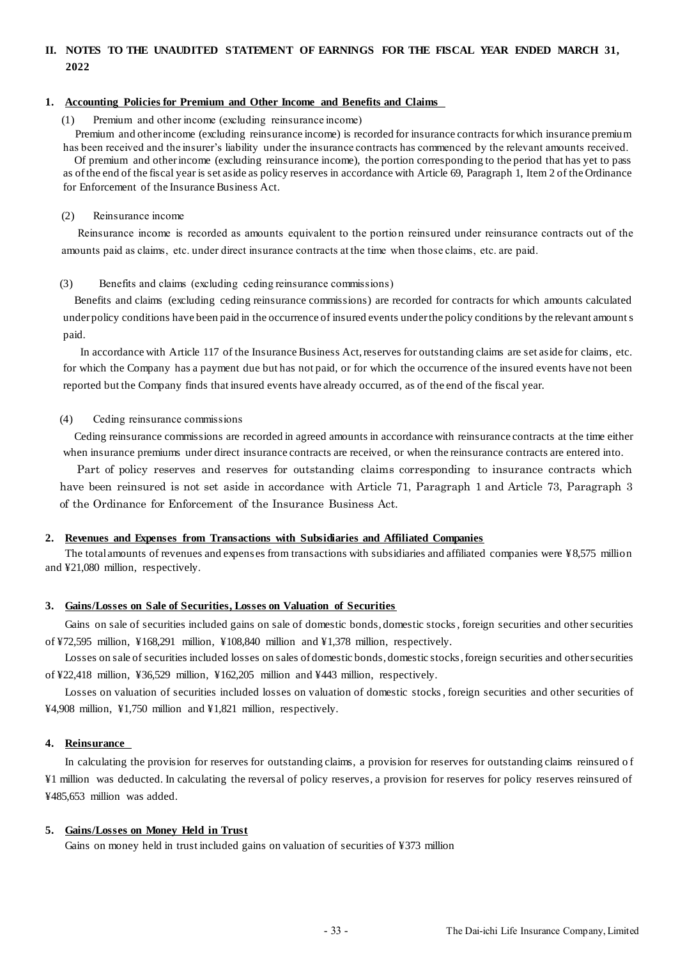# **II. NOTES TO THE UNAUDITED STATEMENT OF EARNINGS FOR THE FISCAL YEAR ENDED MARCH 31, 2022**

#### **1. Accounting Policies for Premium and Other Income and Benefits and Claims**

Premium and other income (excluding reinsurance income)

Premium and other income (excluding reinsurance income) is recorded for insurance contracts for which insurance premium has been received and the insurer's liability under the insurance contracts has commenced by the relevant amounts received.

Of premium and other income (excluding reinsurance income), the portion corresponding to the period that has yet to pass as of the end of the fiscal year is set aside as policy reserves in accordance with Article 69, Paragraph 1, Item 2 of the Ordinance for Enforcement of the Insurance Business Act.

#### (2) Reinsurance income

Reinsurance income is recorded as amounts equivalent to the portion reinsured under reinsurance contracts out of the amounts paid as claims, etc. under direct insurance contracts at the time when those claims, etc. are paid.

#### (3) Benefits and claims (excluding ceding reinsurance commissions)

Benefits and claims (excluding ceding reinsurance commissions) are recorded for contracts for which amounts calculated under policy conditions have been paid in the occurrence of insured events under the policy conditions by the relevant amounts paid.

In accordance with Article 117 of the Insurance Business Act, reserves for outstanding claims are set aside for claims, etc. for which the Company has a payment due but has not paid, or for which the occurrence of the insured events have not been reported but the Company finds that insured events have already occurred, as of the end of the fiscal year.

#### (4) Ceding reinsurance commissions

Ceding reinsurance commissions are recorded in agreed amounts in accordance with reinsurance contracts at the time either when insurance premiums under direct insurance contracts are received, or when the reinsurance contracts are entered into.

Part of policy reserves and reserves for outstanding claims corresponding to insurance contracts which have been reinsured is not set aside in accordance with Article 71, Paragraph 1 and Article 73, Paragraph 3 of the Ordinance for Enforcement of the Insurance Business Act.

## **2. Revenues and Expenses from Transactions with Subsidiaries and Affiliated Companies**

The total amounts of revenues and expens es from transactions with subsidiaries and affiliated companies were ¥8,575 million and ¥21,080 million, respectively.

#### **3. Gains/Losses on Sale of Securities, Losses on Valuation of Securities**

Gains on sale of securities included gains on sale of domestic bonds, domestic stocks, foreign securities and other securities of ¥72,595 million, ¥168,291 million, ¥108,840 million and ¥1,378 million, respectively.

Losses on sale of securities included losses on sales of domestic bonds, domestic stocks, foreign securities and other securities of ¥22,418 million, ¥36,529 million, ¥162,205 million and ¥443 million, respectively.

Losses on valuation of securities included losses on valuation of domestic stocks, foreign securities and other securities of ¥4,908 million, ¥1,750 million and ¥1,821 million, respectively.

#### **4. Reinsurance**

In calculating the provision for reserves for outstanding claims, a provision for reserves for outstanding claims reinsured o f ¥1 million was deducted. In calculating the reversal of policy reserves, a provision for reserves for policy reserves reinsured of ¥485,653 million was added.

#### **5. Gains/Losses on Money Held in Trust**

Gains on money held in trust included gains on valuation of securities of ¥373 million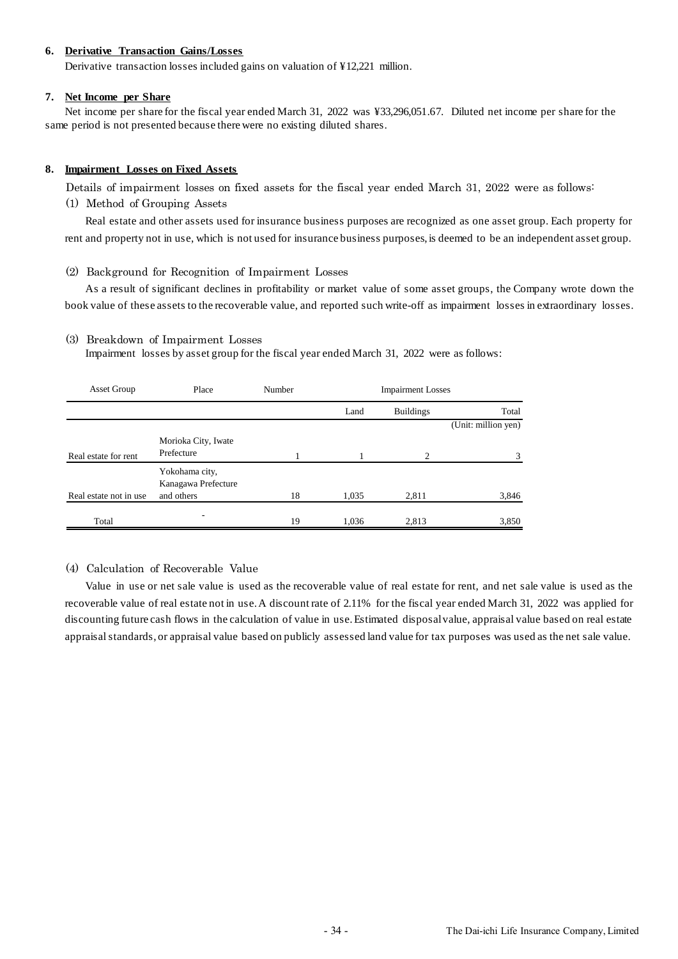### **6. Derivative Transaction Gains/Losses**

Derivative transaction losses included gains on valuation of ¥12,221 million.

### **7. Net Income per Share**

Net income per share for the fiscal year ended March 31, 2022 was ¥33,296,051.67. Diluted net income per share for the same period is not presented because there were no existing diluted shares.

### **8. Impairment Losses on Fixed Assets**

Details of impairment losses on fixed assets for the fiscal year ended March 31, 2022 were as follows:

(1) Method of Grouping Assets

Real estate and other assets used for insurance business purposes are recognized as one asset group. Each property for rent and property not in use, which is not used for insurance business purposes, is deemed to be an independent asset group.

(2) Background for Recognition of Impairment Losses

As a result of significant declines in profitability or market value of some asset groups, the Company wrote down the book value of these assets to the recoverable value, and reported such write-off as impairment losses in extraordinary losses.

### (3) Breakdown of Impairment Losses

Impairment losses by asset group for the fiscal year ended March 31, 2022 were as follows:

| Asset Group             | Place               | Number | <b>Impairment Losses</b> |                  |                     |
|-------------------------|---------------------|--------|--------------------------|------------------|---------------------|
|                         |                     |        | Land                     | <b>Buildings</b> | Total               |
|                         |                     |        |                          |                  | (Unit: million yen) |
|                         | Morioka City, Iwate |        |                          |                  |                     |
| Real estate for rent    | Prefecture          |        |                          | $\overline{c}$   |                     |
|                         | Yokohama city,      |        |                          |                  |                     |
|                         | Kanagawa Prefecture |        |                          |                  |                     |
| Real estate not in use. | and others          | 18     | 1,035                    | 2,811            | 3,846               |
| Total                   | ۰                   | 19     | 1,036                    | 2,813            | 3,850               |

# (4) Calculation of Recoverable Value

Value in use or net sale value is used as the recoverable value of real estate for rent, and net sale value is used as the recoverable value of real estate not in use. A discount rate of 2.11% for the fiscal year ended March 31, 2022 was applied for discounting future cash flows in the calculation of value in use. Estimated disposal value, appraisal value based on real estate appraisal standards, or appraisal value based on publicly assessed land value for tax purposes was used as the net sale value.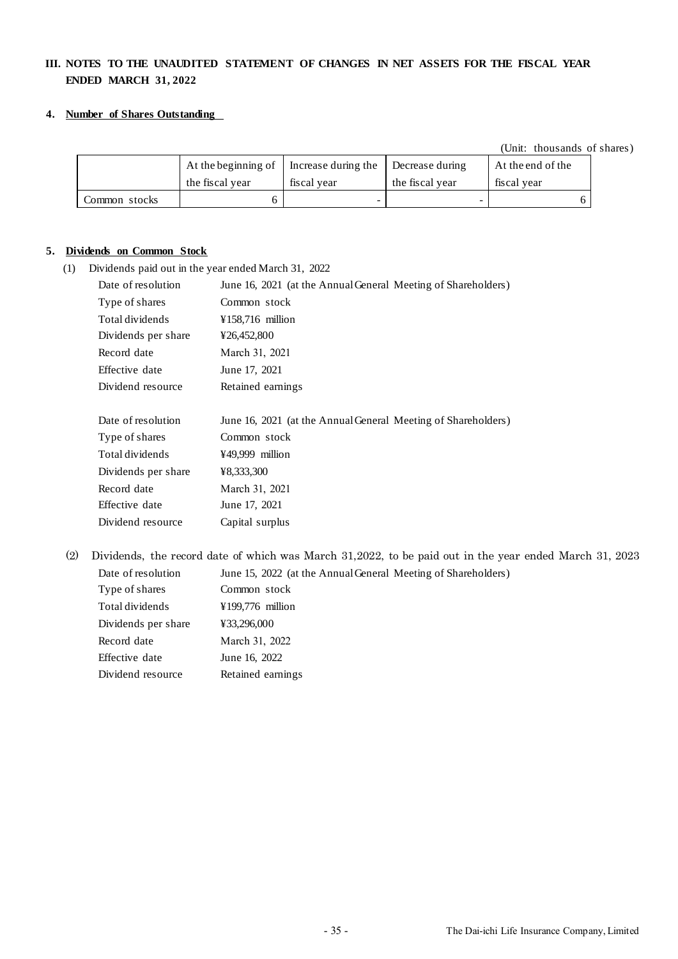# **III. NOTES TO THE UNAUDITED STATEMENT OF CHANGES IN NET ASSETS FOR THE FISCAL YEAR ENDED MARCH 31, 2022**

### **4. Number of Shares Outstanding**

(Unit: thousands of shares)

|               | At the beginning of | Increase during the | Decrease during | At the end of the |
|---------------|---------------------|---------------------|-----------------|-------------------|
|               | the fiscal year     | fiscal vear         | the fiscal vear | fiscal vear       |
| Common stocks |                     |                     | -               |                   |

### **5. Dividends on Common Stock**

(1) Dividends paid out in the year ended March 31, 2022

| Date of resolution  | June 16, 2021 (at the Annual General Meeting of Shareholders) |
|---------------------|---------------------------------------------------------------|
| Type of shares      | Common stock                                                  |
| Total dividends     | ¥158,716 million                                              |
| Dividends per share | ¥26,452,800                                                   |
| Record date         | March 31, 2021                                                |
| Effective date      | June 17, 2021                                                 |
| Dividend resource   | Retained earnings                                             |
|                     |                                                               |
|                     |                                                               |
| Date of resolution  | June 16, 2021 (at the Annual General Meeting of Shareholders) |
| Type of shares      | Common stock                                                  |
| Total dividends     | ¥49,999 million                                               |
| Dividends per share | ¥8,333,300                                                    |
| Record date         | March 31, 2021                                                |
| Effective date      | June 17, 2021                                                 |

(2) Dividends, the record date of which was March 31,2022, to be paid out in the year ended March 31, 2023 Date of resolution June 15, 2022 (at the Annual General Meeting of Shareholders)

| Dail vi resviativn  | JUIIL IJ, 2022 (At |
|---------------------|--------------------|
| Type of shares      | Common stock       |
| Total dividends     | ¥199,776 million   |
| Dividends per share | ¥33,296,000        |
| Record date         | March 31, 2022     |
| Effective date      | June 16, 2022      |
| Dividend resource   | Retained earnings  |
|                     |                    |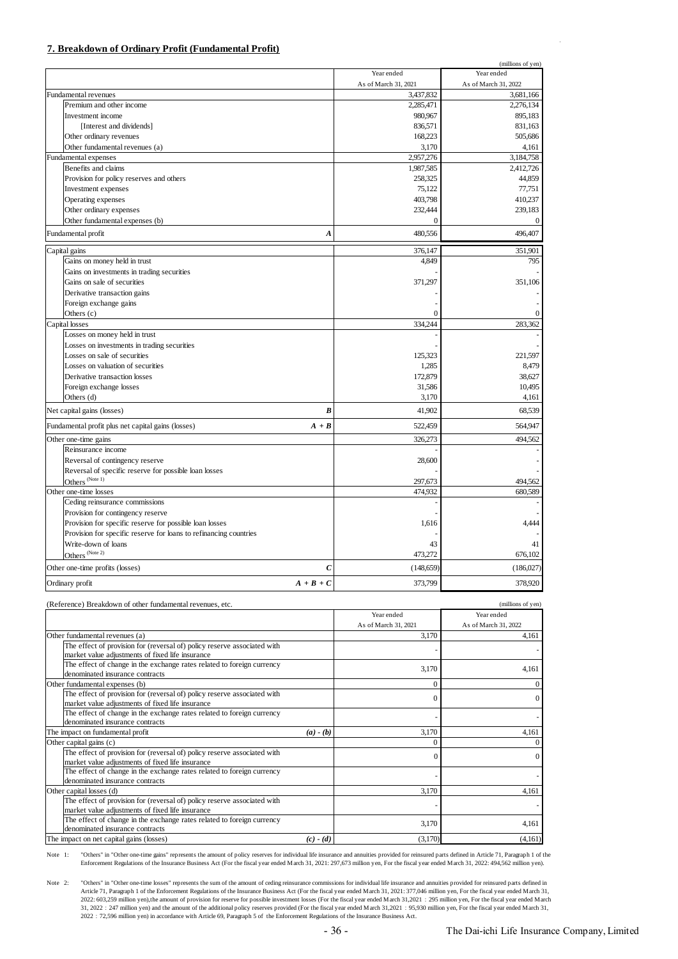### **7. Breakdown of Ordinary Profit (Fundamental Profit)**

|                                                                   |                      | (millions of yen)    |
|-------------------------------------------------------------------|----------------------|----------------------|
|                                                                   | Year ended           | Year ended           |
|                                                                   | As of March 31, 2021 | As of March 31, 2022 |
| <b>Fundamental revenues</b>                                       | 3,437,832            | 3.681.166            |
| Premium and other income                                          | 2,285,471            | 2,276,134            |
| Investment income                                                 | 980,967              | 895,183              |
| [Interest and dividends]                                          | 836,571              | 831,163              |
| Other ordinary revenues                                           | 168,223              | 505,686              |
| Other fundamental revenues (a)                                    | 3,170                | 4,161                |
| Fundamental expenses                                              | 2,957,276            | 3,184,758            |
| Benefits and claims                                               | 1,987,585            | 2,412,726            |
| Provision for policy reserves and others                          | 258,325              | 44,859               |
| Investment expenses                                               | 75,122               | 77,751               |
| Operating expenses                                                | 403,798              | 410,237              |
| Other ordinary expenses                                           | 232,444              | 239,183              |
| Other fundamental expenses (b)                                    | $\overline{0}$       | $\mathbf{0}$         |
| Fundamental profit<br>$\boldsymbol{A}$                            | 480,556              | 496,407              |
| Capital gains                                                     | 376,147              | 351,901              |
| Gains on money held in trust                                      | 4,849                | 795                  |
| Gains on investments in trading securities                        |                      |                      |
| Gains on sale of securities                                       | 371,297              | 351,106              |
| Derivative transaction gains                                      |                      |                      |
| Foreign exchange gains                                            |                      |                      |
| Others (c)                                                        | O                    | $\mathbf{0}$         |
| Capital losses                                                    | 334,244              | 283,362              |
| Losses on money held in trust                                     |                      |                      |
| Losses on investments in trading securities                       |                      |                      |
| Losses on sale of securities                                      | 125,323              | 221,597              |
| Losses on valuation of securities                                 | 1,285                | 8,479                |
| Derivative transaction losses                                     | 172,879              | 38,627               |
| Foreign exchange losses                                           | 31,586               | 10,495               |
| Others (d)                                                        | 3,170                | 4,161                |
|                                                                   |                      |                      |
| B<br>Net capital gains (losses)                                   | 41,902               | 68.539               |
| Fundamental profit plus net capital gains (losses)<br>$A + B$     | 522,459              | 564,947              |
| Other one-time gains                                              | 326,273              | 494,562              |
| Reinsurance income                                                |                      |                      |
| Reversal of contingency reserve                                   | 28,600               |                      |
| Reversal of specific reserve for possible loan losses             |                      |                      |
| Others <sup>(Note 1)</sup>                                        | 297,673              | 494,562              |
| Other one-time losses                                             | 474,932              | 680,589              |
| Ceding reinsurance commissions                                    |                      |                      |
| Provision for contingency reserve                                 |                      |                      |
| Provision for specific reserve for possible loan losses           | 1,616                | 4.444                |
| Provision for specific reserve for loans to refinancing countries |                      |                      |
| Write-down of loans                                               | 43                   | 41                   |
| Others <sup>(Note 2)</sup>                                        | 473,272              | 676,102              |
| Other one-time profits (losses)<br>$\mathcal C$                   | (148, 659)           | (186,027)            |
| Ordinary profit<br>$A + B + C$                                    | 373,799              | 378,920              |

| (Reference) Breakdown of other fundamental revenues, etc.                                                                    |             |                      | (millions of yen)    |
|------------------------------------------------------------------------------------------------------------------------------|-------------|----------------------|----------------------|
|                                                                                                                              |             | Year ended           | Year ended           |
|                                                                                                                              |             | As of March 31, 2021 | As of March 31, 2022 |
| Other fundamental revenues (a)                                                                                               |             | 3.170                | 4.161                |
| The effect of provision for (reversal of) policy reserve associated with<br>market value adjustments of fixed life insurance |             |                      |                      |
| The effect of change in the exchange rates related to foreign currency<br>denominated insurance contracts                    |             | 3,170                | 4,161                |
| Other fundamental expenses (b)                                                                                               |             | $\Omega$             | $\Omega$             |
| The effect of provision for (reversal of) policy reserve associated with<br>market value adjustments of fixed life insurance |             | $\Omega$             | $\Omega$             |
| The effect of change in the exchange rates related to foreign currency<br>denominated insurance contracts                    |             |                      |                      |
| The impact on fundamental profit                                                                                             | $(a) - (b)$ | 3.170                | 4.161                |
| Other capital gains (c)                                                                                                      |             |                      | $\Omega$             |
| The effect of provision for (reversal of) policy reserve associated with<br>market value adjustments of fixed life insurance |             | $\Omega$             | $\Omega$             |
| The effect of change in the exchange rates related to foreign currency<br>denominated insurance contracts                    |             |                      |                      |
| Other capital losses (d)                                                                                                     |             | 3,170                | 4.161                |
| The effect of provision for (reversal of) policy reserve associated with<br>market value adjustments of fixed life insurance |             |                      |                      |
| The effect of change in the exchange rates related to foreign currency<br>denominated insurance contracts                    |             | 3,170                | 4,161                |
| The impact on net capital gains (losses)                                                                                     | $(c) - (d)$ | (3,170)              | (4,161)              |

Note 1: "Others" in "Other one-time gains" represents the amount of policy reserves for individual life insurance and annuities provided for reinsured parts defined in Article 71, Paragraph 1 of the Enforcement Regulations of the Insurance Business Act (For the fiscal year ended March 31, 2021: 297,673 million yen, For the fiscal year ended March 31, 2022: 494,562 million yen).

Note 2: "Others" in "Other one-time losses" represents the sum of the amount of ceding reinsurance commissions for individual life insurance and amnuities provided for reinsured parts defined in<br>Article 71, Paragraph 1 of the Enfo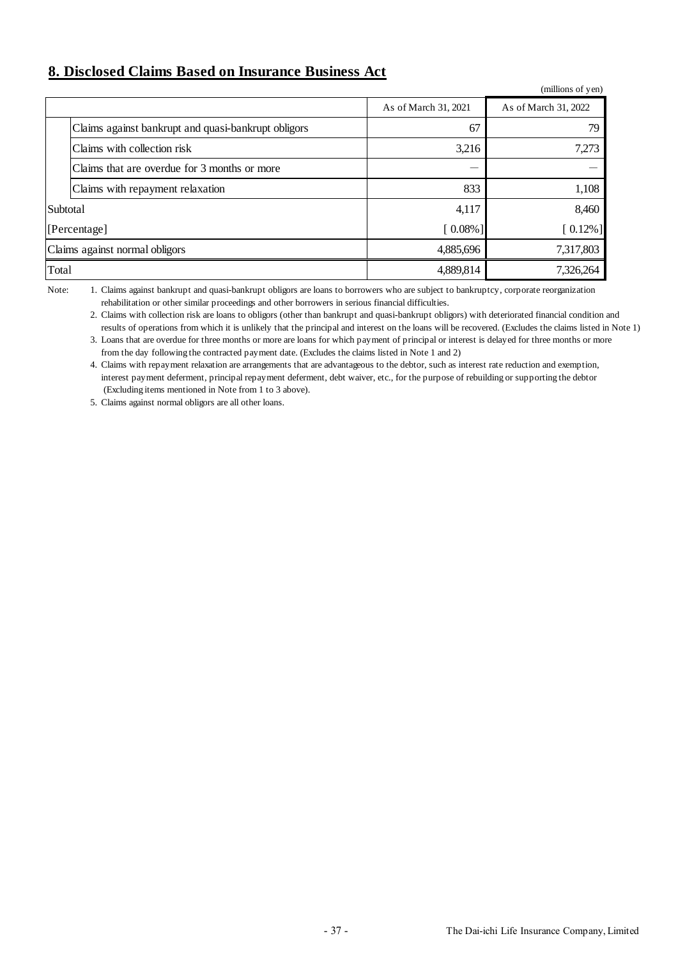# **8. Disclosed Claims Based on Insurance Business Act**

|                                |                                                     |                      | (millions of yen)    |
|--------------------------------|-----------------------------------------------------|----------------------|----------------------|
|                                |                                                     | As of March 31, 2021 | As of March 31, 2022 |
|                                | Claims against bankrupt and quasi-bankrupt obligors | 67                   | 79.                  |
|                                | Claims with collection risk                         | 3,216                | 7,273                |
|                                | Claims that are overdue for 3 months or more        |                      |                      |
|                                | Claims with repayment relaxation                    | 833                  | 1,108                |
| Subtotal                       |                                                     | 4,117                | 8,460                |
| [Percentage]                   |                                                     | $[0.08\%]$           | $[0.12\%]$           |
| Claims against normal obligors |                                                     | 4,885,696            | 7,317,803            |
| Total                          |                                                     | 4,889,814            | 7,326,264            |

Note: rehabilitation or other similar proceedings and other borrowers in serious financial difficulties. Claims against bankrupt and quasi-bankrupt obligors are loans to borrowers who are subject to bankruptcy, corporate reorganization

2. Claims with collection risk are loans to obligors (other than bankrupt and quasi-bankrupt obligors) with deteriorated financial condition and results of operations from which it is unlikely that the principal and interest on the loans will be recovered. (Excludes the claims listed in Note 1)

3. Loans that are overdue for three months or more are loans for which payment of principal or interest is delayed for three months or more from the day following the contracted payment date. (Excludes the claims listed in Note 1 and 2)

4. Claims with repayment relaxation are arrangements that are advantageous to the debtor, such as interest rate reduction and exemption, interest payment deferment, principal repayment deferment, debt waiver, etc., for the purpose of rebuilding or supporting the debtor (Excluding items mentioned in Note from 1 to 3 above).

5. Claims against normal obligors are all other loans.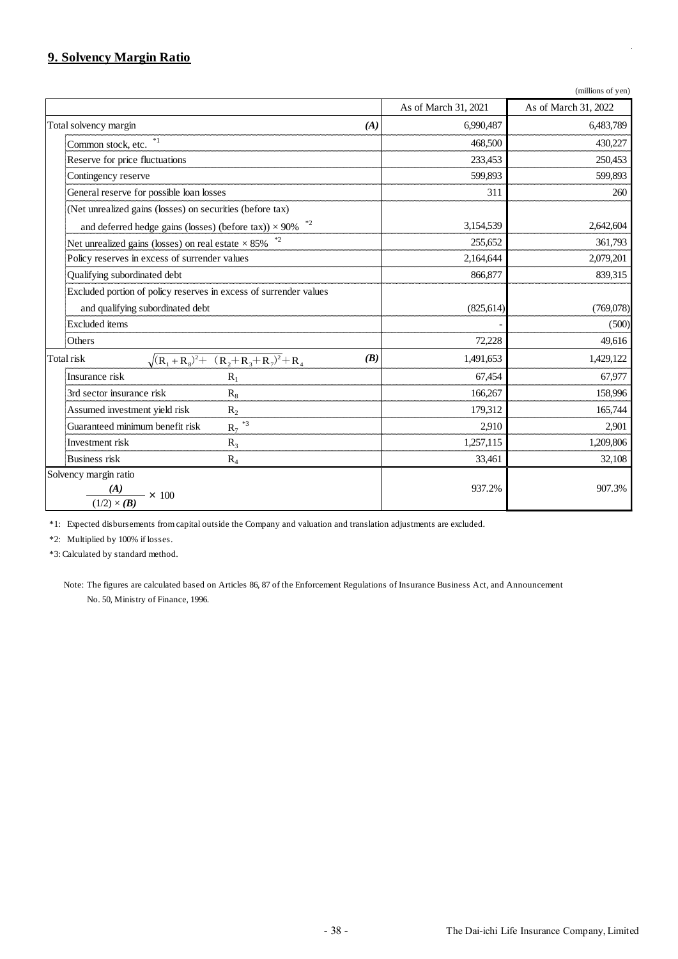# **9. Solvency Margin Ratio**

|                                                                      | As of March 31, 2021 | As of March 31, 2022 |
|----------------------------------------------------------------------|----------------------|----------------------|
| Total solvency margin<br>(A)                                         | 6,990,487            | 6,483,789            |
| $*1$<br>Common stock, etc.                                           | 468,500              | 430,227              |
| Reserve for price fluctuations                                       | 233,453              | 250,453              |
| Contingency reserve                                                  | 599,893              | 599,893              |
| General reserve for possible loan losses                             | 311                  | 260                  |
| (Net unrealized gains (losses) on securities (before tax)            |                      |                      |
| $*2$<br>and deferred hedge gains (losses) (before tax)) $\times$ 90% | 3,154,539            | 2,642,604            |
| Net unrealized gains (losses) on real estate $\times$ 85% $^{*2}$    | 255,652              | 361,793              |
| Policy reserves in excess of surrender values                        | 2,164,644            | 2,079,201            |
| Qualifying subordinated debt                                         | 866,877              | 839,315              |
| Excluded portion of policy reserves in excess of surrender values    |                      |                      |
| and qualifying subordinated debt                                     | (825, 614)           | (769,078)            |
| Excluded items                                                       |                      | (500)                |
| Others                                                               | 72,228               | 49,616               |
| $\sqrt{(R_1+R_8)^2+(R_2+R_3+R_7)^2}+R_4$<br>(B)<br>Total risk        | 1,491,653            | 1,429,122            |
| Insurance risk<br>$R_1$                                              | 67,454               | 67,977               |
| 3rd sector insurance risk<br>$R_8$                                   | 166,267              | 158,996              |
| Assumed investment yield risk<br>$R_2$                               | 179,312              | 165,744              |
| $R_7$ <sup>*3</sup><br>Guaranteed minimum benefit risk               | 2,910                | 2,901                |
| Investment risk<br>$R_3$                                             | 1,257,115            | 1,209,806            |
| <b>Business</b> risk<br>$R_4$                                        | 33,461               | 32,108               |
| Solvency margin ratio<br>$\frac{(A)}{(1/2) \times (B)} \times 100$   | 937.2%               | 907.3%               |

\*1: Expected disbursements from capital outside the Company and valuation and translation adjustments are excluded.

\*2: Multiplied by 100% if losses.

\*3: Calculated by standard method.

Note: The figures are calculated based on Articles 86, 87 of the Enforcement Regulations of Insurance Business Act, and Announcement No. 50, Ministry of Finance, 1996.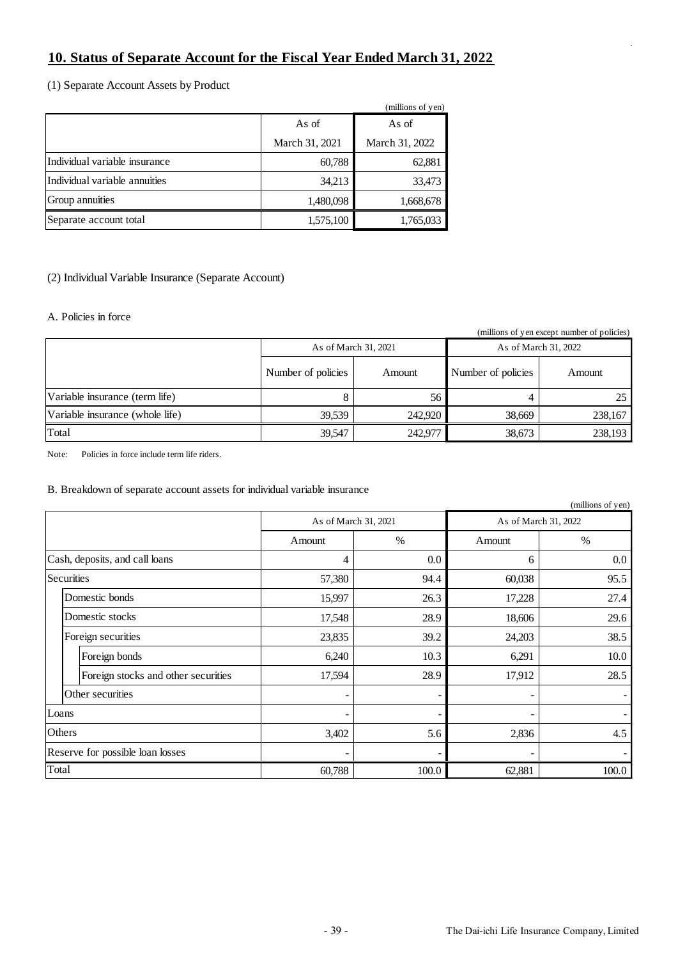# **10. Status of Separate Account for the Fiscal Year Ended March 31, 2022**

(1) Separate Account Assets by Product

|                               |                | (millions of yen) |
|-------------------------------|----------------|-------------------|
|                               | As of          |                   |
|                               | March 31, 2021 | March 31, 2022    |
| Individual variable insurance | 60,788         | 62,881            |
| Individual variable annuities | 34,213         | 33,473            |
| Group annuities               | 1,480,098      | 1,668,678         |
| Separate account total        | 1,575,100      | 1,765,033         |

## (2) Individual Variable Insurance (Separate Account)

### A. Policies in force

(millions of yen except number of policies)

|                                 | As of March 31, 2021 |         | As of March 31, 2022 |         |
|---------------------------------|----------------------|---------|----------------------|---------|
|                                 | Number of policies   | Amount  | Number of policies   | Amount  |
| Variable insurance (term life)  |                      | 56      |                      | 25      |
| Variable insurance (whole life) | 39.539               | 242,920 | 38,669               | 238,167 |
| Total                           | 39.547               | 242,977 | 38,673               | 238,193 |

Note: Policies in force include term life riders.

## B. Breakdown of separate account assets for individual variable insurance

|                                  |                                     |        |                      |        | (millions of yen)    |
|----------------------------------|-------------------------------------|--------|----------------------|--------|----------------------|
|                                  |                                     |        | As of March 31, 2021 |        | As of March 31, 2022 |
|                                  |                                     | Amount | $\%$                 | Amount | $\%$                 |
| Cash, deposits, and call loans   |                                     | 4      | 0.0                  | 6      | $0.0\,$              |
|                                  | Securities                          | 57,380 | 94.4                 | 60,038 | 95.5                 |
|                                  | Domestic bonds                      | 15,997 | 26.3                 | 17,228 | 27.4                 |
|                                  | Domestic stocks                     | 17,548 | 28.9                 | 18,606 | 29.6                 |
|                                  | Foreign securities                  | 23,835 | 39.2                 | 24,203 | 38.5                 |
|                                  | Foreign bonds                       | 6,240  | 10.3                 | 6,291  | 10.0                 |
|                                  | Foreign stocks and other securities | 17,594 | 28.9                 | 17,912 | 28.5                 |
|                                  | Other securities                    | -      |                      | -      |                      |
| Loans                            |                                     | ۰      |                      |        |                      |
| Others                           |                                     | 3,402  | 5.6                  | 2,836  | 4.5                  |
| Reserve for possible loan losses |                                     | ۰      |                      |        |                      |
| Total                            |                                     | 60,788 | 100.0                | 62,881 | 100.0                |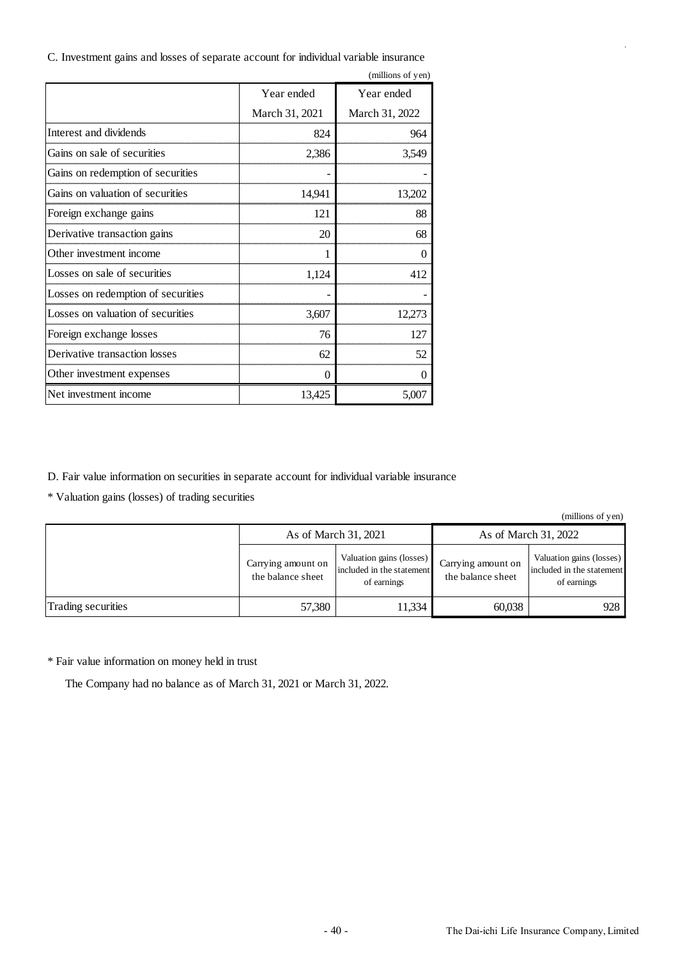| C. Investment gains and losses of separate account for individual variable insurance |  |  |  |  |
|--------------------------------------------------------------------------------------|--|--|--|--|
|                                                                                      |  |  |  |  |

|                                    |                | (millions of yen) |
|------------------------------------|----------------|-------------------|
|                                    | Year ended     | Year ended        |
|                                    | March 31, 2021 | March 31, 2022    |
| Interest and dividends             | 824            | 964               |
| Gains on sale of securities        | 2,386          | 3,549             |
| Gains on redemption of securities  |                |                   |
| Gains on valuation of securities   | 14,941         | 13,202            |
| Foreign exchange gains             | 121            | 88                |
| Derivative transaction gains       | 20             | 68                |
| Other investment income            | 1              | 0                 |
| Losses on sale of securities       | 1,124          | 412               |
| Losses on redemption of securities |                |                   |
| Losses on valuation of securities  | 3,607          | 12,273            |
| Foreign exchange losses            | 76             | 127               |
| Derivative transaction losses      | 62             | 52                |
| Other investment expenses          | $\Omega$       | 0                 |
| Net investment income              | 13,425         | 5,007             |

D. Fair value information on securities in separate account for individual variable insurance

\* Valuation gains (losses) of trading securities

(millions of yen)

|                    | As of March 31, 2021                    |                                                                      | As of March 31, 2022                    |                                                                      |
|--------------------|-----------------------------------------|----------------------------------------------------------------------|-----------------------------------------|----------------------------------------------------------------------|
|                    | Carrying amount on<br>the balance sheet | Valuation gains (losses)<br>included in the statement<br>of earnings | Carrying amount on<br>the balance sheet | Valuation gains (losses)<br>included in the statement<br>of earnings |
| Trading securities | 57,380                                  | 11,334                                                               | 60,038                                  | 928                                                                  |

 $^\ast$  Fair value information on money held in trust

The Company had no balance as of March 31, 2021 or March 31, 2022.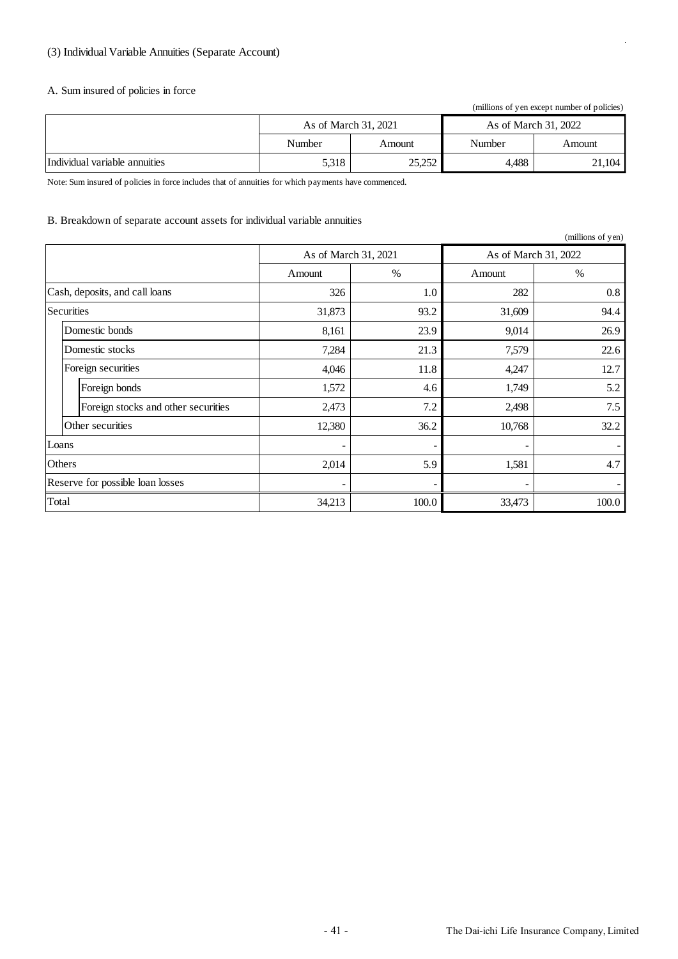## (3) Individual Variable Annuities (Separate Account)

### A. Sum insured of policies in force

(millions of yen except number of policies)

|                               | As of March 31, 2021 |        | As of March 31, 2022 |        |
|-------------------------------|----------------------|--------|----------------------|--------|
|                               | Number               | Amount | Number               | Amount |
| Individual variable annuities | 5,318                | 25,252 | 4.488                | 21,104 |

Note: Sum insured of policies in force includes that of annuities for which payments have commenced.

### B. Breakdown of separate account assets for individual variable annuities

|                                  |                                     |                      |       |                      | (millions of yen) |
|----------------------------------|-------------------------------------|----------------------|-------|----------------------|-------------------|
|                                  |                                     | As of March 31, 2021 |       | As of March 31, 2022 |                   |
|                                  |                                     | Amount               | $\%$  | Amount               | $\%$              |
| Cash, deposits, and call loans   |                                     | 326                  | 1.0   | 282                  | $0.8\,$           |
|                                  | <b>Securities</b>                   | 31,873               | 93.2  | 31,609               | 94.4              |
|                                  | Domestic bonds                      | 8,161                | 23.9  | 9,014                | 26.9              |
|                                  | Domestic stocks                     | 7,284                | 21.3  | 7,579                | 22.6              |
|                                  | Foreign securities                  | 4,046                | 11.8  | 4,247                | 12.7              |
|                                  | Foreign bonds                       | 1,572                | 4.6   | 1,749                | 5.2               |
|                                  | Foreign stocks and other securities | 2,473                | 7.2   | 2,498                | 7.5               |
|                                  | Other securities                    | 12,380               | 36.2  | 10,768               | 32.2              |
| Loans                            |                                     | ۰                    |       |                      |                   |
| Others                           |                                     | 2,014                | 5.9   | 1,581                | 4.7               |
| Reserve for possible loan losses |                                     | -                    |       |                      |                   |
| Total                            |                                     | 34,213               | 100.0 | 33,473               | 100.0             |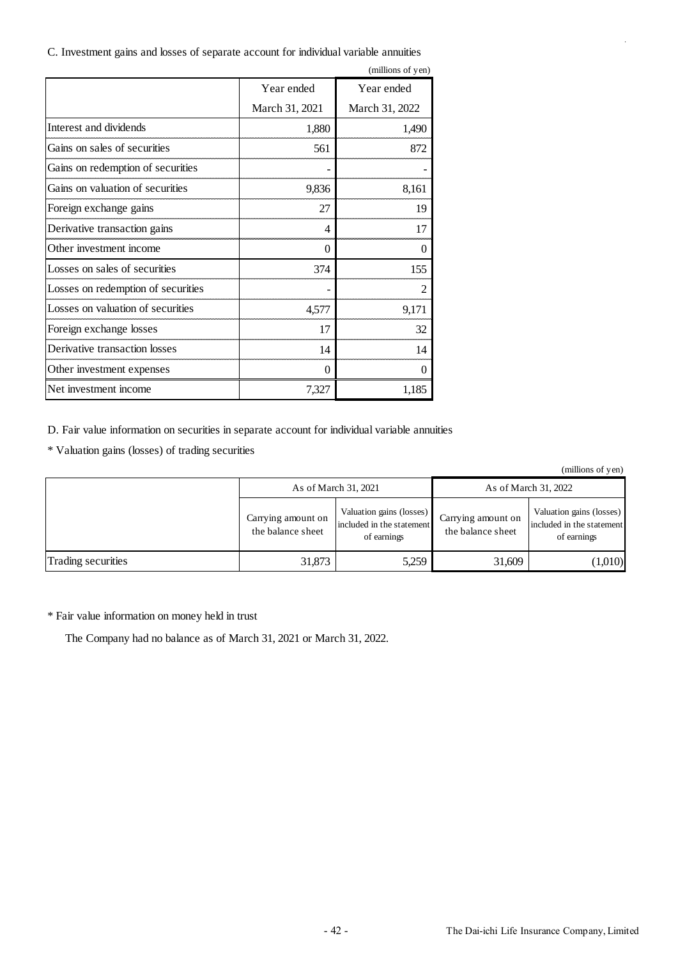C. Investment gains and losses of separate account for individual variable annuities

|                                    |                | (millions of yen) |
|------------------------------------|----------------|-------------------|
|                                    | Year ended     | Year ended        |
|                                    | March 31, 2021 | March 31, 2022    |
| Interest and dividends             | 1,880          | 1,490             |
| Gains on sales of securities       | 561            | 872               |
| Gains on redemption of securities  |                |                   |
| Gains on valuation of securities   | 9,836          | 8,161             |
| Foreign exchange gains             | 27             | 19                |
| Derivative transaction gains       | 4              | 17                |
| Other investment income            | 0              | 0                 |
| Losses on sales of securities      | 374            | 155               |
| Losses on redemption of securities |                | $\overline{2}$    |
| Losses on valuation of securities  | 4,577          | 9,171             |
| Foreign exchange losses            | 17             | 32                |
| Derivative transaction losses      | 14             | 14                |
| Other investment expenses          | $\Omega$       | $\Omega$          |
| Net investment income              | 7,327          | 1,185             |

D. Fair value information on securities in separate account for individual variable annuities

\* Valuation gains (losses) of trading securities

|                    | As of March 31, 2021                    |                                                                      | As of March 31, 2022                    |                                                                      |  |
|--------------------|-----------------------------------------|----------------------------------------------------------------------|-----------------------------------------|----------------------------------------------------------------------|--|
|                    | Carrying amount on<br>the balance sheet | Valuation gains (losses)<br>included in the statement<br>of earnings | Carrying amount on<br>the balance sheet | Valuation gains (losses)<br>included in the statement<br>of earnings |  |
| Trading securities | 31,873                                  | 5,259                                                                | 31,609                                  | (1,010)                                                              |  |

\* Fair value information on money held in trust

The Company had no balance as of March 31, 2021 or March 31, 2022.

(millions of yen)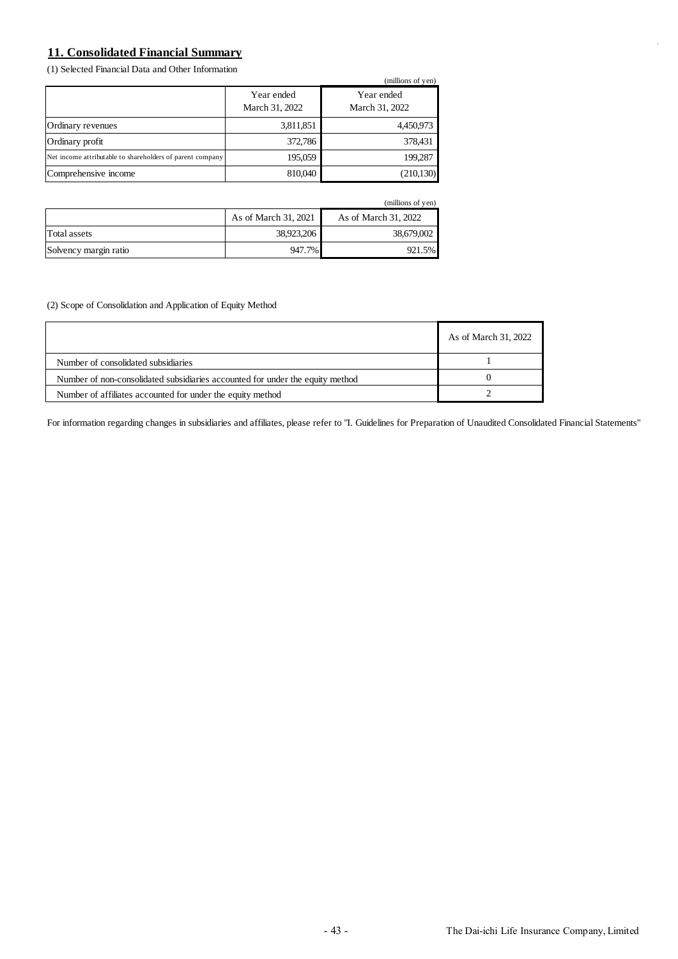# **11. Consolidated Financial Summary**

(1) Selected Financial Data and Other Information

|                                                           |                              | (millions of yen)            |
|-----------------------------------------------------------|------------------------------|------------------------------|
|                                                           | Year ended<br>March 31, 2022 | Year ended<br>March 31, 2022 |
| Ordinary revenues                                         | 3,811,851                    | 4,450,973                    |
| Ordinary profit                                           | 372,786                      | 378,431                      |
| Net income attributable to shareholders of parent company | 195,059                      | 199.287                      |
| Comprehensive income                                      | 810,040                      | (210, 130)                   |

|                       |                      | (millions of yen)    |
|-----------------------|----------------------|----------------------|
|                       | As of March 31, 2021 | As of March 31, 2022 |
| Total assets          | 38,923,206           | 38,679,002           |
| Solvency margin ratio | 947.7%               | 921.5%               |

(2) Scope of Consolidation and Application of Equity Method

|                                                                               | As of March 31, 2022 |
|-------------------------------------------------------------------------------|----------------------|
| Number of consolidated subsidiaries                                           |                      |
| Number of non-consolidated subsidiaries accounted for under the equity method |                      |
| Number of affiliates accounted for under the equity method                    |                      |

For information regarding changes in subsidiaries and affiliates, please refer to "I. Guidelines for Preparation of Unaudited Consolidated Financial Statements"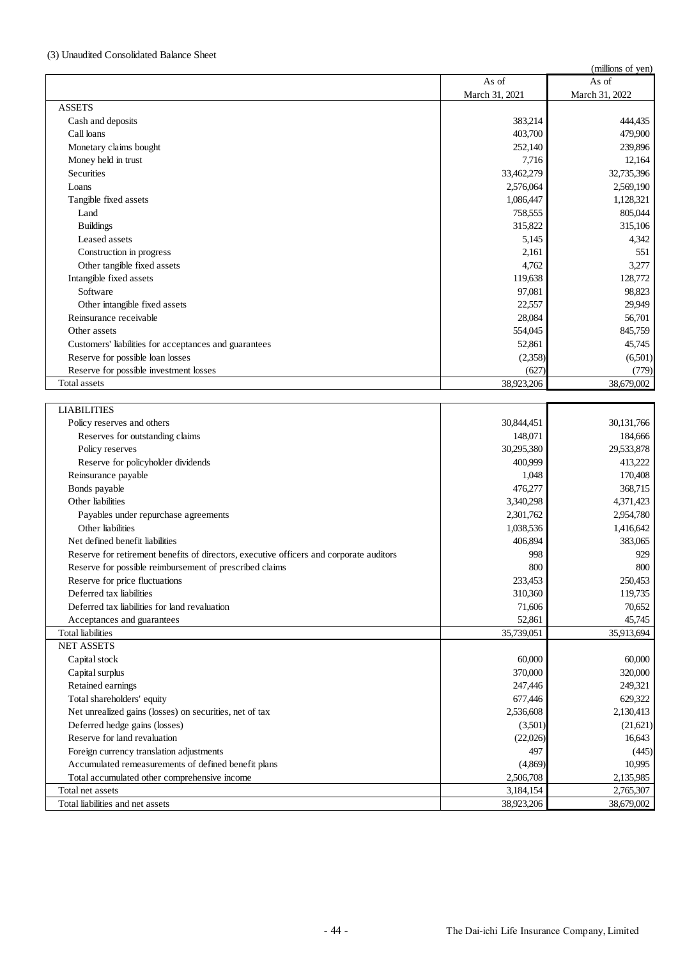### (3) Unaudited Consolidated Balance Sheet

|                                                                                         |                | (millions of yen) |
|-----------------------------------------------------------------------------------------|----------------|-------------------|
|                                                                                         | As of          | As of             |
|                                                                                         | March 31, 2021 | March 31, 2022    |
| <b>ASSETS</b>                                                                           |                |                   |
| Cash and deposits                                                                       | 383,214        | 444,435           |
| Call loans                                                                              | 403,700        | 479,900           |
| Monetary claims bought                                                                  | 252,140        | 239,896           |
| Money held in trust                                                                     | 7,716          | 12,164            |
| <b>Securities</b>                                                                       | 33,462,279     | 32,735,396        |
| Loans                                                                                   | 2,576,064      | 2,569,190         |
| Tangible fixed assets                                                                   | 1,086,447      | 1,128,321         |
| Land                                                                                    | 758,555        | 805,044           |
| <b>Buildings</b>                                                                        | 315,822        | 315,106           |
| Leased assets                                                                           | 5,145          | 4,342             |
| Construction in progress                                                                | 2,161          | 551               |
| Other tangible fixed assets                                                             | 4,762          | 3,277             |
| Intangible fixed assets                                                                 | 119,638        | 128,772           |
| Software                                                                                | 97,081         | 98,823            |
| Other intangible fixed assets                                                           | 22,557         | 29,949            |
| Reinsurance receivable                                                                  | 28,084         | 56,701            |
| Other assets                                                                            | 554,045        | 845,759           |
| Customers' liabilities for acceptances and guarantees                                   | 52,861         | 45,745            |
| Reserve for possible loan losses                                                        | (2,358)        | (6,501)           |
| Reserve for possible investment losses                                                  | (627)          | (779)             |
| <b>Total assets</b>                                                                     | 38,923,206     | 38,679,002        |
|                                                                                         |                |                   |
| <b>LIABILITIES</b>                                                                      |                |                   |
| Policy reserves and others                                                              | 30,844,451     | 30,131,766        |
| Reserves for outstanding claims                                                         | 148,071        | 184,666           |
| Policy reserves                                                                         | 30,295,380     | 29,533,878        |
| Reserve for policyholder dividends                                                      | 400,999        | 413,222           |
| Reinsurance payable                                                                     | 1,048          | 170,408           |
| Bonds payable                                                                           | 476,277        | 368,715           |
| Other liabilities                                                                       | 3,340,298      | 4,371,423         |
| Payables under repurchase agreements                                                    | 2,301,762      | 2,954,780         |
| Other liabilities                                                                       | 1,038,536      | 1,416,642         |
| Net defined benefit liabilities                                                         | 406,894        | 383,065           |
| Reserve for retirement benefits of directors, executive officers and corporate auditors | 998            | 929               |
| Reserve for possible reimbursement of prescribed claims                                 | 800            | 800               |
| Reserve for price fluctuations                                                          | 233,453        | 250,453           |
| Deferred tax liabilities                                                                | 310,360        | 119,735           |
| Deferred tax liabilities for land revaluation                                           | 71,606         | 70,652            |
| Acceptances and guarantees                                                              | 52,861         | 45,745            |
| <b>Total</b> liabilities                                                                | 35,739,051     | 35,913,694        |
| <b>NET ASSETS</b>                                                                       |                |                   |
| Capital stock                                                                           | 60,000         | 60,000            |
| Capital surplus                                                                         | 370,000        | 320,000           |
| Retained earnings                                                                       | 247,446        | 249,321           |
| Total shareholders' equity                                                              | 677,446        | 629,322           |
| Net unrealized gains (losses) on securities, net of tax                                 | 2,536,608      | 2,130,413         |
| Deferred hedge gains (losses)                                                           | (3,501)        | (21, 621)         |
| Reserve for land revaluation                                                            | (22,026)       | 16,643            |
| Foreign currency translation adjustments                                                | 497            | (445)             |
| Accumulated remeasurements of defined benefit plans                                     | (4, 869)       | 10,995            |
| Total accumulated other comprehensive income                                            | 2,506,708      | 2,135,985         |
| Total net assets                                                                        | 3,184,154      | 2,765,307         |
| Total liabilities and net assets                                                        | 38,923,206     | 38,679,002        |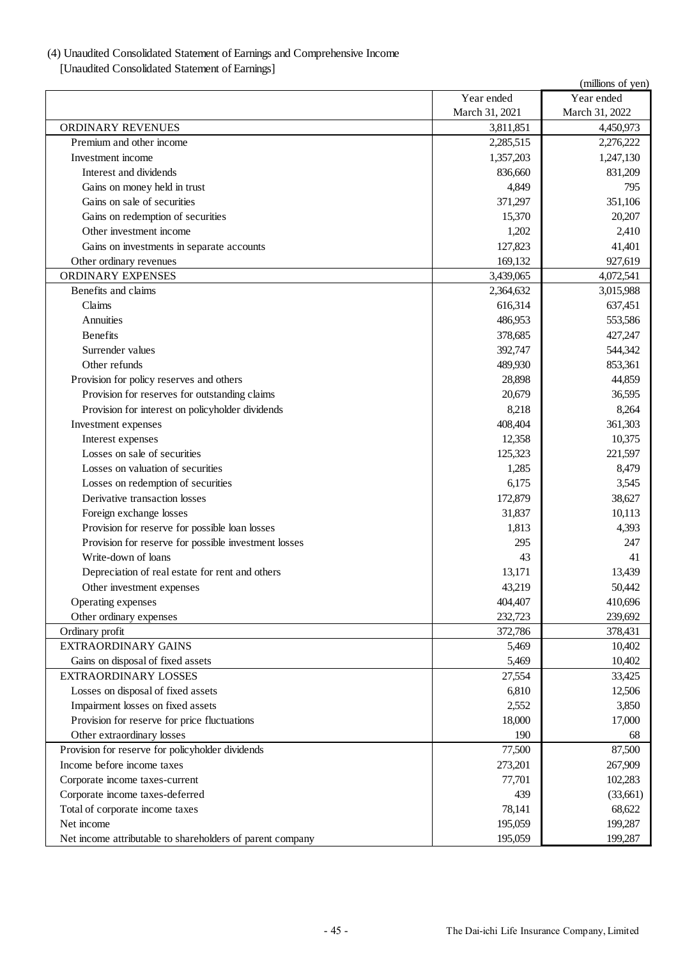# (4) Unaudited Consolidated Statement of Earnings and Comprehensive Income

[Unaudited Consolidated Statement of Earnings]

|                                                           |                | (millions of yen) |
|-----------------------------------------------------------|----------------|-------------------|
|                                                           | Year ended     | Year ended        |
|                                                           | March 31, 2021 | March 31, 2022    |
| ORDINARY REVENUES                                         | 3,811,851      | 4,450,973         |
| Premium and other income                                  | 2,285,515      | 2,276,222         |
| Investment income                                         | 1,357,203      | 1,247,130         |
| Interest and dividends                                    | 836,660        | 831,209           |
| Gains on money held in trust                              | 4,849          | 795               |
| Gains on sale of securities                               | 371,297        | 351,106           |
| Gains on redemption of securities                         | 15,370         | 20,207            |
| Other investment income                                   | 1,202          | 2,410             |
| Gains on investments in separate accounts                 | 127,823        | 41,401            |
| Other ordinary revenues                                   | 169,132        | 927,619           |
| <b>ORDINARY EXPENSES</b>                                  | 3,439,065      | 4,072,541         |
| Benefits and claims                                       | 2,364,632      | 3,015,988         |
| Claims                                                    | 616,314        | 637,451           |
| <b>Annuities</b>                                          | 486,953        | 553,586           |
| <b>Benefits</b>                                           | 378,685        | 427,247           |
| Surrender values                                          | 392,747        | 544,342           |
| Other refunds                                             | 489,930        | 853,361           |
| Provision for policy reserves and others                  | 28,898         | 44,859            |
| Provision for reserves for outstanding claims             | 20,679         | 36,595            |
| Provision for interest on policyholder dividends          | 8,218          | 8,264             |
| Investment expenses                                       | 408,404        | 361,303           |
| Interest expenses                                         | 12,358         | 10,375            |
| Losses on sale of securities                              | 125,323        | 221,597           |
| Losses on valuation of securities                         | 1,285          | 8,479             |
| Losses on redemption of securities                        | 6,175          | 3,545             |
| Derivative transaction losses                             | 172,879        | 38,627            |
| Foreign exchange losses                                   | 31,837         | 10,113            |
| Provision for reserve for possible loan losses            | 1,813          | 4,393             |
| Provision for reserve for possible investment losses      | 295            | 247               |
| Write-down of loans                                       | 43             | 41                |
| Depreciation of real estate for rent and others           | 13,171         | 13,439            |
| Other investment expenses                                 | 43,219         | 50,442            |
| Operating expenses                                        | 404,407        | 410,696           |
| Other ordinary expenses                                   | 232,723        | 239,692           |
| Ordinary profit                                           | 372,786        | 378,431           |
| EXTRAORDINARY GAINS                                       | 5,469          | 10,402            |
| Gains on disposal of fixed assets                         | 5,469          | 10,402            |
| <b>EXTRAORDINARY LOSSES</b>                               | 27,554         | 33,425            |
| Losses on disposal of fixed assets                        | 6,810          | 12,506            |
| Impairment losses on fixed assets                         | 2,552          | 3,850             |
| Provision for reserve for price fluctuations              | 18,000         | 17,000            |
| Other extraordinary losses                                | 190            | 68                |
| Provision for reserve for policyholder dividends          | 77,500         | 87,500            |
| Income before income taxes                                | 273,201        | 267,909           |
| Corporate income taxes-current                            | 77,701         | 102,283           |
| Corporate income taxes-deferred                           | 439            | (33,661)          |
| Total of corporate income taxes                           | 78,141         | 68,622            |
| Net income                                                | 195,059        | 199,287           |
| Net income attributable to shareholders of parent company | 195,059        | 199,287           |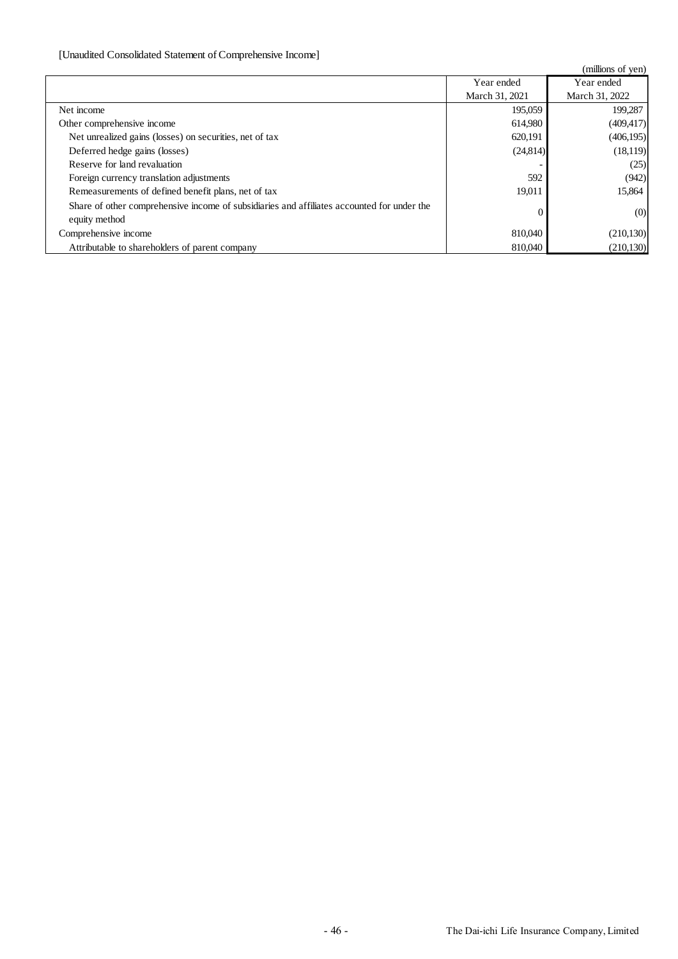# [Unaudited Consolidated Statement of Comprehensive Income]

|                                                                                                             |                | (millions of yen) |
|-------------------------------------------------------------------------------------------------------------|----------------|-------------------|
|                                                                                                             | Year ended     | Year ended        |
|                                                                                                             | March 31, 2021 | March 31, 2022    |
| Net income                                                                                                  | 195,059        | 199,287           |
| Other comprehensive income                                                                                  | 614,980        | (409, 417)        |
| Net unrealized gains (losses) on securities, net of tax                                                     | 620,191        | (406, 195)        |
| Deferred hedge gains (losses)                                                                               | (24,814)       | (18,119)          |
| Reserve for land revaluation                                                                                |                | (25)              |
| Foreign currency translation adjustments                                                                    | 592            | (942)             |
| Remeasurements of defined benefit plans, net of tax                                                         | 19,011         | 15,864            |
| Share of other comprehensive income of subsidiaries and affiliates accounted for under the<br>equity method |                | (0)               |
| Comprehensive income                                                                                        | 810,040        | (210, 130)        |
| Attributable to shareholders of parent company                                                              | 810,040        | (210, 130)        |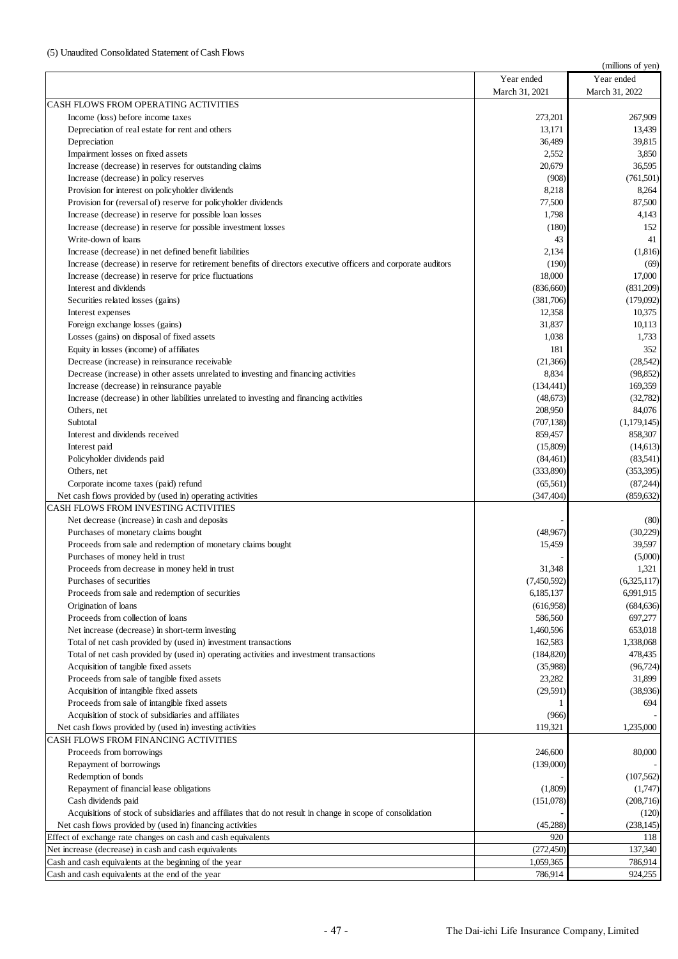|                                                                                                                                                             |                       | (millions of yen)    |
|-------------------------------------------------------------------------------------------------------------------------------------------------------------|-----------------------|----------------------|
|                                                                                                                                                             | Year ended            | Year ended           |
|                                                                                                                                                             | March 31, 2021        | March 31, 2022       |
| CASH FLOWS FROM OPERATING ACTIVITIES                                                                                                                        |                       |                      |
| Income (loss) before income taxes                                                                                                                           | 273,201               | 267,909              |
| Depreciation of real estate for rent and others                                                                                                             | 13,171                | 13,439               |
| Depreciation                                                                                                                                                | 36,489                | 39,815               |
| Impairment losses on fixed assets                                                                                                                           | 2,552                 | 3,850                |
| Increase (decrease) in reserves for outstanding claims                                                                                                      | 20,679                | 36,595               |
| Increase (decrease) in policy reserves                                                                                                                      | (908)                 | (761, 501)           |
| Provision for interest on policyholder dividends                                                                                                            | 8,218<br>77,500       | 8,264<br>87,500      |
| Provision for (reversal of) reserve for policyholder dividends<br>Increase (decrease) in reserve for possible loan losses                                   | 1,798                 | 4,143                |
| Increase (decrease) in reserve for possible investment losses                                                                                               | (180)                 | 152                  |
| Write-down of loans                                                                                                                                         | 43                    | 41                   |
| Increase (decrease) in net defined benefit liabilities                                                                                                      | 2,134                 | (1,816)              |
| Increase (decrease) in reserve for retirement benefits of directors executive officers and corporate auditors                                               | (190)                 | (69)                 |
| Increase (decrease) in reserve for price fluctuations                                                                                                       | 18,000                | 17,000               |
| Interest and dividends                                                                                                                                      | (836,660)             | (831,209)            |
| Securities related losses (gains)                                                                                                                           | (381,706)             | (179,092)            |
| Interest expenses                                                                                                                                           | 12,358                | 10,375               |
| Foreign exchange losses (gains)                                                                                                                             | 31,837                | 10,113               |
| Losses (gains) on disposal of fixed assets                                                                                                                  | 1,038                 | 1,733                |
| Equity in losses (income) of affiliates                                                                                                                     | 181                   | 352                  |
| Decrease (increase) in reinsurance receivable                                                                                                               | (21,366)              | (28, 542)            |
| Decrease (increase) in other assets unrelated to investing and financing activities                                                                         | 8,834                 | (98, 852)            |
| Increase (decrease) in reinsurance payable                                                                                                                  | (134, 441)            | 169,359              |
| Increase (decrease) in other liabilities unrelated to investing and financing activities                                                                    | (48,673)              | (32,782)             |
| Others, net                                                                                                                                                 | 208,950               | 84,076               |
| Subtotal                                                                                                                                                    | (707, 138)            | (1,179,145)          |
| Interest and dividends received                                                                                                                             | 859,457               | 858,307              |
| Interest paid<br>Policyholder dividends paid                                                                                                                | (15,809)<br>(84, 461) | (14,613)<br>(83,541) |
| Others, net                                                                                                                                                 | (333,890)             | (353, 395)           |
| Corporate income taxes (paid) refund                                                                                                                        | (65, 561)             | (87, 244)            |
| Net cash flows provided by (used in) operating activities                                                                                                   | (347, 404)            | (859, 632)           |
| CASH FLOWS FROM INVESTING ACTIVITIES                                                                                                                        |                       |                      |
| Net decrease (increase) in cash and deposits                                                                                                                |                       | (80)                 |
| Purchases of monetary claims bought                                                                                                                         | (48,967)              | (30,229)             |
| Proceeds from sale and redemption of monetary claims bought                                                                                                 | 15,459                | 39,597               |
| Purchases of money held in trust                                                                                                                            |                       | (5,000)              |
| Proceeds from decrease in money held in trust                                                                                                               | 31,348                | 1,321                |
| Purchases of securities                                                                                                                                     | (7,450,592)           | (6,325,117)          |
| Proceeds from sale and redemption of securities                                                                                                             | 6,185,137             | 6,991,915            |
| Origination of loans                                                                                                                                        | (616,958)             | (684, 636)           |
| Proceeds from collection of loans                                                                                                                           | 586,560               | 697,277              |
| Net increase (decrease) in short-term investing                                                                                                             | 1,460,596             | 653,018<br>1,338,068 |
| Total of net cash provided by (used in) investment transactions<br>Total of net cash provided by (used in) operating activities and investment transactions | 162,583<br>(184, 820) | 478,435              |
| Acquisition of tangible fixed assets                                                                                                                        | (35,988)              | (96, 724)            |
| Proceeds from sale of tangible fixed assets                                                                                                                 | 23,282                | 31,899               |
| Acquisition of intangible fixed assets                                                                                                                      | (29, 591)             | (38,936)             |
| Proceeds from sale of intangible fixed assets                                                                                                               |                       | 694                  |
| Acquisition of stock of subsidiaries and affiliates                                                                                                         | (966)                 |                      |
| Net cash flows provided by (used in) investing activities                                                                                                   | 119,321               | 1,235,000            |
| CASH FLOWS FROM FINANCING ACTIVITIES                                                                                                                        |                       |                      |
| Proceeds from borrowings                                                                                                                                    | 246,600               | 80,000               |
| Repayment of borrowings                                                                                                                                     | (139,000)             |                      |
| Redemption of bonds                                                                                                                                         |                       | (107, 562)           |
| Repayment of financial lease obligations                                                                                                                    | (1,809)               | (1,747)              |
| Cash dividends paid                                                                                                                                         | (151,078)             | (208, 716)           |
| Acquisitions of stock of subsidiaries and affiliates that do not result in change in scope of consolidation                                                 |                       | (120)                |
| Net cash flows provided by (used in) financing activities                                                                                                   | (45,288)              | (238, 145)           |
| Effect of exchange rate changes on cash and cash equivalents                                                                                                | 920                   | 118                  |
| Net increase (decrease) in cash and cash equivalents                                                                                                        | (272, 450)            | 137,340              |
| Cash and cash equivalents at the beginning of the year                                                                                                      | 1,059,365             | 786,914              |
| Cash and cash equivalents at the end of the year                                                                                                            | 786,914               | 924,255              |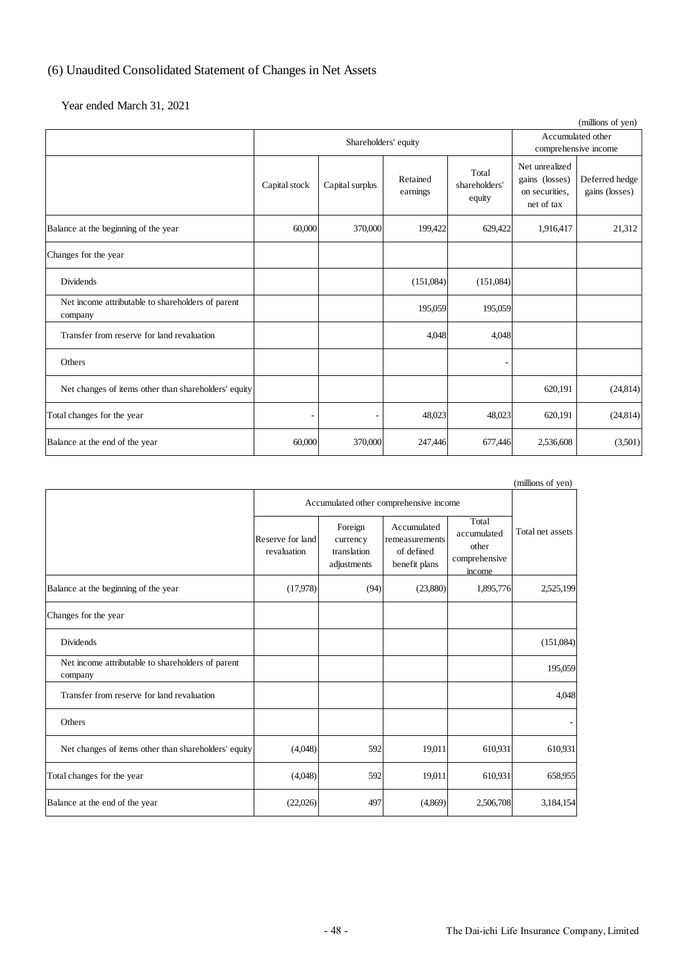# (6) Unaudited Consolidated Statement of Changes in Net Assets

Year ended March 31, 2021

| (millions of yen)                                            |               |                      |                      |                                  |                                                                  |                                           |
|--------------------------------------------------------------|---------------|----------------------|----------------------|----------------------------------|------------------------------------------------------------------|-------------------------------------------|
|                                                              |               | Shareholders' equity |                      |                                  |                                                                  | Accumulated other<br>comprehensive income |
|                                                              | Capital stock | Capital surplus      | Retained<br>earnings | Total<br>shareholders'<br>equity | Net unrealized<br>gains (losses)<br>on securities.<br>net of tax | Deferred hedge<br>gains (losses)          |
| Balance at the beginning of the year                         | 60,000        | 370,000              | 199,422              | 629,422                          | 1,916,417                                                        | 21,312                                    |
| Changes for the year                                         |               |                      |                      |                                  |                                                                  |                                           |
| <b>Dividends</b>                                             |               |                      | (151,084)            | (151,084)                        |                                                                  |                                           |
| Net income attributable to shareholders of parent<br>company |               |                      | 195,059              | 195,059                          |                                                                  |                                           |
| Transfer from reserve for land revaluation                   |               |                      | 4,048                | 4,048                            |                                                                  |                                           |
| Others                                                       |               |                      |                      |                                  |                                                                  |                                           |
| Net changes of items other than shareholders' equity         |               |                      |                      |                                  | 620,191                                                          | (24, 814)                                 |
| Total changes for the year                                   | ٠             | $\overline{a}$       | 48,023               | 48,023                           | 620,191                                                          | (24, 814)                                 |
| Balance at the end of the year                               | 60,000        | 370,000              | 247,446              | 677,446                          | 2,536,608                                                        | (3,501)                                   |

|                                                              |                                        |                                                   |                                                              |                                                          | (millions of yen) |
|--------------------------------------------------------------|----------------------------------------|---------------------------------------------------|--------------------------------------------------------------|----------------------------------------------------------|-------------------|
|                                                              | Accumulated other comprehensive income |                                                   |                                                              |                                                          |                   |
|                                                              | Reserve for land<br>revaluation        | Foreign<br>currency<br>translation<br>adjustments | Accumulated<br>remeasurements<br>of defined<br>benefit plans | Total<br>accumulated<br>other<br>comprehensive<br>income | Total net assets  |
| Balance at the beginning of the year                         | (17,978)                               | (94)                                              | (23,880)                                                     | 1,895,776                                                | 2,525,199         |
| Changes for the year                                         |                                        |                                                   |                                                              |                                                          |                   |
| Dividends                                                    |                                        |                                                   |                                                              |                                                          | (151,084)         |
| Net income attributable to shareholders of parent<br>company |                                        |                                                   |                                                              |                                                          | 195,059           |
| Transfer from reserve for land revaluation                   |                                        |                                                   |                                                              |                                                          | 4,048             |
| Others                                                       |                                        |                                                   |                                                              |                                                          |                   |
| Net changes of items other than shareholders' equity         | (4,048)                                | 592                                               | 19,011                                                       | 610,931                                                  | 610,931           |
| Total changes for the year                                   | (4,048)                                | 592                                               | 19,011                                                       | 610,931                                                  | 658,955           |
| Balance at the end of the year                               | (22,026)                               | 497                                               | (4,869)                                                      | 2,506,708                                                | 3,184,154         |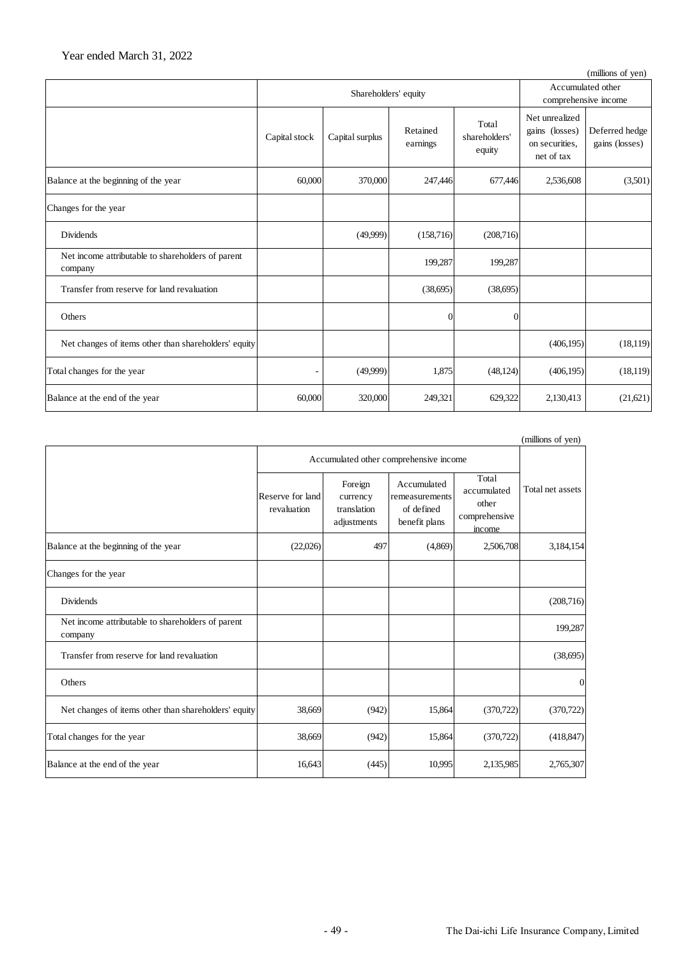|                                                              |               |                      |                      |                                  |                                                                  | (millions of yen)                |
|--------------------------------------------------------------|---------------|----------------------|----------------------|----------------------------------|------------------------------------------------------------------|----------------------------------|
|                                                              |               | Shareholders' equity |                      |                                  | Accumulated other<br>comprehensive income                        |                                  |
|                                                              | Capital stock | Capital surplus      | Retained<br>earnings | Total<br>shareholders'<br>equity | Net unrealized<br>gains (losses)<br>on securities,<br>net of tax | Deferred hedge<br>gains (losses) |
| Balance at the beginning of the year                         | 60,000        | 370,000              | 247,446              | 677,446                          | 2,536,608                                                        | (3,501)                          |
| Changes for the year                                         |               |                      |                      |                                  |                                                                  |                                  |
| <b>Dividends</b>                                             |               | (49,999)             | (158,716)            | (208,716)                        |                                                                  |                                  |
| Net income attributable to shareholders of parent<br>company |               |                      | 199,287              | 199,287                          |                                                                  |                                  |
| Transfer from reserve for land revaluation                   |               |                      | (38,695)             | (38,695)                         |                                                                  |                                  |
| Others                                                       |               |                      | 0                    | 0                                |                                                                  |                                  |
| Net changes of items other than shareholders' equity         |               |                      |                      |                                  | (406, 195)                                                       | (18, 119)                        |
| Total changes for the year                                   | -             | (49,999)             | 1,875                | (48, 124)                        | (406, 195)                                                       | (18, 119)                        |
| Balance at the end of the year                               | 60,000        | 320,000              | 249,321              | 629,322                          | 2,130,413                                                        | (21,621)                         |

|                                                              |                                 |                                                   |                                                              |                                                          | (millions of yen) |  |
|--------------------------------------------------------------|---------------------------------|---------------------------------------------------|--------------------------------------------------------------|----------------------------------------------------------|-------------------|--|
|                                                              |                                 | Accumulated other comprehensive income            |                                                              |                                                          |                   |  |
|                                                              | Reserve for land<br>revaluation | Foreign<br>currency<br>translation<br>adjustments | Accumulated<br>remeasurements<br>of defined<br>benefit plans | Total<br>accumulated<br>other<br>comprehensive<br>income | Total net assets  |  |
| Balance at the beginning of the year                         | (22,026)                        | 497                                               | (4,869)                                                      | 2,506,708                                                | 3,184,154         |  |
| Changes for the year                                         |                                 |                                                   |                                                              |                                                          |                   |  |
| Dividends                                                    |                                 |                                                   |                                                              |                                                          | (208, 716)        |  |
| Net income attributable to shareholders of parent<br>company |                                 |                                                   |                                                              |                                                          | 199,287           |  |
| Transfer from reserve for land revaluation                   |                                 |                                                   |                                                              |                                                          | (38, 695)         |  |
| Others                                                       |                                 |                                                   |                                                              |                                                          | $\Omega$          |  |
| Net changes of items other than shareholders' equity         | 38,669                          | (942)                                             | 15,864                                                       | (370, 722)                                               | (370, 722)        |  |
| Total changes for the year                                   | 38,669                          | (942)                                             | 15,864                                                       | (370, 722)                                               | (418, 847)        |  |
| Balance at the end of the year                               | 16,643                          | (445)                                             | 10,995                                                       | 2,135,985                                                | 2,765,307         |  |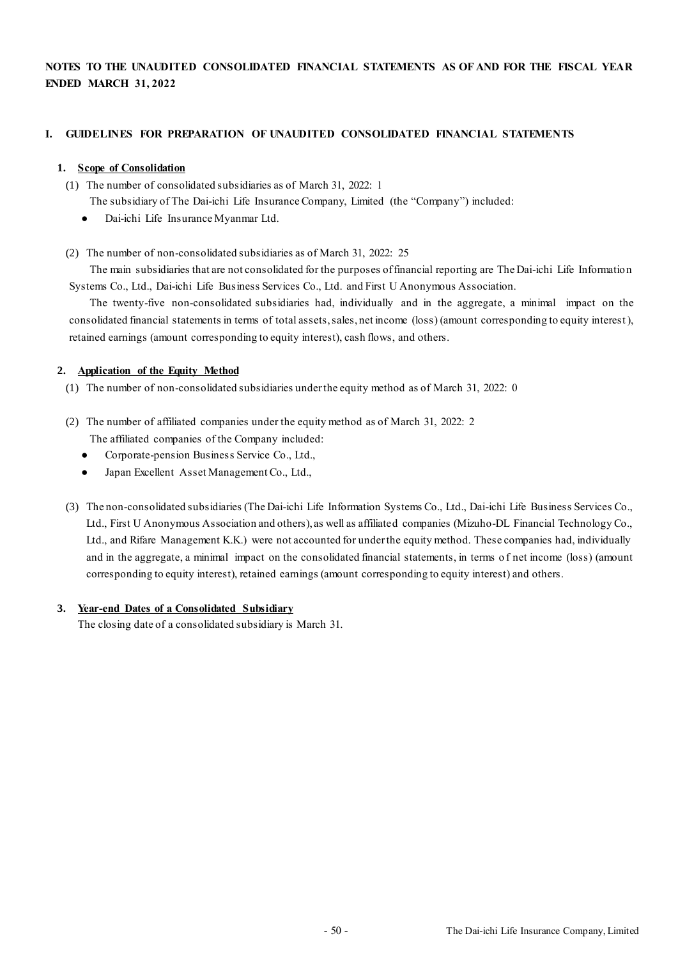# **NOTES TO THE UNAUDITED CONSOLIDATED FINANCIAL STATEMENTS AS OF AND FOR THE FISCAL YEAR ENDED MARCH 31, 2022**

### **I. GUIDELINES FOR PREPARATION OF UNAUDITED CONSOLIDATED FINANCIAL STATEMENTS**

### **1. Scope of Consolidation**

(1) The number of consolidated subsidiaries as of March 31, 2022: 1

The subsidiary of The Dai-ichi Life Insurance Company, Limited (the "Company") included:

- Dai-ichi Life Insurance Myanmar Ltd.
- (2) The number of non-consolidated subsidiaries as of March 31, 2022: 25

The main subsidiaries that are not consolidated for the purposes of financial reporting are The Dai-ichi Life Information Systems Co., Ltd., Dai-ichi Life Business Services Co., Ltd. and First U Anonymous Association.

The twenty-five non-consolidated subsidiaries had, individually and in the aggregate, a minimal impact on the consolidated financial statements in terms of total assets, sales, net income (loss) (amount corresponding to equity interest), retained earnings (amount corresponding to equity interest), cash flows, and others.

### **2. Application of the Equity Method**

- (1) The number of non-consolidated subsidiaries under the equity method as of March 31, 2022: 0
- (2) The number of affiliated companies under the equity method as of March 31, 2022: 2
	- The affiliated companies of the Company included:
	- Corporate-pension Business Service Co., Ltd.,
	- Japan Excellent Asset Management Co., Ltd.,
- (3) The non-consolidated subsidiaries (The Dai-ichi Life Information Systems Co., Ltd., Dai-ichi Life Business Services Co., Ltd., First U Anonymous Association and others), as well as affiliated companies (Mizuho-DL Financial Technology Co., Ltd., and Rifare Management K.K.) were not accounted for under the equity method. These companies had, individually and in the aggregate, a minimal impact on the consolidated financial statements, in terms of net income (loss) (amount corresponding to equity interest), retained earnings (amount corresponding to equity interest) and others.

### **3. Year-end Dates of a Consolidated Subsidiary**

The closing date of a consolidated subsidiary is March 31.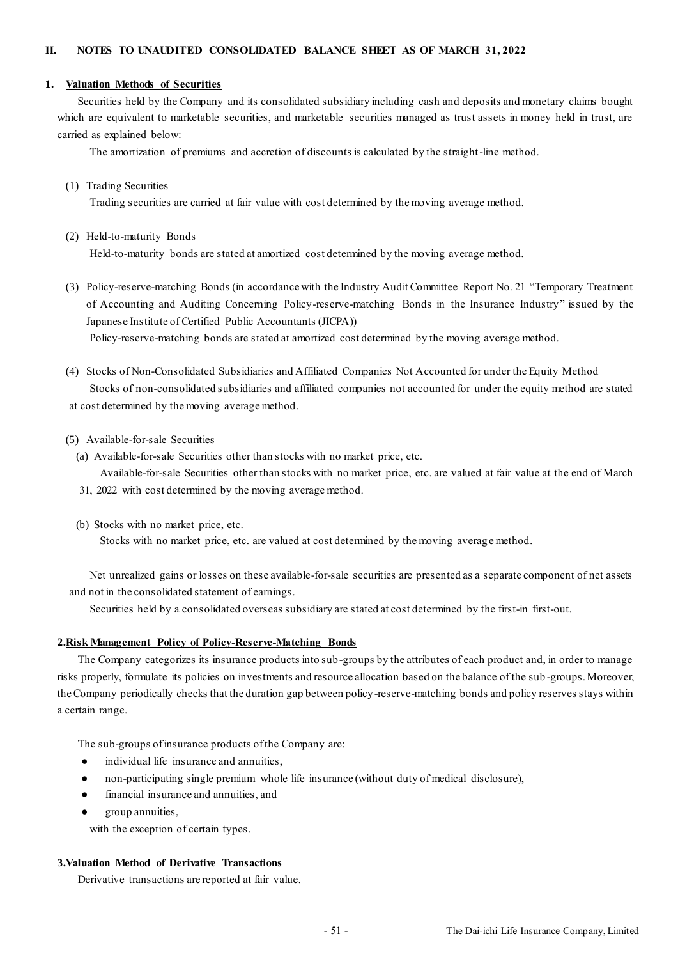### **1. Valuation Methods of Securities**

Securities held by the Company and its consolidated subsidiary including cash and deposits and monetary claims bought which are equivalent to marketable securities, and marketable securities managed as trust assets in money held in trust, are carried as explained below:

The amortization of premiums and accretion of discounts is calculated by the straight-line method.

(1) Trading Securities

Trading securities are carried at fair value with cost determined by the moving average method.

(2) Held-to-maturity Bonds

Held-to-maturity bonds are stated at amortized cost determined by the moving average method.

(3) Policy-reserve-matching Bonds (in accordance with the Industry Audit Committee Report No. 21 "Temporary Treatment of Accounting and Auditing Concerning Policy-reserve-matching Bonds in the Insurance Industry" issued by the Japanese Institute of Certified Public Accountants (JICPA))

Policy-reserve-matching bonds are stated at amortized cost determined by the moving average method.

- (4) Stocks of Non-Consolidated Subsidiaries and Affiliated Companies Not Accounted for under the Equity Method Stocks of non-consolidated subsidiaries and affiliated companies not accounted for under the equity method are stated at cost determined by the moving average method.
- (5) Available-for-sale Securities
	- (a) Available-for-sale Securities other than stocks with no market price, etc.
	- Available-for-sale Securities other than stocks with no market price, etc. are valued at fair value at the end of March 31, 2022 with cost determined by the moving average method.
	- (b) Stocks with no market price, etc.

Stocks with no market price, etc. are valued at cost determined by the moving averag e method.

Net unrealized gains or losses on these available-for-sale securities are presented as a separate component of net assets and not in the consolidated statement of earnings.

Securities held by a consolidated overseas subsidiary are stated at cost determined by the first-in first-out.

### **2.Risk Management Policy of Policy-Reserve-Matching Bonds**

The Company categorizes its insurance products into sub-groups by the attributes of each product and, in order to manage risks properly, formulate its policies on investments and resource allocation based on the balance of the sub -groups. Moreover, the Company periodically checks that the duration gap between policy-reserve-matching bonds and policy reserves stays within a certain range.

The sub-groups of insurance products of the Company are:

- individual life insurance and annuities,
- non-participating single premium whole life insurance (without duty of medical disclosure),
- financial insurance and annuities, and
- group annuities,

with the exception of certain types.

### **3.Valuation Method of Derivative Transactions**

Derivative transactions are reported at fair value.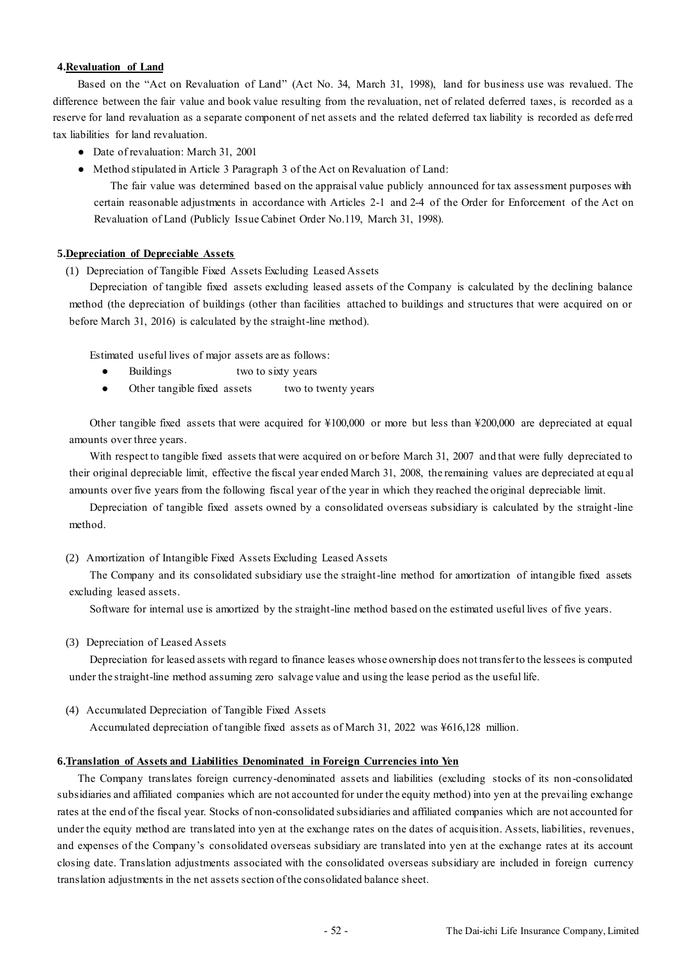### **4.Revaluation of Land**

Based on the "Act on Revaluation of Land" (Act No. 34, March 31, 1998), land for business use was revalued. The difference between the fair value and book value resulting from the revaluation, net of related deferred taxes, is recorded as a reserve for land revaluation as a separate component of net assets and the related deferred tax liability is recorded as defe rred tax liabilities for land revaluation.

- Date of revaluation: March 31, 2001
- Method stipulated in Article 3 Paragraph 3 of the Act on Revaluation of Land:

The fair value was determined based on the appraisal value publicly announced for tax assessment purposes with certain reasonable adjustments in accordance with Articles 2-1 and 2-4 of the Order for Enforcement of the Act on Revaluation of Land (Publicly Issue Cabinet Order No.119, March 31, 1998).

### **5.Depreciation of Depreciable Assets**

(1) Depreciation of Tangible Fixed Assets Excluding Leased Assets

Depreciation of tangible fixed assets excluding leased assets of the Company is calculated by the declining balance method (the depreciation of buildings (other than facilities attached to buildings and structures that were acquired on or before March 31, 2016) is calculated by the straight-line method).

Estimated useful lives of major assets are as follows:

- Buildings two to sixty years
- Other tangible fixed assets two to twenty years

Other tangible fixed assets that were acquired for ¥100,000 or more but less than ¥200,000 are depreciated at equal amounts over three years.

With respect to tangible fixed assets that were acquired on or before March 31, 2007 and that were fully depreciated to their original depreciable limit, effective the fiscal year ended March 31, 2008, the remaining values are depreciated at equ al amounts over five years from the following fiscal year of the year in which they reached the original depreciable limit.

Depreciation of tangible fixed assets owned by a consolidated overseas subsidiary is calculated by the straight-line method.

### (2) Amortization of Intangible Fixed Assets Excluding Leased Assets

The Company and its consolidated subsidiary use the straight-line method for amortization of intangible fixed assets excluding leased assets.

Software for internal use is amortized by the straight-line method based on the estimated useful lives of five years.

(3) Depreciation of Leased Assets

Depreciation for leased assets with regard to finance leases whose ownership does not transfer to the lessees is computed under the straight-line method assuming zero salvage value and using the lease period as the useful life.

(4) Accumulated Depreciation of Tangible Fixed Assets

Accumulated depreciation of tangible fixed assets as of March 31, 2022 was ¥616,128 million.

### **6.Translation of Assets and Liabilities Denominated in Foreign Currencies into Yen**

The Company translates foreign currency-denominated assets and liabilities (excluding stocks of its non-consolidated subsidiaries and affiliated companies which are not accounted for under the equity method) into yen at the prevailing exchange rates at the end of the fiscal year. Stocks of non-consolidated subsidiaries and affiliated companies which are not accounted for under the equity method are translated into yen at the exchange rates on the dates of acquisition. Assets, liabilities, revenues, and expenses of the Company's consolidated overseas subsidiary are translated into yen at the exchange rates at its account closing date. Translation adjustments associated with the consolidated overseas subsidiary are included in foreign currency translation adjustments in the net assets section of the consolidated balance sheet.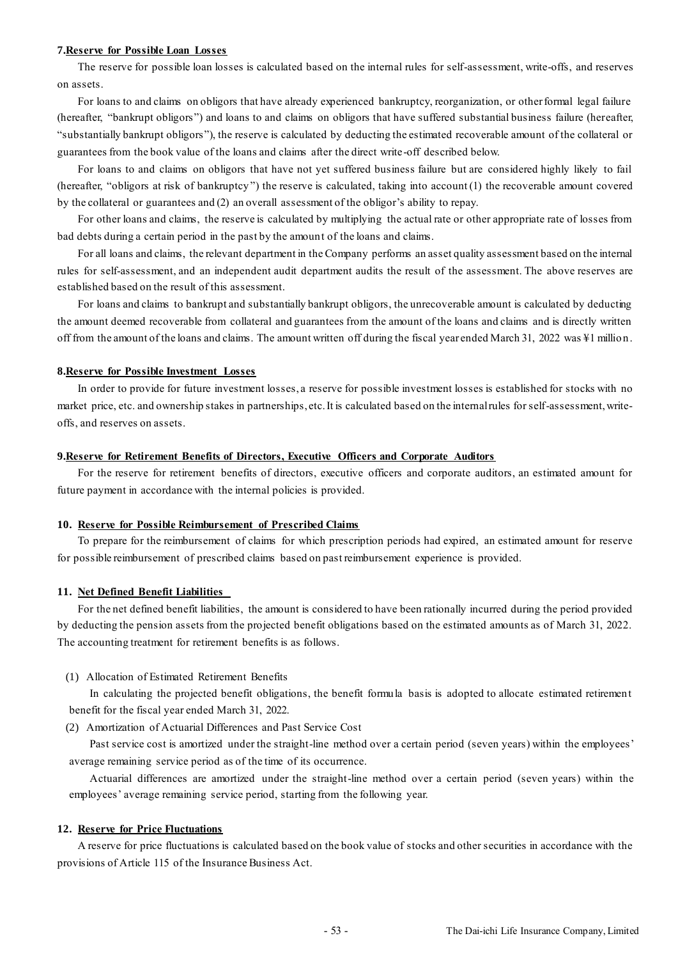#### **7.Reserve for Possible Loan Losses**

The reserve for possible loan losses is calculated based on the internal rules for self-assessment, write-offs, and reserves on assets.

For loans to and claims on obligors that have already experienced bankruptcy, reorganization, or other formal legal failure (hereafter, "bankrupt obligors") and loans to and claims on obligors that have suffered substantial business failure (hereafter, "substantially bankrupt obligors"), the reserve is calculated by deducting the estimated recoverable amount of the collateral or guarantees from the book value of the loans and claims after the direct write-off described below.

For loans to and claims on obligors that have not yet suffered business failure but are considered highly likely to fail (hereafter, "obligors at risk of bankruptcy'') the reserve is calculated, taking into account (1) the recoverable amount covered by the collateral or guarantees and (2) an overall assessment of the obligor's ability to repay.

For other loans and claims, the reserve is calculated by multiplying the actual rate or other appropriate rate of losses from bad debts during a certain period in the past by the amount of the loans and claims.

For all loans and claims, the relevant department in the Company performs an asset quality assessment based on the internal rules for self-assessment, and an independent audit department audits the result of the assessment. The above reserves are established based on the result of this assessment.

For loans and claims to bankrupt and substantially bankrupt obligors, the unrecoverable amount is calculated by deducting the amount deemed recoverable from collateral and guarantees from the amount of the loans and claims and is directly written off from the amount of the loans and claims. The amount written off during the fiscal year ended March 31, 2022 was ¥1 million.

### **8.Reserve for Possible Investment Losses**

In order to provide for future investment losses, a reserve for possible investment losses is established for stocks with no market price, etc. and ownership stakes in partnerships, etc. It is calculated based on the internal rules for self-assessment, writeoffs, and reserves on assets.

### **9.Reserve for Retirement Benefits of Directors, Executive Officers and Corporate Auditors**

For the reserve for retirement benefits of directors, executive officers and corporate auditors, an estimated amount for future payment in accordance with the internal policies is provided.

### **10. Reserve for Possible Reimbursement of Prescribed Claims**

To prepare for the reimbursement of claims for which prescription periods had expired, an estimated amount for reserve for possible reimbursement of prescribed claims based on past reimbursement experience is provided.

### **11. Net Defined Benefit Liabilities**

For the net defined benefit liabilities, the amount is considered to have been rationally incurred during the period provided by deducting the pension assets from the projected benefit obligations based on the estimated amounts as of March 31, 2022. The accounting treatment for retirement benefits is as follows.

(1) Allocation of Estimated Retirement Benefits

In calculating the projected benefit obligations, the benefit formula basis is adopted to allocate estimated retirement benefit for the fiscal year ended March 31, 2022.

(2) Amortization of Actuarial Differences and Past Service Cost

Past service cost is amortized under the straight-line method over a certain period (seven years) within the employees' average remaining service period as of the time of its occurrence.

Actuarial differences are amortized under the straight-line method over a certain period (seven years) within the employees' average remaining service period, starting from the following year.

### **12. Reserve for Price Fluctuations**

A reserve for price fluctuations is calculated based on the book value of stocks and other securities in accordance with the provisions of Article 115 of the Insurance Business Act.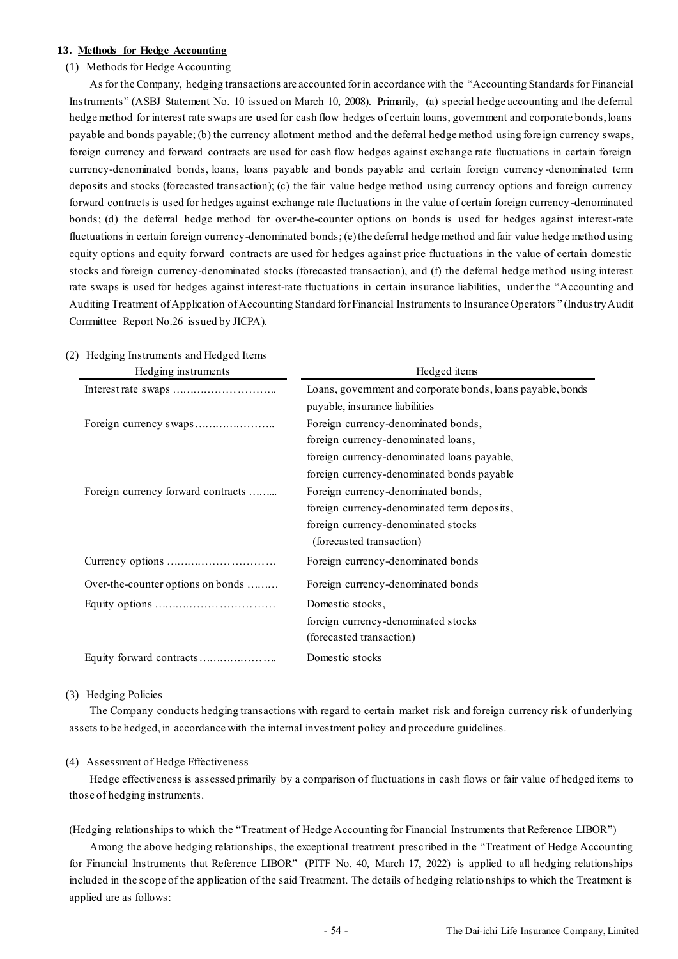#### **13. Methods for Hedge Accounting**

### (1) Methods for Hedge Accounting

As for the Company, hedging transactions are accounted for in accordance with the "Accounting Standards for Financial Instruments" (ASBJ Statement No. 10 issued on March 10, 2008). Primarily, (a) special hedge accounting and the deferral hedge method for interest rate swaps are used for cash flow hedges of certain loans, government and corporate bonds, loans payable and bonds payable; (b) the currency allotment method and the deferral hedge method using fore ign currency swaps, foreign currency and forward contracts are used for cash flow hedges against exchange rate fluctuations in certain foreign currency-denominated bonds, loans, loans payable and bonds payable and certain foreign currency -denominated term deposits and stocks (forecasted transaction); (c) the fair value hedge method using currency options and foreign currency forward contracts is used for hedges against exchange rate fluctuations in the value of certain foreign currency -denominated bonds; (d) the deferral hedge method for over-the-counter options on bonds is used for hedges against interest-rate fluctuations in certain foreign currency-denominated bonds; (e) the deferral hedge method and fair value hedge method using equity options and equity forward contracts are used for hedges against price fluctuations in the value of certain domestic stocks and foreign currency-denominated stocks (forecasted transaction), and (f) the deferral hedge method using interest rate swaps is used for hedges against interest-rate fluctuations in certain insurance liabilities, under the "Accounting and Auditing Treatment of Application of Accounting Standard for Financial Instruments to Insurance Operators " (Industry Audit Committee Report No.26 issued by JICPA).

| Hedging instruments                | Hedged items                                                |
|------------------------------------|-------------------------------------------------------------|
|                                    | Loans, government and corporate bonds, loans payable, bonds |
|                                    | payable, insurance liabilities                              |
|                                    | Foreign currency-denominated bonds,                         |
|                                    | foreign currency-denominated loans,                         |
|                                    | foreign currency-denominated loans payable,                 |
|                                    | foreign currency-denominated bonds payable                  |
| Foreign currency forward contracts | Foreign currency-denominated bonds,                         |
|                                    | foreign currency-denominated term deposits,                 |
|                                    | foreign currency-denominated stocks                         |
|                                    | (forecasted transaction)                                    |
|                                    | Foreign currency-denominated bonds                          |
| Over-the-counter options on bonds  | Foreign currency-denominated bonds                          |
|                                    | Domestic stocks,                                            |
|                                    | foreign currency-denominated stocks                         |
|                                    | (forecasted transaction)                                    |
|                                    | Domestic stocks                                             |

#### (2) Hedging Instruments and Hedged Items

### (3) Hedging Policies

The Company conducts hedging transactions with regard to certain market risk and foreign currency risk of underlying assets to be hedged, in accordance with the internal investment policy and procedure guidelines.

### (4) Assessment of Hedge Effectiveness

Hedge effectiveness is assessed primarily by a comparison of fluctuations in cash flows or fair value of hedged items to those of hedging instruments.

(Hedging relationships to which the "Treatment of Hedge Accounting for Financial Instruments that Reference LIBOR")

Among the above hedging relationships, the exceptional treatment prescribed in the "Treatment of Hedge Accounting for Financial Instruments that Reference LIBOR" (PITF No. 40, March 17, 2022) is applied to all hedging relationships included in the scope of the application of the said Treatment. The details of hedging relatio nships to which the Treatment is applied are as follows: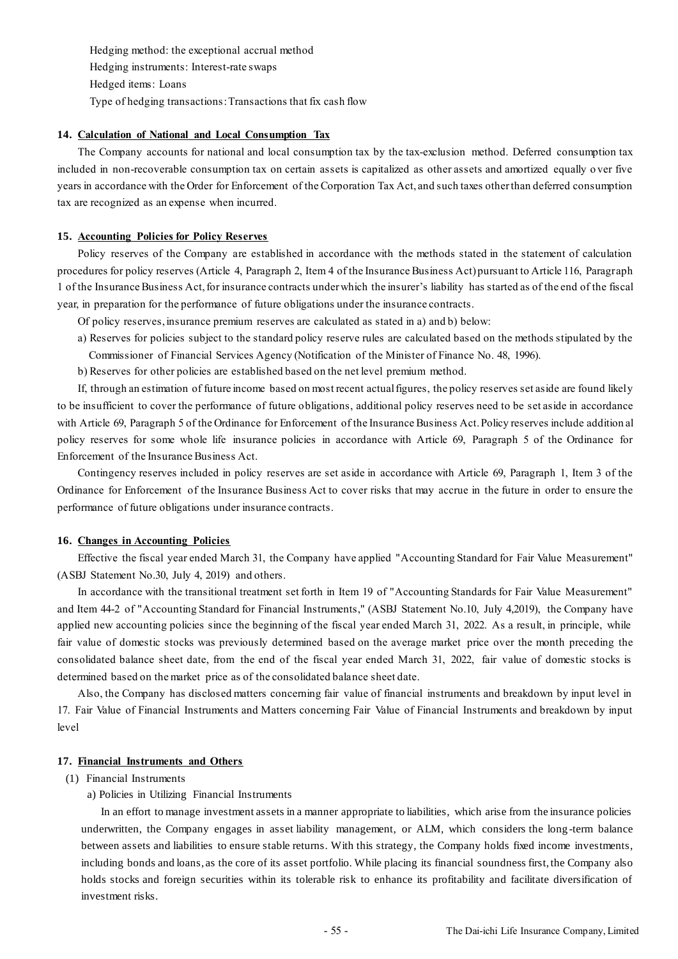Hedging method: the exceptional accrual method Hedging instruments: Interest-rate swaps Hedged items: Loans Type of hedging transactions: Transactions that fix cash flow

### **14. Calculation of National and Local Consumption Tax**

The Company accounts for national and local consumption tax by the tax-exclusion method. Deferred consumption tax included in non-recoverable consumption tax on certain assets is capitalized as other assets and amortized equally o ver five years in accordance with the Order for Enforcement of the Corporation Tax Act, and such taxes other than deferred consumption tax are recognized as an expense when incurred.

#### **15. Accounting Policies for Policy Reserves**

Policy reserves of the Company are established in accordance with the methods stated in the statement of calculation procedures for policy reserves (Article 4, Paragraph 2, Item 4 of the Insurance Business Act) pursuant to Article 116, Paragraph 1 of the Insurance Business Act, for insurance contracts under which the insurer's liability has started as of the end of the fiscal year, in preparation for the performance of future obligations under the insurance contracts.

Of policy reserves, insurance premium reserves are calculated as stated in a) and b) below:

- a) Reserves for policies subject to the standard policy reserve rules are calculated based on the methods stipulated by the Commissioner of Financial Services Agency (Notification of the Minister of Finance No. 48, 1996).
- b) Reserves for other policies are established based on the net level premium method.

If, through an estimation of future income based on most recent actual figures, the policy reserves set aside are found likely to be insufficient to cover the performance of future obligations, additional policy reserves need to be set aside in accordance with Article 69, Paragraph 5 of the Ordinance for Enforcement of the Insurance Business Act. Policy reserves include addition al policy reserves for some whole life insurance policies in accordance with Article 69, Paragraph 5 of the Ordinance for Enforcement of the Insurance Business Act.

Contingency reserves included in policy reserves are set aside in accordance with Article 69, Paragraph 1, Item 3 of the Ordinance for Enforcement of the Insurance Business Act to cover risks that may accrue in the future in order to ensure the performance of future obligations under insurance contracts.

#### **16. Changes in Accounting Policies**

Effective the fiscal year ended March 31, the Company have applied "Accounting Standard for Fair Value Measurement" (ASBJ Statement No.30, July 4, 2019) and others.

In accordance with the transitional treatment set forth in Item 19 of "Accounting Standards for Fair Value Measurement" and Item 44-2 of "Accounting Standard for Financial Instruments," (ASBJ Statement No.10, July 4,2019), the Company have applied new accounting policies since the beginning of the fiscal year ended March 31, 2022. As a result, in principle, while fair value of domestic stocks was previously determined based on the average market price over the month preceding the consolidated balance sheet date, from the end of the fiscal year ended March 31, 2022, fair value of domestic stocks is determined based on the market price as of the consolidated balance sheet date.

Also, the Company has disclosed matters concerning fair value of financial instruments and breakdown by input level in 17. Fair Value of Financial Instruments and Matters concerning Fair Value of Financial Instruments and breakdown by input level

### **17. Financial Instruments and Others**

- (1) Financial Instruments
	- a) Policies in Utilizing Financial Instruments

In an effort to manage investment assets in a manner appropriate to liabilities, which arise from the insurance policies underwritten, the Company engages in asset liability management, or ALM, which considers the long -term balance between assets and liabilities to ensure stable returns. With this strategy, the Company holds fixed income investments, including bonds and loans, as the core of its asset portfolio. While placing its financial soundness first, the Company also holds stocks and foreign securities within its tolerable risk to enhance its profitability and facilitate diversification of investment risks.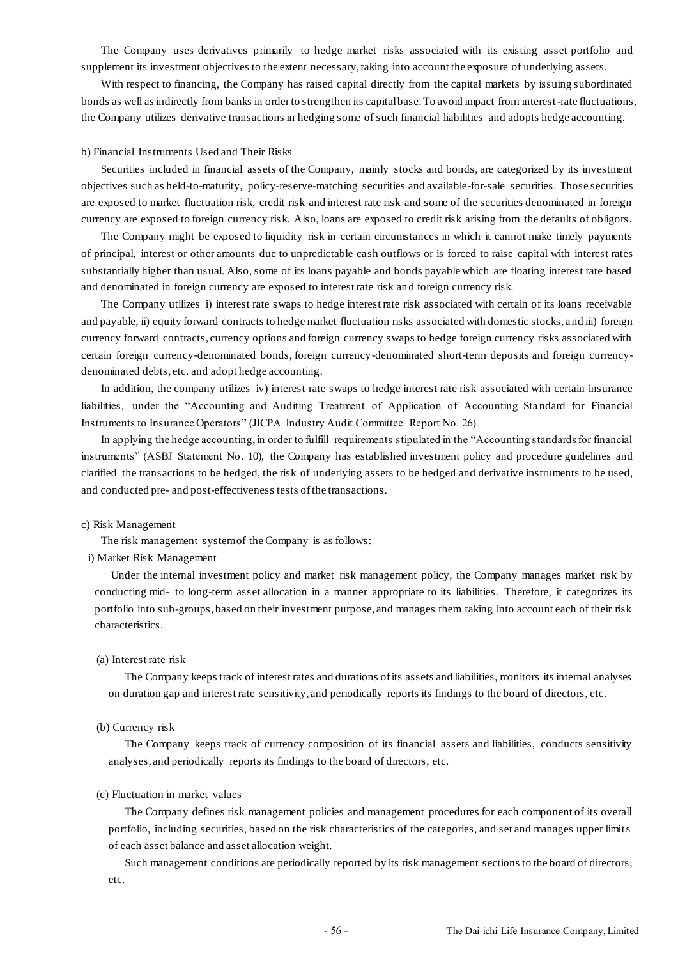The Company uses derivatives primarily to hedge market risks associated with its existing asset portfolio and supplement its investment objectives to the extent necessary, taking into account the exposure of underlying assets.

With respect to financing, the Company has raised capital directly from the capital markets by issuing subordinated bonds as well as indirectly from banks in order to strengthen its capital base. To avoid impact from interest-rate fluctuations, the Company utilizes derivative transactions in hedging some of such financial liabilities and adopts hedge accounting.

#### b) Financial Instruments Used and Their Risks

Securities included in financial assets of the Company, mainly stocks and bonds, are categorized by its investment objectives such as held-to-maturity, policy-reserve-matching securities and available-for-sale securities. Those securities are exposed to market fluctuation risk, credit risk and interest rate risk and some of the securities denominated in foreign currency are exposed to foreign currency risk. Also, loans are exposed to credit risk arising from the defaults of obligors.

The Company might be exposed to liquidity risk in certain circumstances in which it cannot make timely payments of principal, interest or other amounts due to unpredictable cash outflows or is forced to raise capital with interest rates substantially higher than usual. Also, some of its loans payable and bonds payable which are floating interest rate based and denominated in foreign currency are exposed to interest rate risk and foreign currency risk.

The Company utilizes i) interest rate swaps to hedge interest rate risk associated with certain of its loans receivable and payable, ii) equity forward contracts to hedge market fluctuation risks associated with domestic stocks, a nd iii) foreign currency forward contracts, currency options and foreign currency swaps to hedge foreign currency risks associated with certain foreign currency-denominated bonds, foreign currency-denominated short-term deposits and foreign currencydenominated debts, etc. and adopt hedge accounting.

In addition, the company utilizes iv) interest rate swaps to hedge interest rate risk associated with certain insurance liabilities, under the "Accounting and Auditing Treatment of Application of Accounting Sta ndard for Financial Instruments to Insurance Operators" (JICPA Industry Audit Committee Report No. 26).

In applying the hedge accounting, in order to fulfill requirements stipulated in the "Accounting standards for financial instruments" (ASBJ Statement No. 10), the Company has established investment policy and procedure guidelines and clarified the transactions to be hedged, the risk of underlying assets to be hedged and derivative instruments to be used, and conducted pre- and post-effectiveness tests of the transactions.

#### c) Risk Management

The risk management system of the Company is as follows:

### i) Market Risk Management

Under the internal investment policy and market risk management policy, the Company manages market risk by conducting mid- to long-term asset allocation in a manner appropriate to its liabilities. Therefore, it categorizes its portfolio into sub-groups, based on their investment purpose, and manages them taking into account each of their risk characteristics.

#### (a) Interest rate risk

The Company keeps track of interest rates and durations of its assets and liabilities, monitors its internal analyses on duration gap and interest rate sensitivity, and periodically reports its findings to the board of directors, etc.

#### (b) Currency risk

The Company keeps track of currency composition of its financial assets and liabilities, conducts sensitivity analyses, and periodically reports its findings to the board of directors, etc.

#### (c) Fluctuation in market values

The Company defines risk management policies and management procedures for each component of its overall portfolio, including securities, based on the risk characteristics of the categories, and set and manages upper limits of each asset balance and asset allocation weight.

Such management conditions are periodically reported by its risk management sections to the board of directors, etc.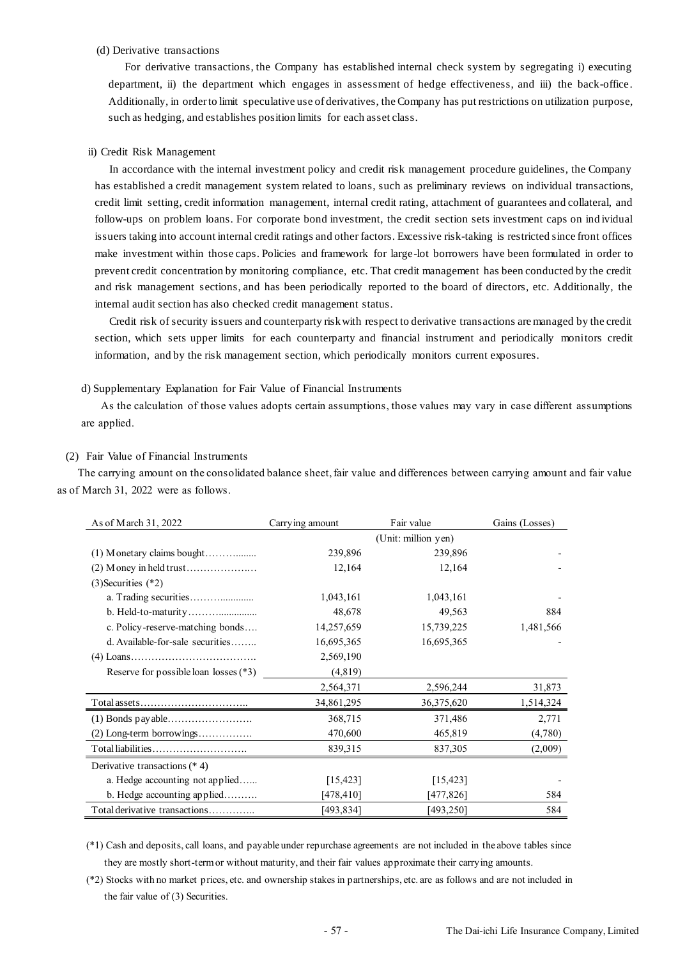#### (d) Derivative transactions

For derivative transactions, the Company has established internal check system by segregating i) executing department, ii) the department which engages in assessment of hedge effectiveness, and iii) the back-office. Additionally, in order to limit speculative use of derivatives, the Company has put restrictions on utilization purpose, such as hedging, and establishes position limits for each asset class.

#### ii) Credit Risk Management

In accordance with the internal investment policy and credit risk management procedure guidelines, the Company has established a credit management system related to loans, such as preliminary reviews on individual transactions, credit limit setting, credit information management, internal credit rating, attachment of guarantees and collateral, and follow-ups on problem loans. For corporate bond investment, the credit section sets investment caps on ind ividual issuers taking into account internal credit ratings and other factors. Excessive risk-taking is restricted since front offices make investment within those caps. Policies and framework for large-lot borrowers have been formulated in order to prevent credit concentration by monitoring compliance, etc. That credit management has been conducted by the credit and risk management sections, and has been periodically reported to the board of directors, etc. Additionally, the internal audit section has also checked credit management status.

Credit risk of security issuers and counterparty risk with respect to derivative transactions are managed by the credit section, which sets upper limits for each counterparty and financial instrument and periodically monitors credit information, and by the risk management section, which periodically monitors current exposures.

#### d) Supplementary Explanation for Fair Value of Financial Instruments

As the calculation of those values adopts certain assumptions, those values may vary in case different assumptions are applied.

#### (2) Fair Value of Financial Instruments

The carrying amount on the consolidated balance sheet, fair value and differences between carrying amount and fair value as of March 31, 2022 were as follows.

| As of March 31, 2022                  | Carrying amount | Fair value          | Gains (Losses) |
|---------------------------------------|-----------------|---------------------|----------------|
|                                       |                 | (Unit: million yen) |                |
|                                       | 239,896         | 239,896             |                |
|                                       | 12,164          | 12,164              |                |
| $(3)$ Securities $(*2)$               |                 |                     |                |
|                                       | 1,043,161       | 1,043,161           |                |
|                                       | 48,678          | 49,563              | 884            |
| c. Policy-reserve-matching bonds      | 14,257,659      | 15,739,225          | 1,481,566      |
| d. Available-for-sale securities      | 16,695,365      | 16,695,365          |                |
|                                       | 2,569,190       |                     |                |
| Reserve for possible loan losses (*3) | (4, 819)        |                     |                |
|                                       | 2,564,371       | 2,596,244           | 31,873         |
|                                       | 34,861,295      | 36,375,620          | 1,514,324      |
|                                       | 368,715         | 371,486             | 2,771          |
| $(2)$ Long-term borrowings            | 470,600         | 465,819             | (4,780)        |
| Total liabilities                     | 839,315         | 837,305             | (2,009)        |
| Derivative transactions $(* 4)$       |                 |                     |                |
| a. Hedge accounting not applied       | [15, 423]       | [15, 423]           |                |
| b. Hedge accounting applied           | [478, 410]      | [477,826]           | 584            |
| Total derivative transactions         | [493,834]       | [493,250]           | 584            |

(\*1) Cash and deposits, call loans, and payable under repurchase agreements are not included in the above tables since they are mostly short-term or without maturity, and their fair values approximate their carrying amounts.

(\*2) Stocks with no market prices, etc. and ownership stakes in partnerships, etc. are as follows and are not included in the fair value of (3) Securities.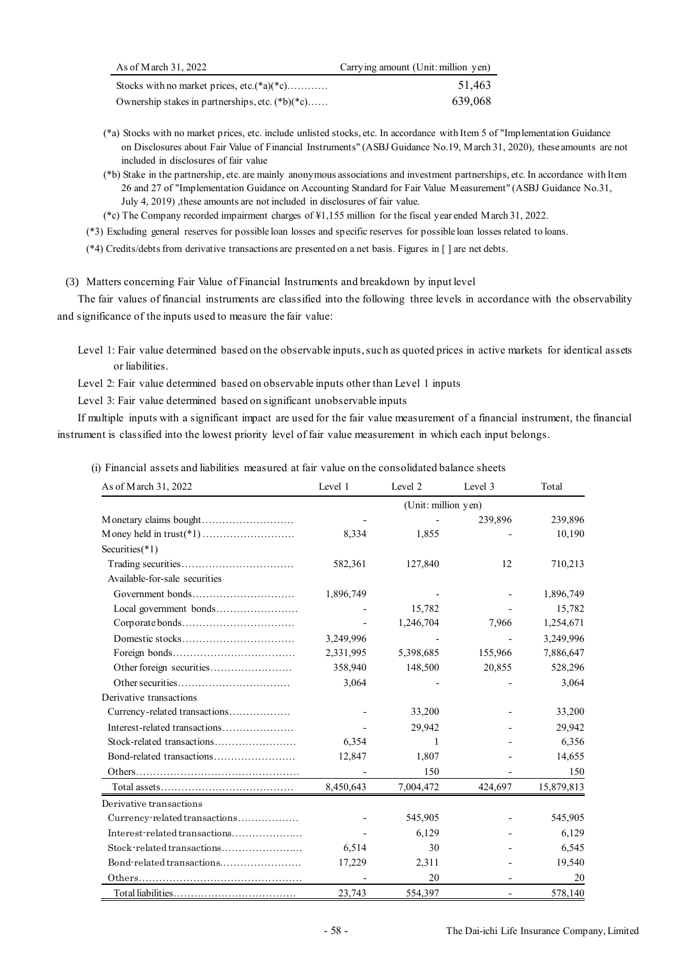| As of March 31, 2022                              | Carrying amount (Unit: million yen) |
|---------------------------------------------------|-------------------------------------|
| Stocks with no market prices, etc. $(*a)(*c)$     | 51.463                              |
| Ownership stakes in partnerships, etc. $(*b)(*c)$ | 639,068                             |

- (\*a) Stocks with no market prices, etc. include unlisted stocks, etc. In accordance with Item 5 of "Implementation Guidance on Disclosures about Fair Value of Financial Instruments" (ASBJ Guidance No.19, March 31, 2020), these amounts are not included in disclosures of fair value
- (\*b) Stake in the partnership, etc. are mainly anonymous associations and investment partnerships, etc. In accordance with Item 26 and 27 of "Implementation Guidance on Accounting Standard for Fair Value Measurement" (ASBJ Guidance No.31, July 4, 2019) ,these amounts are not included in disclosures of fair value.
- (\*c) The Company recorded impairment charges of ¥1,155 million for the fiscal year ended March 31, 2022.

(\*3) Excluding general reserves for possible loan losses and specific reserves for possible loan losses related to loans.

(\*4) Credits/debts from derivative transactions are presented on a net basis. Figures in [ ] are net debts.

(3) Matters concerning Fair Value of Financial Instruments and breakdown by input level

The fair values of financial instruments are classified into the following three levels in accordance with the observability and significance of the inputs used to measure the fair value:

Level 1: Fair value determined based on the observable inputs, such as quoted prices in active markets for identical assets or liabilities.

Level 2: Fair value determined based on observable inputs other than Level 1 inputs

Level 3: Fair value determined based on significant unobservable inputs

If multiple inputs with a significant impact are used for the fair value measurement of a financial instrument, the financial instrument is classified into the lowest priority level of fair value measurement in which each input belongs.

(i) Financial assets and liabilities measured at fair value on the consolidated balance sheets

| As of March 31, 2022          | Level 1   | Level 2             | Level 3                  | Total      |
|-------------------------------|-----------|---------------------|--------------------------|------------|
|                               |           | (Unit: million yen) |                          |            |
|                               |           |                     | 239,896                  | 239,896    |
|                               | 8,334     | 1,855               |                          | 10,190     |
| Securities $(*1)$             |           |                     |                          |            |
|                               | 582,361   | 127,840             | 12                       | 710,213    |
| Available-for-sale securities |           |                     |                          |            |
| Government bonds              | 1,896,749 |                     |                          | 1,896,749  |
|                               |           | 15,782              |                          | 15,782     |
|                               |           | 1,246,704           | 7,966                    | 1,254,671  |
| Domestic stocks               | 3,249,996 |                     |                          | 3,249,996  |
|                               | 2,331,995 | 5,398,685           | 155,966                  | 7,886,647  |
|                               | 358,940   | 148,500             | 20,855                   | 528,296    |
|                               | 3,064     |                     |                          | 3,064      |
| Derivative transactions       |           |                     |                          |            |
| Currency-related transactions |           | 33,200              |                          | 33,200     |
| Interest-related transactions |           | 29,942              |                          | 29,942     |
| Stock-related transactions    | 6,354     | 1                   |                          | 6,356      |
| Bond-related transactions     | 12,847    | 1,807               |                          | 14,655     |
|                               |           | 150                 |                          | 150        |
|                               | 8,450,643 | 7,004,472           | 424,697                  | 15,879,813 |
| Derivative transactions       |           |                     |                          |            |
| Currency-related transactions |           | 545,905             |                          | 545,905    |
| Interest-related transactions |           | 6,129               |                          | 6,129      |
| Stock-related transactions    | 6,514     | 30                  |                          | 6,545      |
| Bond-related transactions     | 17,229    | 2,311               |                          | 19,540     |
|                               |           | 20                  |                          | 20         |
|                               | 23,743    | 554,397             | $\overline{\phantom{a}}$ | 578,140    |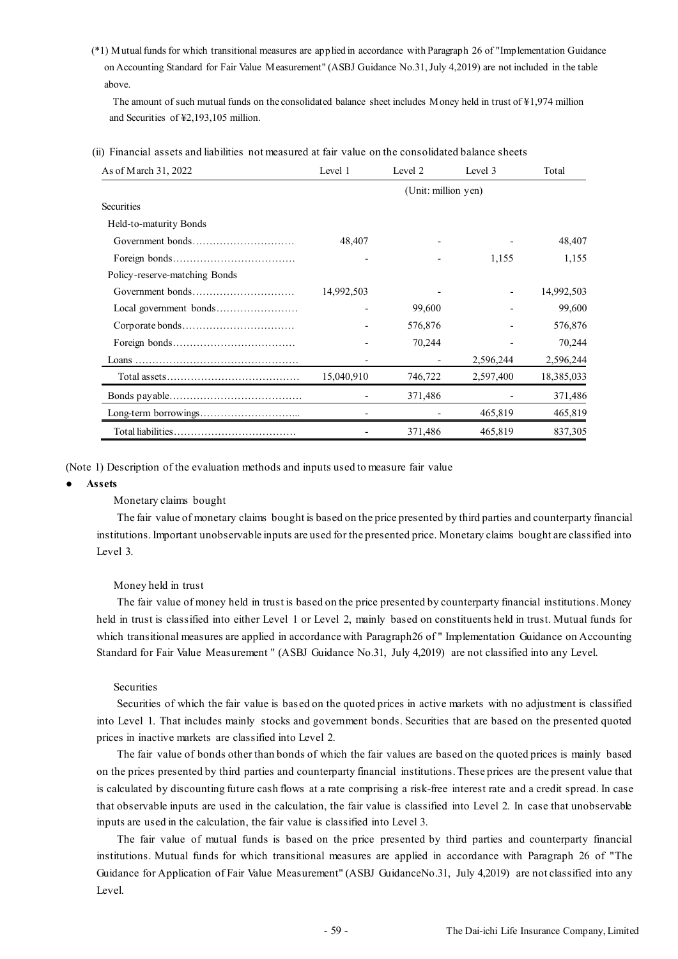(\*1) Mutual funds for which transitional measures are applied in accordance with Paragraph 26 of "Implementation Guidance on Accounting Standard for Fair Value Measurement" (ASBJ Guidance No.31, July 4,2019) are not included in the table above.

The amount of such mutual funds on the consolidated balance sheet includes Money held in trust of  $\frac{1}{2}$ ,974 million and Securities of ¥2,193,105 million.

(ii) Financial assets and liabilities not measured at fair value on the consolidated balance sheets

| As of March 31, 2022          | Level 1    | Level 2 | Level 3   | Total      |
|-------------------------------|------------|---------|-----------|------------|
|                               |            |         |           |            |
| Securities                    |            |         |           |            |
| Held-to-maturity Bonds        |            |         |           |            |
|                               | 48,407     |         |           | 48,407     |
|                               |            |         | 1,155     | 1,155      |
| Policy-reserve-matching Bonds |            |         |           |            |
|                               | 14,992,503 |         |           | 14,992,503 |
|                               |            | 99,600  |           | 99,600     |
|                               |            | 576,876 |           | 576,876    |
|                               |            | 70,244  |           | 70,244     |
|                               |            |         | 2,596,244 | 2,596,244  |
|                               | 15,040,910 | 746,722 | 2,597,400 | 18,385,033 |
|                               |            | 371,486 |           | 371,486    |
|                               |            |         | 465,819   | 465,819    |
|                               |            | 371,486 | 465,819   | 837,305    |

(Note 1) Description of the evaluation methods and inputs used to measure fair value

#### ● **Assets**

#### Monetary claims bought

The fair value of monetary claims bought is based on the price presented by third parties and counterparty financial institutions. Important unobservable inputs are used for the presented price. Monetary claims bought are classified into Level 3.

#### Money held in trust

The fair value of money held in trust is based on the price presented by counterparty financial institutions. Money held in trust is classified into either Level 1 or Level 2, mainly based on constituents held in trust. Mutual funds for which transitional measures are applied in accordance with Paragraph26 of "Implementation Guidance on Accounting Standard for Fair Value Measurement " (ASBJ Guidance No.31, July 4,2019) are not classified into any Level.

#### Securities

Securities of which the fair value is bas ed on the quoted prices in active markets with no adjustment is classified into Level 1. That includes mainly stocks and government bonds. Securities that are based on the presented quoted prices in inactive markets are classified into Level 2.

The fair value of bonds other than bonds of which the fair values are based on the quoted prices is mainly based on the prices presented by third parties and counterparty financial institutions. These prices are the present value that is calculated by discounting future cash flows at a rate comprising a risk-free interest rate and a credit spread. In case that observable inputs are used in the calculation, the fair value is classified into Level 2. In case that unobservable inputs are used in the calculation, the fair value is classified into Level 3.

The fair value of mutual funds is based on the price presented by third parties and counterparty financial institutions. Mutual funds for which transitional measures are applied in accordance with Paragraph 26 of "The Guidance for Application of Fair Value Measurement" (ASBJ GuidanceNo.31, July 4,2019) are not classified into any Level.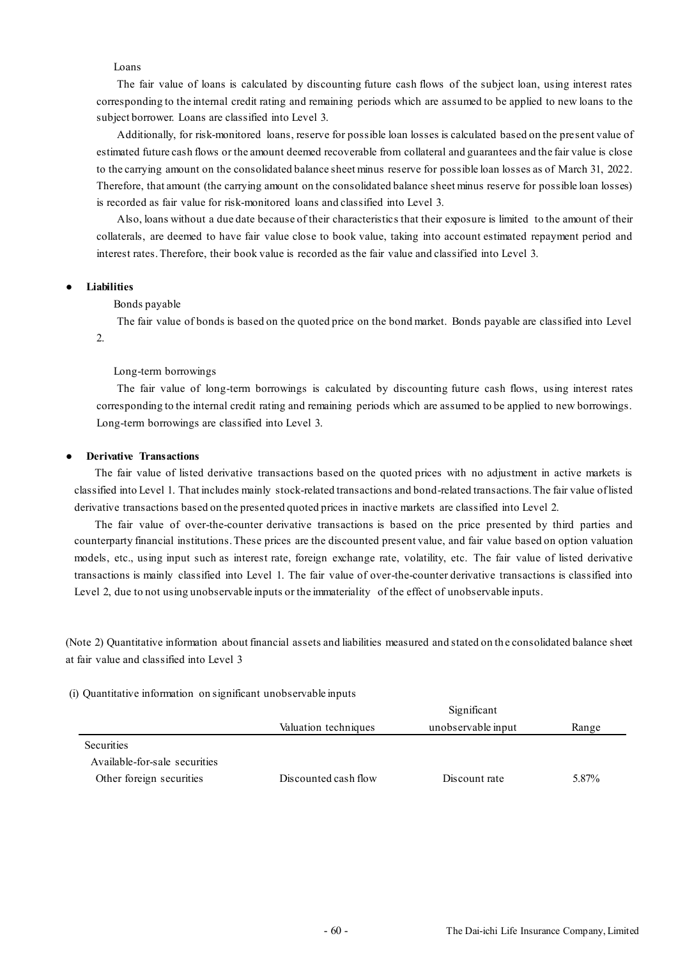### Loans

The fair value of loans is calculated by discounting future cash flows of the subject loan, using interest rates corresponding to the internal credit rating and remaining periods which are assumed to be applied to new loans to the subject borrower. Loans are classified into Level 3.

Additionally, for risk-monitored loans, reserve for possible loan losses is calculated based on the present value of estimated future cash flows or the amount deemed recoverable from collateral and guarantees and the fair value is close to the carrying amount on the consolidated balance sheet minus reserve for possible loan losses as of March 31, 2022. Therefore, that amount (the carrying amount on the consolidated balance sheet minus reserve for possible loan losses) is recorded as fair value for risk-monitored loans and classified into Level 3.

Also, loans without a due date because of their characteristics that their exposure is limited to the amount of their collaterals, are deemed to have fair value close to book value, taking into account estimated repayment period and interest rates. Therefore, their book value is recorded as the fair value and classified into Level 3.

#### ● **Liabilities**

Bonds payable

The fair value of bonds is based on the quoted price on the bond market. Bonds payable are classified into Level 2.

#### Long-term borrowings

The fair value of long-term borrowings is calculated by discounting future cash flows, using interest rates corresponding to the internal credit rating and remaining periods which are assumed to be applied to new borrowings. Long-term borrowings are classified into Level 3.

#### ● **Derivative Transactions**

The fair value of listed derivative transactions based on the quoted prices with no adjustment in active markets is classified into Level 1. That includes mainly stock-related transactions and bond-related transactions. The fair value of listed derivative transactions based on the presented quoted prices in inactive markets are classified into Level 2.

The fair value of over-the-counter derivative transactions is based on the price presented by third parties and counterparty financial institutions. These prices are the discounted present value, and fair value based on option valuation models, etc., using input such as interest rate, foreign exchange rate, volatility, etc. The fair value of listed derivative transactions is mainly classified into Level 1. The fair value of over-the-counter derivative transactions is classified into Level 2, due to not using unobservable inputs or the immateriality of the effect of unobservable inputs.

(Note 2) Quantitative information about financial assets and liabilities measured and stated on th e consolidated balance sheet at fair value and classified into Level 3

### (i) Quantitative information on significant unobservable inputs

|                               | Significant          |                    |       |  |  |
|-------------------------------|----------------------|--------------------|-------|--|--|
|                               | Valuation techniques | unobservable input | Range |  |  |
| <b>Securities</b>             |                      |                    |       |  |  |
| Available for sale securities |                      |                    |       |  |  |
| Other foreign securities      | Discounted cash flow | Discount rate      | 5.87% |  |  |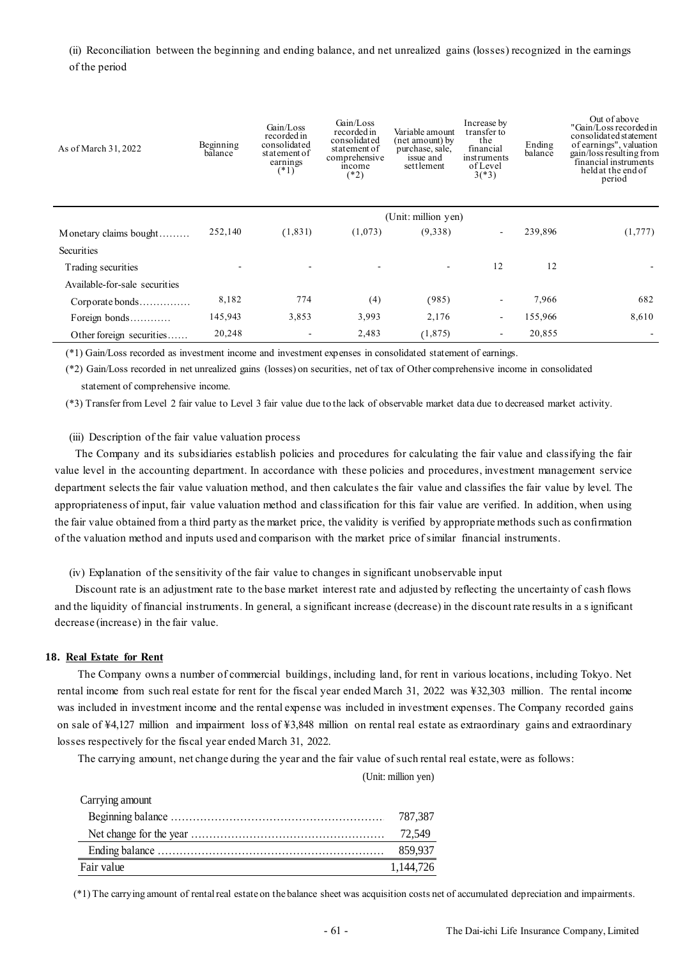## (ii) Reconciliation between the beginning and ending balance, and net unrealized gains (losses) recognized in the earnings of the period

| As of March 31, 2022          | Beginning<br>balance | Gain/Loss<br>recorded in<br>consolidated<br>statement of<br>earnings<br>$(*1)$ | Gain/Loss<br>recorded in<br>consolidated<br>statement of<br>comprehensive<br>income<br>$(*2)$ | Variable amount<br>(net amount) by<br>purchase, sale,<br>issue and<br>settlement | Increase by<br>transfer to<br>the<br>financial<br>instruments<br>of Level<br>$3(*)3)$ | Ending<br>balance | Out of above<br>"Gain/Loss recorded in<br>consolidated statement<br>of earnings", valuation<br>gain/loss resulting from<br>financial instruments<br>held at the end of<br>period |
|-------------------------------|----------------------|--------------------------------------------------------------------------------|-----------------------------------------------------------------------------------------------|----------------------------------------------------------------------------------|---------------------------------------------------------------------------------------|-------------------|----------------------------------------------------------------------------------------------------------------------------------------------------------------------------------|
|                               |                      |                                                                                |                                                                                               | (Unit: million yen)                                                              |                                                                                       |                   |                                                                                                                                                                                  |
| Monetary claims bought        | 252,140              | (1, 831)                                                                       | (1,073)                                                                                       | (9,338)                                                                          |                                                                                       | 239,896           | (1,777)                                                                                                                                                                          |
| Securities                    |                      |                                                                                |                                                                                               |                                                                                  |                                                                                       |                   |                                                                                                                                                                                  |
| Trading securities            |                      |                                                                                |                                                                                               |                                                                                  | 12                                                                                    | 12                |                                                                                                                                                                                  |
| Available-for-sale securities |                      |                                                                                |                                                                                               |                                                                                  |                                                                                       |                   |                                                                                                                                                                                  |
| Corporate bonds               | 8,182                | 774                                                                            | (4)                                                                                           | (985)                                                                            |                                                                                       | 7,966             | 682                                                                                                                                                                              |
| Foreign bonds                 | 145,943              | 3,853                                                                          | 3,993                                                                                         | 2,176                                                                            | ۰                                                                                     | 155,966           | 8,610                                                                                                                                                                            |
| Other foreign securities      | 20,248               |                                                                                | 2,483                                                                                         | (1, 875)                                                                         |                                                                                       | 20,855            |                                                                                                                                                                                  |

(\*1) Gain/Loss recorded as investment income and investment expenses in consolidated statement of earnings.

(\*2) Gain/Loss recorded in net unrealized gains (losses) on securities, net of tax of Other comprehensive income in consolidated statement of comprehensive income.

(\*3) Transfer from Level 2 fair value to Level 3 fair value due to the lack of observable market data due to decreased market activity.

(iii) Description of the fair value valuation process

The Company and its subsidiaries establish policies and procedures for calculating the fair value and classifying the fair value level in the accounting department. In accordance with these policies and procedures, investment management service department selects the fair value valuation method, and then calculates the fair value and classifies the fair value by level. The appropriateness of input, fair value valuation method and classification for this fair value are verified. In addition, when using the fair value obtained from a third party as the market price, the validity is verified by appropriate methods such as confirmation of the valuation method and inputs used and comparison with the market price of similar financial instruments.

(iv) Explanation of the sensitivity of the fair value to changes in significant unobservable input

Discount rate is an adjustment rate to the base market interest rate and adjusted by reflecting the uncertainty of cash flows and the liquidity of financial instruments. In general, a significant increase (decrease) in the discount rate results in a significant decrease (increase) in the fair value.

#### **18. Real Estate for Rent**

The Company owns a number of commercial buildings, including land, for rent in various locations, including Tokyo. Net rental income from such real estate for rent for the fiscal year ended March 31, 2022 was ¥32,303 million. The rental income was included in investment income and the rental expense was included in investment expenses. The Company recorded gains on sale of ¥4,127 million and impairment loss of ¥3,848 million on rental real estate as extraordinary gains and extraordinary losses respectively for the fiscal year ended March 31, 2022.

The carrying amount, net change during the year and the fair value of such rental real estate, were as follows:

(Unit: million yen)

| Carrying amount |           |
|-----------------|-----------|
|                 | 787.387   |
|                 |           |
|                 | 859.937   |
| Fair value      | 1.144.726 |

(\*1) The carrying amount of rental real estate on the balance sheet was acquisition costs net of accumulated depreciation and impairments.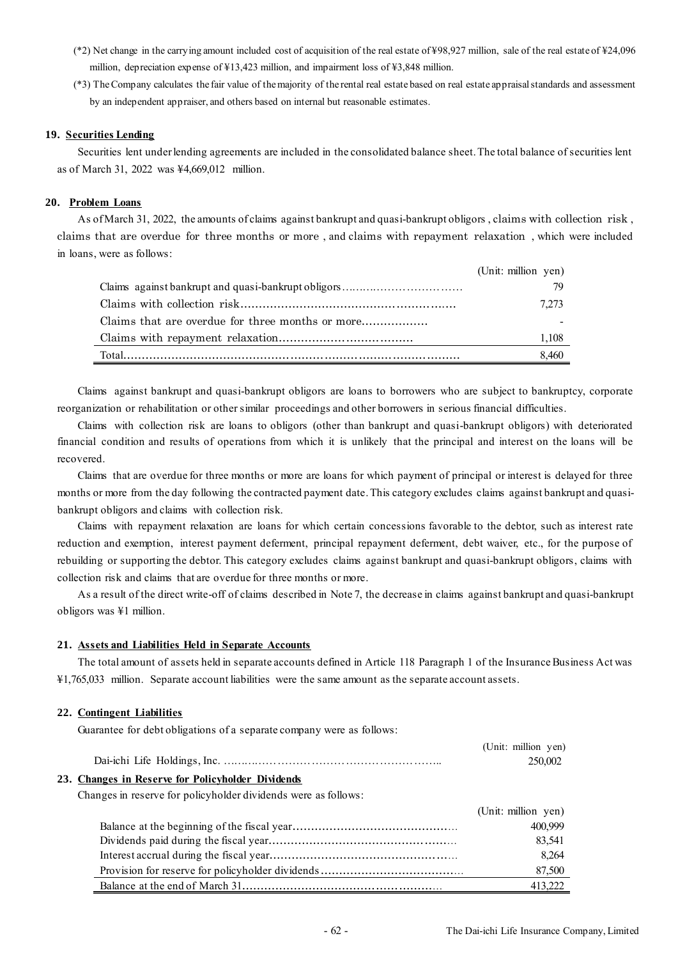- (\*2) Net change in the carrying amount included cost of acquisition of the real estate of ¥98,927 million, sale of the real estate of ¥24,096 million, depreciation expense of ¥13,423 million, and impairment loss of ¥3,848 million.
- (\*3) The Company calculates the fair value of the majority of the rental real estate based on real estate appraisal standards and assessment by an independent appraiser, and others based on internal but reasonable estimates.

### **19. Securities Lending**

Securities lent under lending agreements are included in the consolidated balance sheet. The total balance of securities lent as of March 31, 2022 was ¥4,669,012 million.

### **20. Problem Loans**

As of March 31, 2022, the amounts of claims against bankrupt and quasi-bankrupt obligors , claims with collection risk , claims that are overdue for three months or more , and claims with repayment relaxation , which were included in loans, were as follows:

| (Unit: million yen) |
|---------------------|
|                     |
| 7.273               |
|                     |
| 1.108               |
| 8.460               |

Claims against bankrupt and quasi-bankrupt obligors are loans to borrowers who are subject to bankruptcy, corporate reorganization or rehabilitation or other similar proceedings and other borrowers in serious financial difficulties.

Claims with collection risk are loans to obligors (other than bankrupt and quasi-bankrupt obligors) with deteriorated financial condition and results of operations from which it is unlikely that the principal and interest on the loans will be recovered.

Claims that are overdue for three months or more are loans for which payment of principal or interest is delayed for three months or more from the day following the contracted payment date. This category excludes claims against bankrupt and quasibankrupt obligors and claims with collection risk.

Claims with repayment relaxation are loans for which certain concessions favorable to the debtor, such as interest rate reduction and exemption, interest payment deferment, principal repayment deferment, debt waiver, etc., for the purpose of rebuilding or supporting the debtor. This category excludes claims against bankrupt and quasi-bankrupt obligors, claims with collection risk and claims that are overdue for three months or more.

As a result of the direct write-off of claims described in Note 7, the decrease in claims against bankrupt and quasi-bankrupt obligors was ¥1 million.

#### **21. Assets and Liabilities Held in Separate Accounts**

The total amount of assets held in separate accounts defined in Article 118 Paragraph 1 of the Insurance Business Act was ¥1,765,033 million. Separate account liabilities were the same amount as the separate account assets.

#### **22. Contingent Liabilities**

Guarantee for debt obligations of a separate company were as follows:

|                                                   | (Unit: million yen) |
|---------------------------------------------------|---------------------|
|                                                   | 250,002             |
| 23. Changes in Reserve for Policyholder Dividends |                     |
| $\sim$ 0 1 1 1 1 1 1 1 1 0 11                     |                     |

Changes in reserve for policyholder dividends were as follows:

| (Unit: million yen) |
|---------------------|
| 400,999             |
| 83,541              |
| 8,264               |
| 87,500              |
| 413.222             |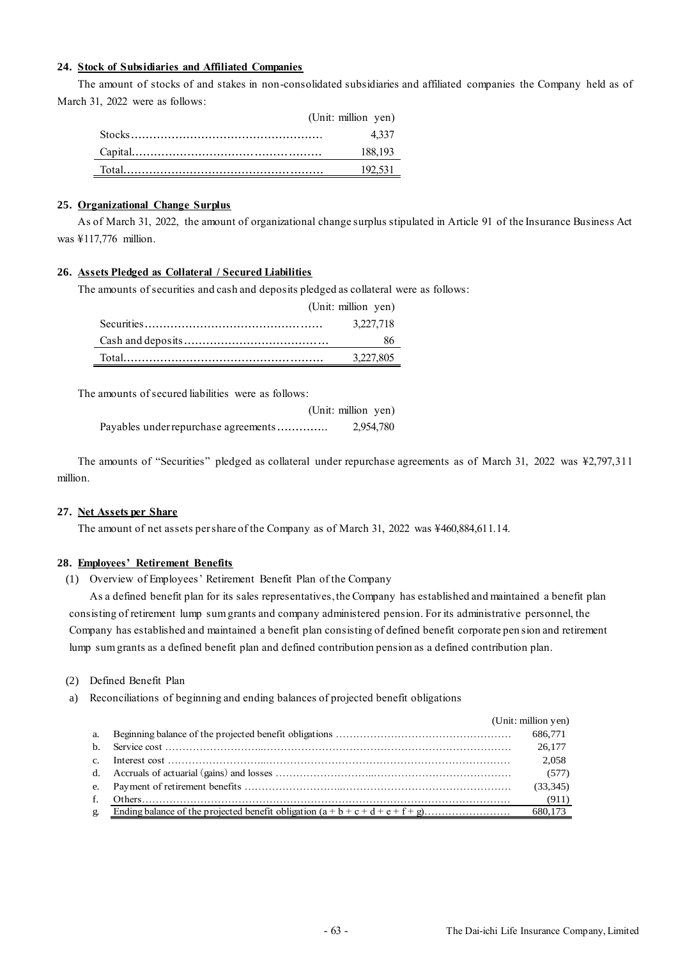### **24. Stock of Subsidiaries and Affiliated Companies**

The amount of stocks of and stakes in non-consolidated subsidiaries and affiliated companies the Company held as of March 31, 2022 were as follows:

| (Unit: million yen) |
|---------------------|
| 4.337               |
| 188.193             |
| 192.531             |

### **25. Organizational Change Surplus**

As of March 31, 2022, the amount of organizational change surplus stipulated in Article 91 of the Insurance Business Act was ¥117,776 million.

### **26. Assets Pledged as Collateral / Secured Liabilities**

The amounts of securities and cash and deposits pledged as collateral were as follows:

| (Unit: million yen) |
|---------------------|
| 3.227.718           |
| 86.                 |
| 3.227.805           |

The amounts of secured liabilities were as follows:

|                                      | (Unit: million yen) |           |
|--------------------------------------|---------------------|-----------|
| Payables under repurchase agreements |                     | 2,954,780 |

The amounts of "Securities" pledged as collateral under repurchase agreements as of March 31, 2022 was ¥2,797,311 million.

### **27. Net Assets per Share**

The amount of net assets per share of the Company as of March 31, 2022 was ¥460,884,611.14.

### **28. Employees' Retirement Benefits**

(1) Overview of Employees' Retirement Benefit Plan of the Company

As a defined benefit plan for its sales representatives, the Company has established and maintained a benefit plan consisting of retirement lump sum grants and company administered pension. For its administrative personnel, the Company has established and maintained a benefit plan consisting of defined benefit corporate pen sion and retirement lump sum grants as a defined benefit plan and defined contribution pension as a defined contribution plan.

### (2) Defined Benefit Plan

a) Reconciliations of beginning and ending balances of projected benefit obligations

|    | (Unit: million yen) |           |
|----|---------------------|-----------|
|    |                     | 686,771   |
|    |                     | 26,177    |
|    |                     | 2,058     |
|    |                     | (577)     |
|    |                     | (33, 345) |
| f. |                     | (911)     |
| g. |                     | 680,173   |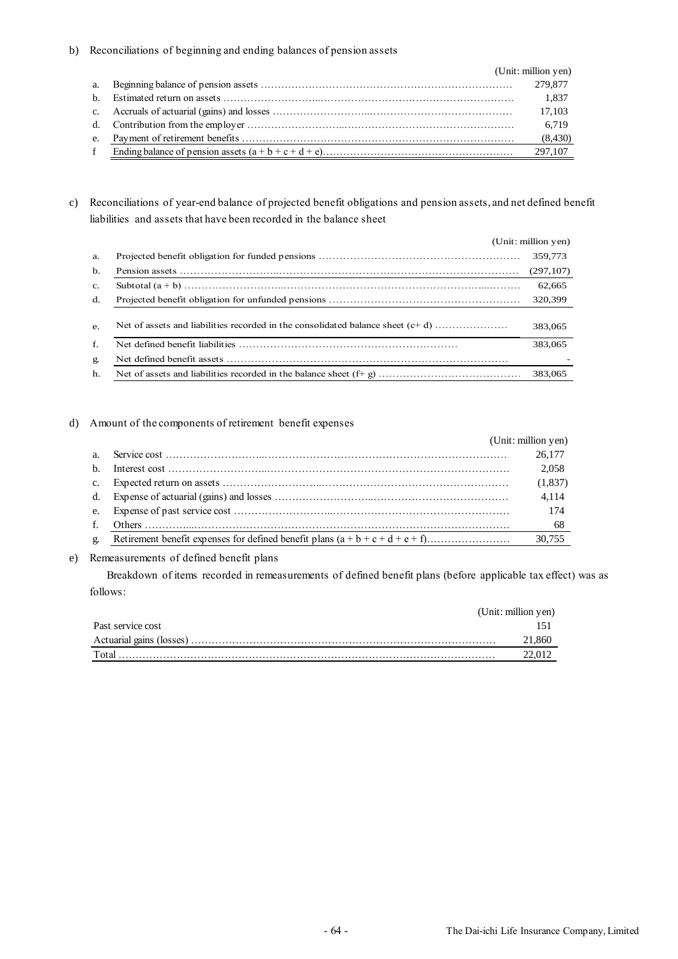### b) Reconciliations of beginning and ending balances of pension assets

|    | (Unit: million yen) |
|----|---------------------|
| a. | 279,877             |
|    | 1.837               |
|    | 17.103              |
|    | 6.719               |
|    | (8,430)             |
|    | 297,107             |

# c) Reconciliations of year-end balance of projected benefit obligations and pension assets, and net defined benefit liabilities and assets that have been recorded in the balance sheet

|                | (Unit: million yen) |
|----------------|---------------------|
| a.             | 359,773             |
| b.             | (297,107)           |
| $\mathbf{c}$ . | 62,665              |
| d.             | 320,399             |
| e.             | 383,065             |
| f.             | 383,065             |
| g.             |                     |
| h.             | 383,065             |

### d) Amount of the components of retirement benefit expenses

|              | (Unit: million yen) |
|--------------|---------------------|
|              | 26,177              |
| h            | 2.058               |
|              | (1,837)             |
|              | 4.114               |
|              | 174                 |
| $f_{\perp}$  | - 68                |
| $\mathbf{g}$ | 30.755              |

### e) Remeasurements of defined benefit plans

Breakdown of items recorded in remeasurements of defined benefit plans (before applicable tax effect) was as follows:

|                          | (Unit: million yen) |
|--------------------------|---------------------|
| Past service cost        |                     |
| Actuarial gains (losses) | 860                 |
| Total                    |                     |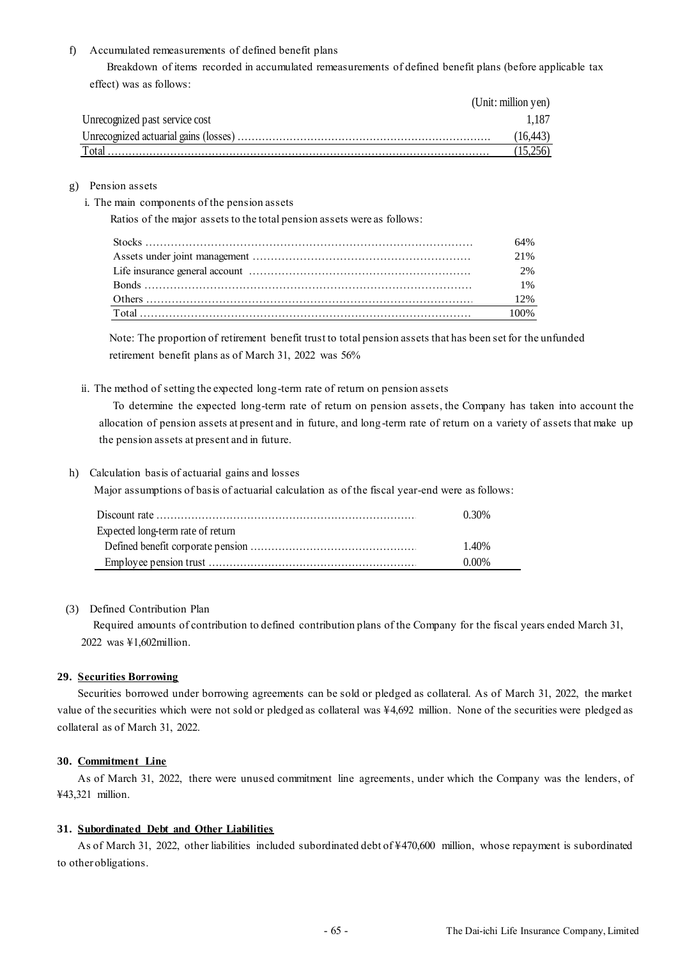### f) Accumulated remeasurements of defined benefit plans

Breakdown of items recorded in accumulated remeasurements of defined benefit plans (before applicable tax effect) was as follows:

|                                | (Unit: million yen) |
|--------------------------------|---------------------|
| Unrecognized past service cost | 1.187               |
|                                | (16.443)            |
| Total                          |                     |

### g) Pension assets

i. The main components of the pension assets

Ratios of the major assets to the total pension assets were as follows:

| 64% |
|-----|
| 21% |
| 2%  |
| 1%  |
| 12% |
|     |

Note: The proportion of retirement benefit trust to total pension assets that has been set for the unfunded retirement benefit plans as of March 31, 2022 was 56%

ii. The method of setting the expected long-term rate of return on pension assets

To determine the expected long-term rate of return on pension assets, the Company has taken into account the allocation of pension assets at present and in future, and long-term rate of return on a variety of assets that make up the pension assets at present and in future.

#### h) Calculation basis of actuarial gains and losses

Major assumptions of basis of actuarial calculation as of the fiscal year-end were as follows:

|                                   | 0.30% |
|-----------------------------------|-------|
| Expected long-term rate of return |       |
|                                   | 1.40% |
|                                   | 0.00% |

### (3) Defined Contribution Plan

Required amounts of contribution to defined contribution plans of the Company for the fiscal years ended March 31, 2022 was ¥1,602million.

#### **29. Securities Borrowing**

Securities borrowed under borrowing agreements can be sold or pledged as collateral. As of March 31, 2022, the market value of the securities which were not sold or pledged as collateral was ¥4,692 million. None of the securities were pledged as collateral as of March 31, 2022.

### **30. Commitment Line**

As of March 31, 2022, there were unused commitment line agreements, under which the Company was the lenders, of ¥43,321 million.

### **31. Subordinated Debt and Other Liabilities**

As of March 31, 2022, other liabilities included subordinated debt of ¥470,600 million, whose repayment is subordinated to other obligations.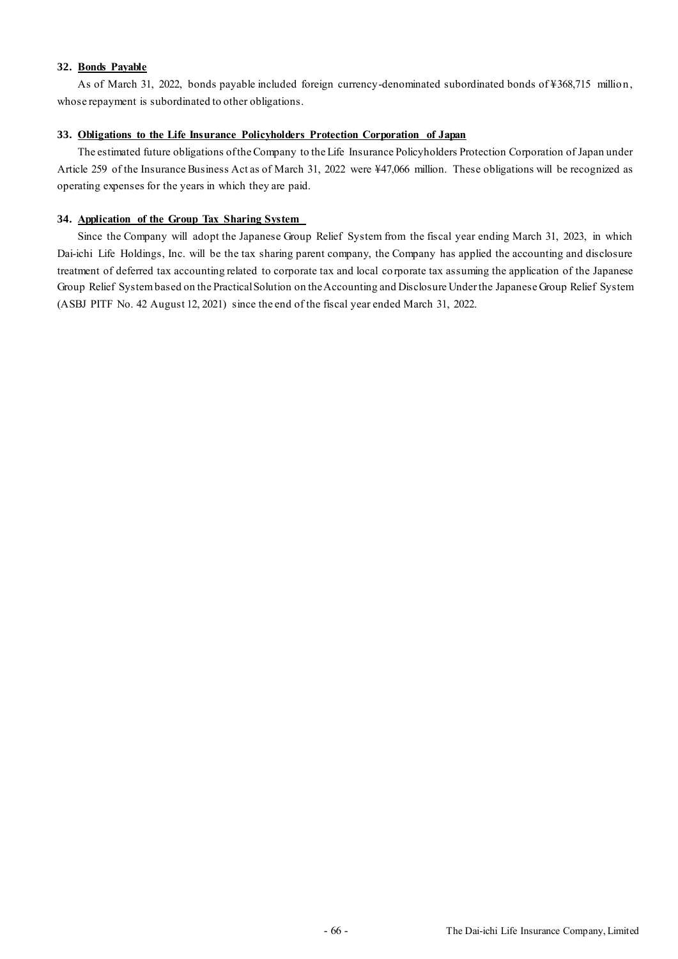### **32. Bonds Payable**

As of March 31, 2022, bonds payable included foreign currency-denominated subordinated bonds of ¥368,715 million, whose repayment is subordinated to other obligations.

### **33. Obligations to the Life Insurance Policyholders Protection Corporation of Japan**

The estimated future obligations of the Company to the Life Insurance Policyholders Protection Corporation of Japan under Article 259 of the Insurance Business Act as of March 31, 2022 were ¥47,066 million. These obligations will be recognized as operating expenses for the years in which they are paid.

### **34. Application of the Group Tax Sharing System**

Since the Company will adopt the Japanese Group Relief System from the fiscal year ending March 31, 2023, in which Dai-ichi Life Holdings, Inc. will be the tax sharing parent company, the Company has applied the accounting and disclosure treatment of deferred tax accounting related to corporate tax and local corporate tax assuming the application of the Japanese Group Relief System based on the Practical Solution on the Accounting and Disclosure Under the Japanese Group Relief System (ASBJ PITF No. 42 August 12, 2021) since the end of the fiscal year ended March 31, 2022.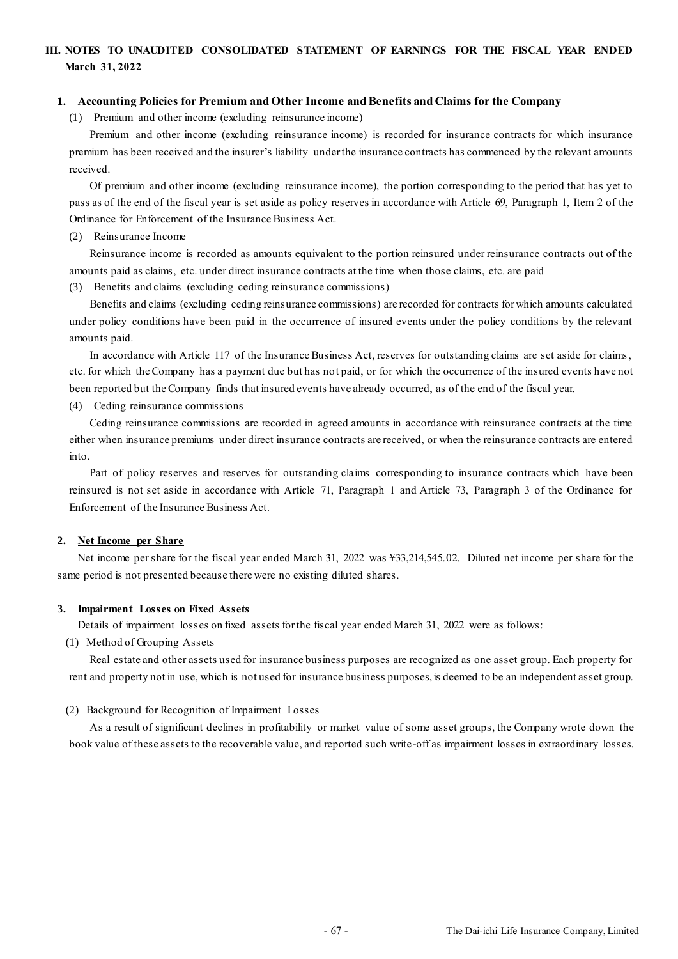# **III. NOTES TO UNAUDITED CONSOLIDATED STATEMENT OF EARNINGS FOR THE FISCAL YEAR ENDED March 31, 2022**

### **1. Accounting Policies for Premium and Other Income and Benefits and Claims for the Company**

(1) Premium and other income (excluding reinsurance income)

Premium and other income (excluding reinsurance income) is recorded for insurance contracts for which insurance premium has been received and the insurer's liability under the insurance contracts has commenced by the relevant amounts received.

Of premium and other income (excluding reinsurance income), the portion corresponding to the period that has yet to pass as of the end of the fiscal year is set aside as policy reserves in accordance with Article 69, Paragraph 1, Item 2 of the Ordinance for Enforcement of the Insurance Business Act.

#### (2) Reinsurance Income

Reinsurance income is recorded as amounts equivalent to the portion reinsured under reinsurance contracts out of the amounts paid as claims, etc. under direct insurance contracts at the time when those claims, etc. are paid

(3) Benefits and claims (excluding ceding reinsurance commissions)

Benefits and claims (excluding ceding reinsurance commissions) are recorded for contracts for which amounts calculated under policy conditions have been paid in the occurrence of insured events under the policy conditions by the relevant amounts paid.

In accordance with Article 117 of the Insurance Business Act, reserves for outstanding claims are set aside for claims, etc. for which the Company has a payment due but has not paid, or for which the occurrence of the insured events have not been reported but the Company finds that insured events have already occurred, as of the end of the fiscal year.

(4) Ceding reinsurance commissions

Ceding reinsurance commissions are recorded in agreed amounts in accordance with reinsurance contracts at the time either when insurance premiums under direct insurance contracts are received, or when the reinsurance contracts are entered into.

Part of policy reserves and reserves for outstanding claims corresponding to insurance contracts which have been reinsured is not set aside in accordance with Article 71, Paragraph 1 and Article 73, Paragraph 3 of the Ordinance for Enforcement of the Insurance Business Act.

### **2. Net Income per Share**

Net income per share for the fiscal year ended March 31, 2022 was ¥33,214,545.02. Diluted net income per share for the same period is not presented because there were no existing diluted shares.

#### **3. Impairment Losses on Fixed Assets**

Details of impairment losses on fixed assets for the fiscal year ended March 31, 2022 were as follows:

(1) Method of Grouping Assets

Real estate and other assets used for insurance business purposes are recognized as one asset group. Each property for rent and property not in use, which is not used for insurance business purposes, is deemed to be an independent asset group.

### (2) Background for Recognition of Impairment Losses

As a result of significant declines in profitability or market value of some asset groups, the Company wrote down the book value of these assets to the recoverable value, and reported such write-off as impairment losses in extraordinary losses.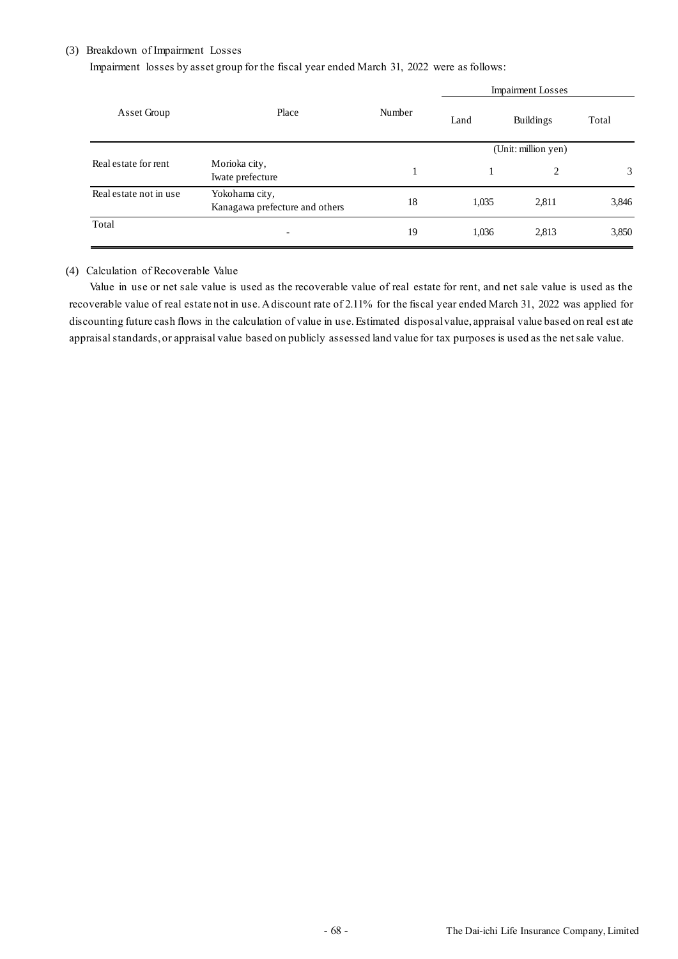### (3) Breakdown of Impairment Losses

Impairment losses by asset group for the fiscal year ended March 31, 2022 were as follows:

|                        |                                                  | Number | <b>Impairment Losses</b> |                  |       |
|------------------------|--------------------------------------------------|--------|--------------------------|------------------|-------|
| Asset Group            | Place                                            |        | Land                     | <b>Buildings</b> | Total |
|                        |                                                  |        | (Unit: million yen)      |                  |       |
| Real estate for rent   | Morioka city,<br>Iwate prefecture                |        |                          | 2                | 3     |
| Real estate not in use | Yokohama city,<br>Kanagawa prefecture and others | 18     | 1,035                    | 2,811            | 3,846 |
| Total                  | $\qquad \qquad$                                  | 19     | 1,036                    | 2,813            | 3,850 |

### (4) Calculation of Recoverable Value

Value in use or net sale value is used as the recoverable value of real estate for rent, and net sale value is used as the recoverable value of real estate not in use. A discount rate of 2.11% for the fiscal year ended March 31, 2022 was applied for discounting future cash flows in the calculation of value in use. Estimated disposal value, appraisal value based on real est ate appraisal standards, or appraisal value based on publicly assessed land value for tax purposes is used as the net sale value.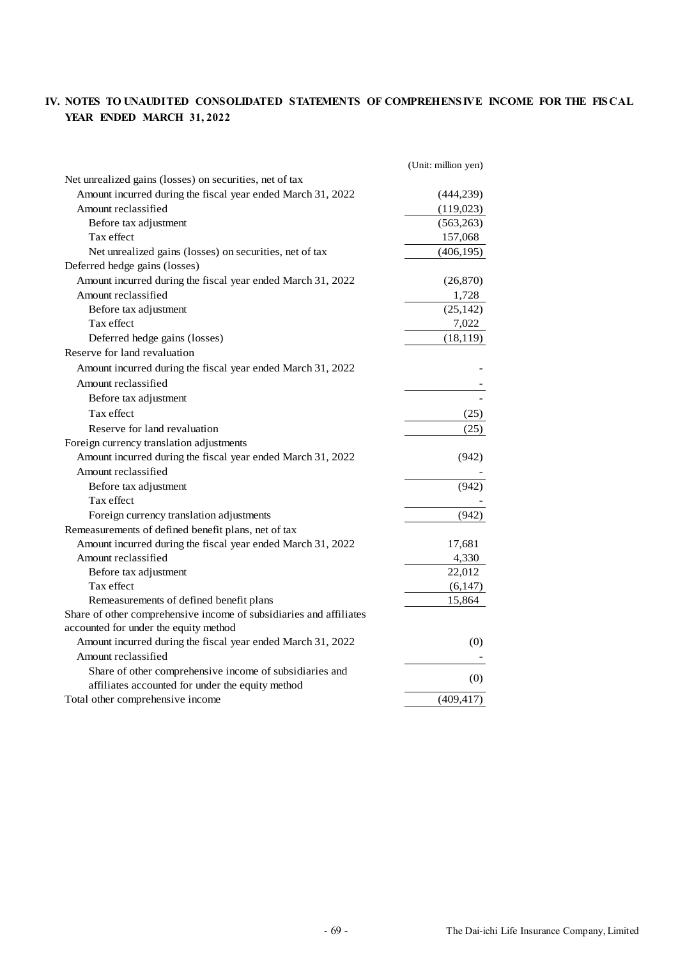# **IV. NOTES TO UNAUDITED CONSOLIDATED STATEMENTS OF COMPREHENS IVE INCOME FOR THE FIS CAL YEAR ENDED MARCH 31, 2022**

|                                                                    | (Unit: million yen) |
|--------------------------------------------------------------------|---------------------|
| Net unrealized gains (losses) on securities, net of tax            |                     |
| Amount incurred during the fiscal year ended March 31, 2022        | (444, 239)          |
| Amount reclassified                                                | (119,023)           |
| Before tax adjustment                                              | (563, 263)          |
| Tax effect                                                         | 157,068             |
| Net unrealized gains (losses) on securities, net of tax            | (406, 195)          |
| Deferred hedge gains (losses)                                      |                     |
| Amount incurred during the fiscal year ended March 31, 2022        | (26,870)            |
| Amount reclassified                                                | 1,728               |
| Before tax adjustment                                              | (25, 142)           |
| Tax effect                                                         | 7,022               |
| Deferred hedge gains (losses)                                      | (18, 119)           |
| Reserve for land revaluation                                       |                     |
| Amount incurred during the fiscal year ended March 31, 2022        |                     |
| Amount reclassified                                                |                     |
| Before tax adjustment                                              |                     |
| Tax effect                                                         | (25)                |
| Reserve for land revaluation                                       | (25)                |
| Foreign currency translation adjustments                           |                     |
| Amount incurred during the fiscal year ended March 31, 2022        | (942)               |
| Amount reclassified                                                |                     |
| Before tax adjustment                                              | (942)               |
| Tax effect                                                         |                     |
| Foreign currency translation adjustments                           | (942)               |
| Remeasurements of defined benefit plans, net of tax                |                     |
| Amount incurred during the fiscal year ended March 31, 2022        | 17,681              |
| Amount reclassified                                                | 4,330               |
| Before tax adjustment                                              | 22,012              |
| Tax effect                                                         | (6,147)             |
| Remeasurements of defined benefit plans                            | 15,864              |
| Share of other comprehensive income of subsidiaries and affiliates |                     |
| accounted for under the equity method                              |                     |
| Amount incurred during the fiscal year ended March 31, 2022        | (0)                 |
| Amount reclassified                                                |                     |
| Share of other comprehensive income of subsidiaries and            |                     |
| affiliates accounted for under the equity method                   | (0)                 |
| Total other comprehensive income                                   | (409, 417)          |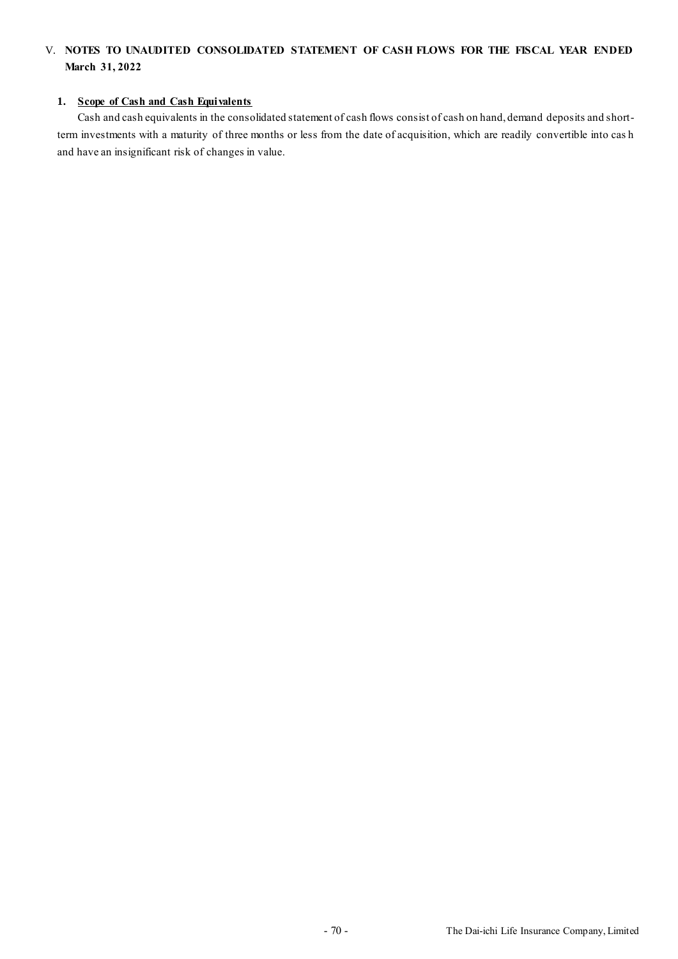## V. **NOTES TO UNAUDITED CONSOLIDATED STATEMENT OF CASH FLOWS FOR THE FISCAL YEAR ENDED March 31, 2022**

#### **1. Scope of Cash and Cash Equivalents**

Cash and cash equivalents in the consolidated statement of cash flows consist of cash on hand, demand deposits and shortterm investments with a maturity of three months or less from the date of acquisition, which are readily convertible into cas h and have an insignificant risk of changes in value.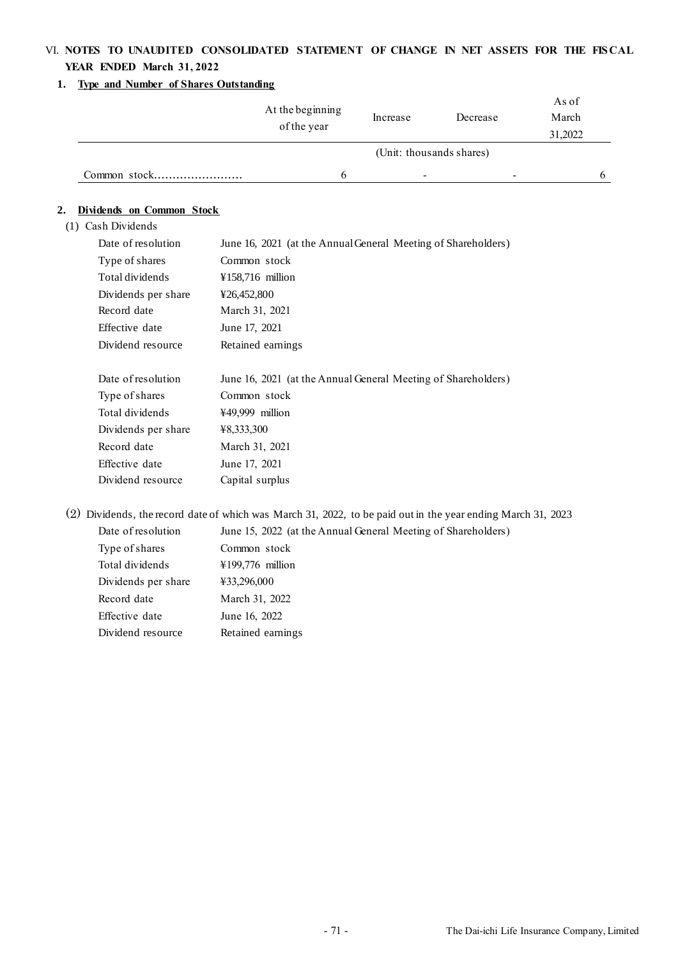# VI. **NOTES TO UNAUDITED CONSOLIDATED STATEMENT OF CHANGE IN NET ASSETS FOR THE FIS CAL YEAR ENDED March 31, 2022**

#### **1. Type and Number of Shares Outstanding**

|              | At the beginning<br>of the year | Increase                 | Decrease                 | As of<br>March<br>31,2022 |  |
|--------------|---------------------------------|--------------------------|--------------------------|---------------------------|--|
|              |                                 |                          | (Unit: thousands shares) |                           |  |
| Common stock |                                 | $\overline{\phantom{a}}$ |                          |                           |  |

### **2. Dividends on Common Stock**

(1) Cash Dividends

| Date of resolution  | June 16, 2021 (at the Annual General Meeting of Shareholders) |
|---------------------|---------------------------------------------------------------|
| Type of shares      | Common stock                                                  |
| Total dividends     | ¥158,716 million                                              |
| Dividends per share | ¥26,452,800                                                   |
| Record date         | March 31, 2021                                                |
| Effective date      | June 17, 2021                                                 |
| Dividend resource   | Retained earnings                                             |
|                     |                                                               |
|                     |                                                               |
| Date of resolution  | June 16, 2021 (at the Annual General Meeting of Shareholders) |
| Type of shares      | Common stock                                                  |
| Total dividends     | ¥49,999 million                                               |
| Dividends per share | ¥8,333,300                                                    |
| Record date         | March 31, 2021                                                |
| Effective date      | June 17, 2021                                                 |

(2) Dividends, the record date of which was March 31, 2022, to be paid out in the year ending March 31, 2023

| Date of resolution  | June 15, 2022 (at the Annual General Meeting of Shareholders) |
|---------------------|---------------------------------------------------------------|
| Type of shares      | Common stock                                                  |
| Total dividends     | $\text{\#}199,776$ million                                    |
| Dividends per share | ¥33,296,000                                                   |
| Record date         | March 31, 2022                                                |
| Effective date      | June 16, 2022                                                 |
| Dividend resource   | Retained earnings                                             |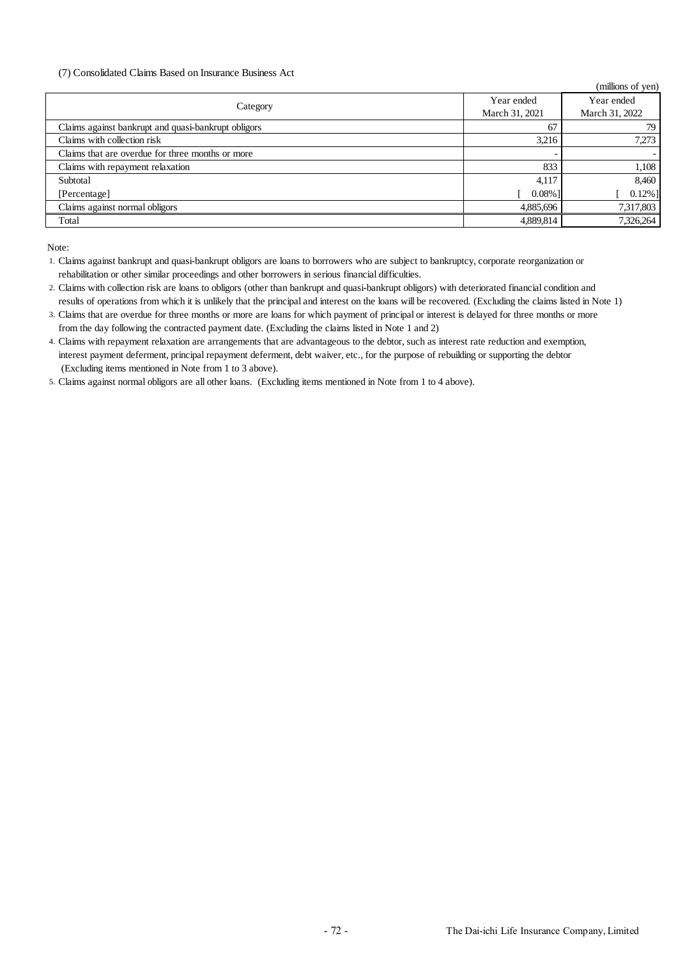#### (7) Consolidated Claims Based on Insurance Business Act

|                                                     |                | (millions of yen) |
|-----------------------------------------------------|----------------|-------------------|
| Category                                            | Year ended     | Year ended        |
|                                                     | March 31, 2021 | March 31, 2022    |
| Claims against bankrupt and quasi-bankrupt obligors | 67             | 79                |
| Claims with collection risk                         | 3.216          | 7,273             |
| Claims that are overdue for three months or more    |                |                   |
| Claims with repayment relaxation                    | 833            | 1,108             |
| Subtotal                                            | 4,117          | 8,460             |
| [Percentage]                                        | $0.08\%$ ]     | $0.12\%$ ]        |
| Claims against normal obligors                      | 4,885,696      | 7,317,803         |
| Total                                               | 4,889,814      | 7,326,264         |
|                                                     |                |                   |

Note:

5. Claims against normal obligors are all other loans. (Excluding items mentioned in Note from 1 to 4 above).

<sup>1.</sup> Claims against bankrupt and quasi-bankrupt obligors are loans to borrowers who are subject to bankruptcy, corporate reorganization or rehabilitation or other similar proceedings and other borrowers in serious financial difficulties.

<sup>2.</sup> Claims with collection risk are loans to obligors (other than bankrupt and quasi-bankrupt obligors) with deteriorated financial condition and results of operations from which it is unlikely that the principal and interest on the loans will be recovered. (Excluding the claims listed in Note 1)

<sup>3.</sup> Claims that are overdue for three months or more are loans for which payment of principal or interest is delayed for three months or more from the day following the contracted payment date. (Excluding the claims listed in Note 1 and 2)

<sup>4.</sup> Claims with repayment relaxation are arrangements that are advantageous to the debtor, such as interest rate reduction and exemption, interest payment deferment, principal repayment deferment, debt waiver, etc., for the purpose of rebuilding or supporting the debtor (Excluding items mentioned in Note from 1 to 3 above).